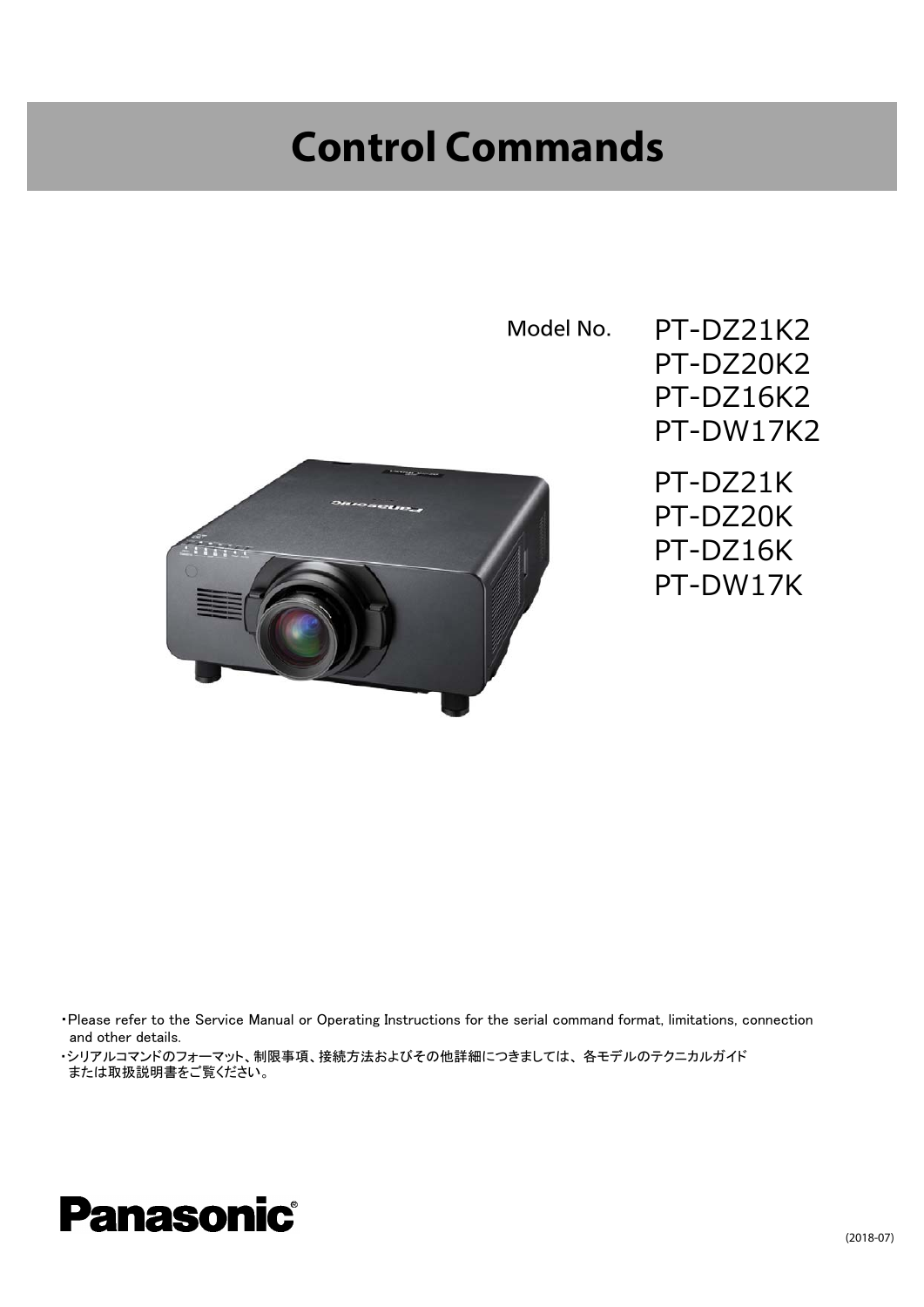## **Control Commands**





<sup>・</sup>Please refer to the Service Manual or Operating Instructions for the serial command format, limitations, connection and other details.

<sup>・</sup>シリアルコマンドのフォーマット、制限事項、接続方法およびその他詳細につきましては、 各モデルのテクニカルガイド または取扱説明書をご覧ください。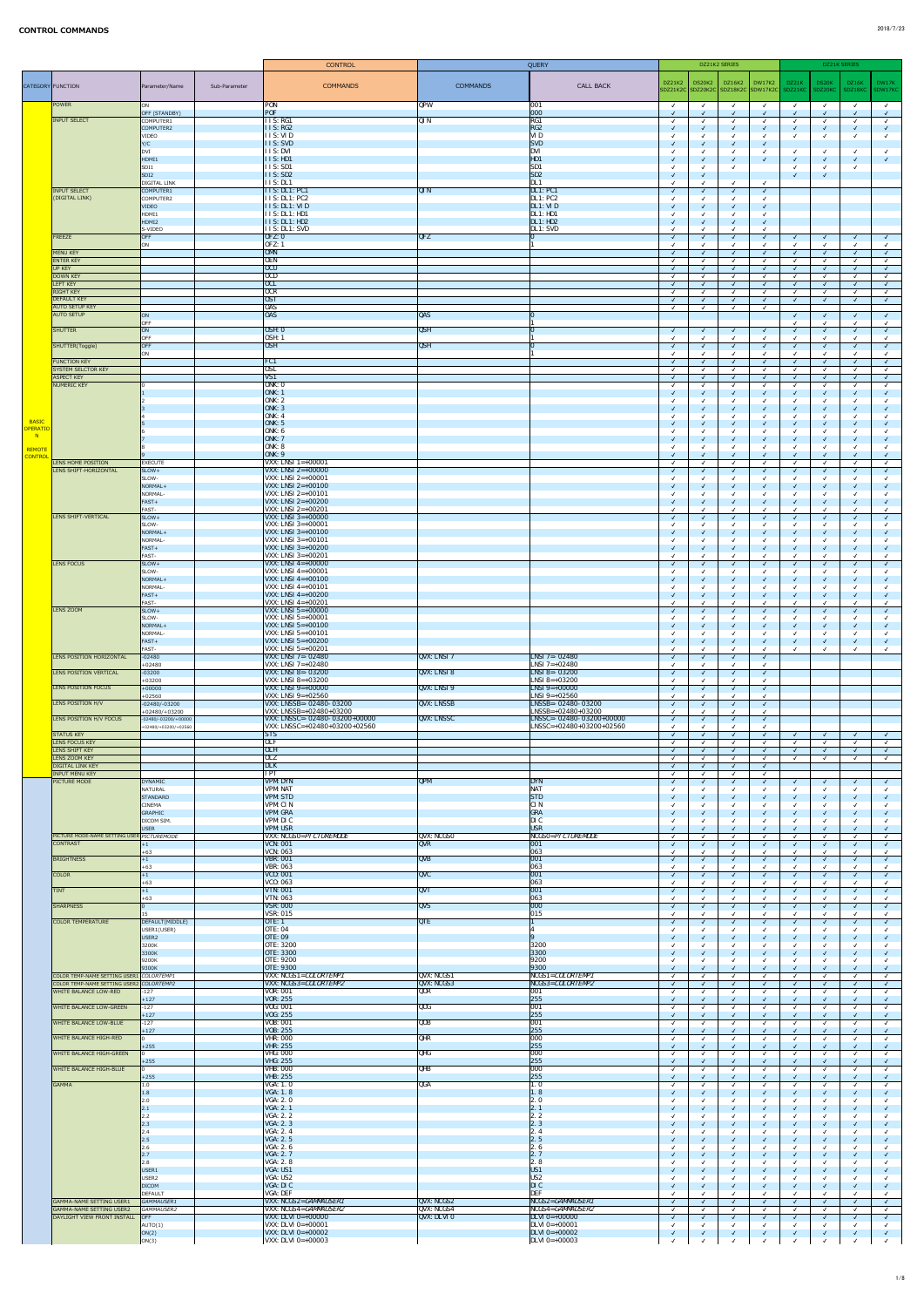|                                            |                                                                    |                                                  |               | <b>CONTROL</b>                                                      |                           | QUERY                                                       |                              | DZ21K2 SERIES                          |                            |            |                              | DZ21K SERIES |              |
|--------------------------------------------|--------------------------------------------------------------------|--------------------------------------------------|---------------|---------------------------------------------------------------------|---------------------------|-------------------------------------------------------------|------------------------------|----------------------------------------|----------------------------|------------|------------------------------|--------------|--------------|
| CATEGORY FUNCTION                          |                                                                    | Parameter/Name                                   | Sub-Parameter | <b>COMMANDS</b>                                                     | <b>COMMANDS</b>           | <b>CALL BACK</b>                                            | DZ21K2                       | DS20K2   DZ16K2   DW17K2               |                            | DZ21K      | DS20K                        | DZ16K        | DW17K        |
|                                            |                                                                    |                                                  |               |                                                                     |                           |                                                             |                              | SDZ21K2C SDZ20K2C SDZ18K2C SDW17K2C    |                            | SDZ21KC    | SDZ20KC                      | SDZ18KC      | SDW17KC      |
|                                            | POWER                                                              | ON<br>OFF (STANDBY)                              |               | <b>PON</b><br>POF                                                   | <b>QPW</b>                | 001 <br> 000                                                | $\checkmark$<br>$\sqrt{ }$   | $\sqrt{ }$<br>$\sqrt{ }$<br>$\sqrt{ }$ | $\checkmark$<br>$\sqrt{2}$ | $\sqrt{ }$ | $\checkmark$<br>$\sqrt{2}$   |              |              |
|                                            | <b>INPUT SELECT</b>                                                | COMPUTER1<br>COMPUTER2                           |               | $\overline{I}$ I S: RG1<br>$\vert$ I I S: RG2                       | $\overline{QIN}$          | RG1<br>RG2                                                  | $\checkmark$<br>$\sqrt{ }$   | $\sqrt{ }$<br>√                        | $\sqrt{ }$<br>$\sqrt{ }$   |            | $\checkmark$<br>$\checkmark$ |              |              |
|                                            |                                                                    | VIDEO                                            |               | <b>IIS: VID</b><br><b>IIS: SVD</b>                                  |                           | <b>VID</b><br><b>SVD</b>                                    | $\checkmark$<br>$\checkmark$ | $\sqrt{ }$                             | $\sqrt{2}$                 |            | $\checkmark$                 |              |              |
|                                            |                                                                    | Y/C<br> DVI                                      |               | <b>IIS: DVI</b>                                                     |                           | <b>DVI</b>                                                  |                              |                                        | $\sqrt{ }$                 |            | $\checkmark$                 |              |              |
|                                            |                                                                    | HDMI1<br>SDI <sub>1</sub>                        |               | II S: H D 1<br>IIS: SD1                                             |                           | HD1<br>$\sqrt{\text{SD1}}$                                  | $\sqrt{ }$                   | $\sqrt{ }$                             | $\sqrt{2}$                 |            | $\sqrt{2}$<br>$\checkmark$   | $\sqrt{ }$   | $\sqrt{ }$   |
|                                            |                                                                    | SDI <sub>2</sub><br><b>DIGITAL LINK</b>          |               | IIS: SD2<br><b>IIS: DL1</b>                                         |                           | $\sqrt{\text{SD2}}$<br>DL1                                  | $\checkmark$<br>$\checkmark$ |                                        |                            |            | $\checkmark$                 |              |              |
|                                            | <b>INPUT SELECT</b><br>(DIGITAL LINK)                              | COMPUTER1                                        |               | II S: DL1: PC1                                                      | QIN                       | DL1:PC1                                                     | $\sqrt{ }$                   | $\sqrt{ }$                             | $\sqrt{ }$                 |            |                              |              |              |
|                                            |                                                                    | COMPUTER2<br><b>VIDEO</b>                        |               | IIS: DL1: PC2<br>$\vert$ I I S: DL1: VI D                           |                           | DL1:PC2<br>$\vert$ DL1: VI D                                | $\checkmark$<br>$\checkmark$ | $\sqrt{ }$                             | $\sqrt{ }$                 |            |                              |              |              |
|                                            |                                                                    | HDMI1<br>HDMI2                                   |               | IIS: DL1: HD1<br>II S: DL1: HD2                                     |                           | DL1: H <sub>D1</sub><br>$\vert$ DL1: HD2                    | $\sqrt{ }$                   | $\sqrt{ }$                             | $\sqrt{2}$                 |            |                              |              |              |
|                                            | <b>FREEZE</b>                                                      | S-VIDEO<br>OFF                                   |               | <b>IIS: DL1: SVD</b><br>[OFZ: 0]                                    | QFZ                       | DL1: SVD<br>$\Omega$                                        | $\checkmark$<br>$\sqrt{ }$   | √                                      | $\sqrt{ }$                 |            | $\sqrt{ }$                   | $\sqrt{ }$   |              |
|                                            |                                                                    | ON                                               |               | <b>OFZ: 1</b>                                                       |                           |                                                             |                              |                                        |                            |            | $\checkmark$                 |              |              |
|                                            | <b>MENU KEY</b><br><b>ENTER KEY</b>                                |                                                  |               | <b>OMN</b><br><b>OEN</b>                                            |                           |                                                             | $\sqrt{ }$<br>$\checkmark$   | $\sqrt{ }$                             | $\sqrt{ }$<br>$\sqrt{ }$   |            | $\sqrt{2}$<br>$\checkmark$   |              | $\sqrt{ }$   |
|                                            | UP KEY<br><b>DOWN KEY</b>                                          |                                                  |               | OCU <br>$\overline{OCD}$                                            |                           |                                                             | $\checkmark$<br>$\checkmark$ |                                        | $\sqrt{ }$                 |            | $\sqrt{2}$<br>$\checkmark$   |              |              |
|                                            | <b>LEFT KEY</b><br><b>RIGHT KEY</b>                                |                                                  |               | <b>OCL</b>  <br>OCR                                                 |                           |                                                             | $\sqrt{ }$<br>$\checkmark$   |                                        | $\sqrt{ }$                 |            | $\sqrt{2}$<br>$\checkmark$   |              |              |
|                                            | <b>DEFAULT KEY</b>                                                 |                                                  |               | <b>OST</b>                                                          |                           |                                                             | $\checkmark$                 |                                        | $\sqrt{ }$                 |            | $\sqrt{ }$                   |              |              |
|                                            | <b>AUTO SETUP KEY</b><br><b>AUTO SETUP</b>                         | ON                                               |               | <b>OAS</b><br>$\overline{\text{OAS}}$                               | $\overline{QAS}$          | 10                                                          | $\checkmark$                 |                                        |                            |            | $\sqrt{ }$                   |              |              |
|                                            | SHUTTER                                                            | OFF<br>ON                                        |               | OSH: 0                                                              | <b>QSH</b>                | $\Omega$                                                    | $\sqrt{ }$                   | $\sqrt{ }$<br>$\sqrt{ }$               | $\sqrt{ }$                 |            | $\sqrt{2}$                   |              |              |
|                                            |                                                                    | OFF<br>OFF                                       |               | <b>OSH: 1</b><br>OSH                                                | $\overline{QSH}$          | IO                                                          |                              |                                        |                            |            | $\checkmark$                 |              |              |
|                                            | SHUTTER(Toggle)                                                    | <b>ON</b>                                        |               |                                                                     |                           |                                                             | $\sqrt{ }$<br>$\checkmark$   | $\sqrt{ }$                             | $\sqrt{ }$                 |            | $\checkmark$<br>$\checkmark$ |              |              |
|                                            | <b>FUNCTION KEY</b><br>SYSTEM SELCTOR KEY                          |                                                  |               | FC1<br><b>OSL</b>                                                   |                           |                                                             | $\sqrt{ }$<br>$\checkmark$   | $\sqrt{ }$                             | $\sqrt{ }$                 |            | $\sqrt{ }$<br>$\checkmark$   |              |              |
|                                            | <b>ASPECT KEY</b><br><b>NUMERIC KEY</b>                            |                                                  |               | $\sqrt{VS1}$<br>ONK: 0                                              |                           |                                                             | $\checkmark$<br>$\checkmark$ | $\overline{\mathcal{A}}$<br>$\sqrt{ }$ | $\sqrt{2}$                 |            | $\sqrt{2}$<br>$\checkmark$   |              |              |
|                                            |                                                                    |                                                  |               | ONK: 1<br>ONK: 2                                                    |                           |                                                             | $\checkmark$<br>$\checkmark$ | $\sqrt{ }$                             | $\sqrt{ }$                 |            | $\sqrt{2}$<br>$\checkmark$   |              |              |
|                                            |                                                                    |                                                  |               | ONK: 3                                                              |                           |                                                             | $\sqrt{ }$                   | $\overline{\mathcal{A}}$               | $\sqrt{ }$                 |            | $\sqrt{ }$                   |              |              |
| <b>BASIC</b>                               |                                                                    |                                                  |               | <b>ONK: 4</b><br>ONK: 5                                             |                           |                                                             | $\checkmark$<br>$\checkmark$ |                                        | $\checkmark$<br>$\sqrt{ }$ |            | $\checkmark$<br>$\checkmark$ |              |              |
| <b>OPERATIO</b><br>$\overline{\mathsf{N}}$ |                                                                    |                                                  |               | ONK: 6<br><b>ONK: 7</b>                                             |                           |                                                             | $\sqrt{ }$                   | $\sqrt{}$                              | $\sqrt{ }$                 |            | $\checkmark$<br>$\sqrt{ }$   |              |              |
| REMOTE                                     |                                                                    |                                                  |               | ONK: 8<br>ONK: 9                                                    |                           |                                                             | $\sqrt{ }$                   | $\sqrt{ }$                             | $\sqrt{ }$                 |            | $\checkmark$                 |              |              |
| <b>CONTROL</b>                             | LENS HOME POSITION                                                 | EXECUTE                                          |               | <b>VXX:</b> LNSI $1=+00001$                                         |                           |                                                             | $\checkmark$                 | ्√                                     |                            |            | $\sqrt{ }$<br>$\checkmark$   |              |              |
|                                            | LENS SHIFT-HORIZONTAL                                              | SLOW+<br>SLOW-                                   |               | $ VXX: LNSI 2=+00000$<br>$VXX: LNSI 2=+00001$                       |                           |                                                             | $\checkmark$                 |                                        | $\sqrt{ }$                 |            | $\sqrt{ }$<br>$\checkmark$   |              |              |
|                                            |                                                                    | NORMAL+<br>NORMAL-                               |               | $ VXX: LNSI 2=+00100$<br>VXX: LNSI 2=+00101                         |                           |                                                             | $\checkmark$                 | $\overline{\mathcal{A}}$               |                            |            | $\sqrt{ }$<br>$\checkmark$   |              |              |
|                                            |                                                                    | FAST+<br><b>FAST-</b>                            |               | <b>VXX:</b> LNSI 2=+00200<br>VXX: LNSI 2=+00201                     |                           |                                                             | $\sqrt{ }$<br>$\checkmark$   |                                        | $\sqrt{ }$                 |            | $\sqrt{2}$<br>$\checkmark$   |              |              |
|                                            | LENS SHIFT-VERTICAL                                                | SLOW+                                            |               | <b>VXX:</b> LNSI $3=+00000$                                         |                           |                                                             | $\sqrt{ }$                   | $\sqrt{ }$                             | $\sqrt{ }$                 |            | $\checkmark$                 |              |              |
|                                            |                                                                    | SLOW-<br>NORMAL+                                 |               | $VXX: LNSI 3=+00001$<br>$ VXX: LNSI 3=+00100$                       |                           |                                                             |                              |                                        | $\sqrt{ }$                 |            | $\checkmark$<br>$\checkmark$ |              |              |
|                                            |                                                                    | NORMAL-<br>$FAST+$                               |               | VXX: LNSI 3=+00101<br>$ VXX: LNSI 3=+00200$                         |                           |                                                             |                              |                                        |                            |            |                              |              |              |
|                                            | LENS FOCUS                                                         | <b>FAST-</b><br>SLOW+                            |               | VXX: LNSI $3=+00201$<br><b>VXX:</b> LNSI $4=+00000$                 |                           |                                                             | $\checkmark$<br>$\sqrt{2}$   | $\sqrt{ }$<br>$\sqrt{ }$               | $\sqrt{ }$                 |            | $\checkmark$<br>$\sqrt{ }$   | $\sqrt{ }$   |              |
|                                            |                                                                    | SLOW-                                            |               | <b>VXX:</b> LNSI $4=+00001$                                         |                           |                                                             | $\checkmark$                 |                                        |                            |            | $\checkmark$                 |              |              |
|                                            |                                                                    | NORMAL+<br>NORMAL-                               |               | <b>VXX:</b> LNSI $4=+00100$<br>VXX: LNSI $4=+00101$                 |                           |                                                             | $\checkmark$                 |                                        | $\sqrt{ }$<br>$\sqrt{ }$   |            | $\sqrt{2}$<br>$\checkmark$   |              |              |
|                                            |                                                                    | FAST+<br><b>FAST-</b>                            |               | <b>VXX:</b> LNSI $4=+00200$<br><b>VXX:</b> LNSI $4=+00201$          |                           |                                                             | $\checkmark$<br>$\checkmark$ | $\sqrt{ }$                             | $\sqrt{ }$                 |            | $\sqrt{2}$<br>$\checkmark$   |              |              |
|                                            | LENS ZOOM                                                          | $ $ SLOW+<br>SLOW-                               |               | <b>VXX:</b> LNSI $5=+00000$<br>VXX: LNSI $5=+00001$                 |                           |                                                             | $\checkmark$<br>$\checkmark$ | $\sqrt{ }$<br>$\sqrt{ }$               | $\sqrt{ }$                 |            | $\sqrt{2}$<br>$\checkmark$   |              |              |
|                                            |                                                                    | NORMAL+                                          |               | <b>VXX:</b> LNSI $5=+00100$                                         |                           |                                                             | $\sqrt{ }$                   | $\sqrt{ }$<br>$\sqrt{ }$               | $\sqrt{ }$                 |            | $\sqrt{2}$                   |              |              |
|                                            |                                                                    | NORMAL-<br>FAST+                                 |               | $VXX: LNSI 5=+00101$<br><b>VXX:</b> LNSI $5=+00200$                 |                           |                                                             | $\checkmark$                 | $\sqrt{ }$                             | $\sqrt{ }$                 |            | $\checkmark$<br>$\sqrt{2}$   |              |              |
|                                            | LENS POSITION HORIZONTAL                                           | <b>FAST-</b><br>$-02480$                         |               | <b>VXX:</b> LNSI $5=+00201$<br><b>VXX: LNSI 7=-02480</b>            | <b>QVX: LNSI 7</b>        | $LNSI$ 7=-02480                                             | $\checkmark$<br>$\checkmark$ | $\overline{\mathcal{A}}$               | $\sqrt{ }$                 |            | $\checkmark$                 |              |              |
|                                            | LENS POSITION VERTICAL                                             | $+02480$<br>$-03200$                             |               | <b>VXX:</b> LNSI $7=+02480$<br>$VXX: LNSI 8 = -03200$               | <b>QVX: LNSI 8</b>        | $LNSI$ 7=+02480<br>LNSI 8=-03200                            |                              |                                        | $\sqrt{ }$                 |            |                              |              |              |
|                                            |                                                                    | $+03200$                                         |               | <b>VXX: LNSI 8=+03200</b>                                           |                           | $LNSI$ 8=+03200                                             | $\checkmark$<br>$\checkmark$ | $\sqrt{ }$                             |                            |            |                              |              |              |
|                                            | LENS POSITION FOCUS                                                | $+00000$<br>$+02560$                             |               | $VXX: LNSI 9=+00000$<br>VXX: LNSI 9= $+02560$                       | QVX: LNSI9                | $\overline{\text{LNSI 9}=+00000}$<br>$LNSI 9=+02560$        | $\sqrt{ }$                   | $\sqrt{ }$                             | $\sqrt{ }$                 |            |                              |              |              |
|                                            | LENS POSITION H/V                                                  | $-02480/-03200$<br>$+02480/+03200$               |               | VXX: LNSSB=- 02480-03200<br>VXX: LNSSB=+02480+03200                 | <b>QVX: LNSSB</b>         | LNSSB=-02480-03200<br>$ LNSSB=+02480+03200$                 | $\checkmark$<br>$\checkmark$ | $\sqrt{ }$                             | $\sqrt{2}$                 |            |                              |              |              |
|                                            | LENS POSITION H/V FOCUS                                            | $-02480/-03200/+00000$<br>$+02480/+03200/+02560$ |               | VXX: LNSSC=- 02480- 03200+00000<br>$ VXX: LNSSC=+02480+03200+02560$ | <b>QVX: LNSSC</b>         | $ LNSSC=-02480-03200+00000$<br>$ LNSSC=+02480+03200+02560 $ | $\sqrt{ }$<br>$\checkmark$   | $\sqrt{ }$<br>$\sqrt{ }$               | $\sqrt{ }$                 |            |                              |              |              |
|                                            | <b>STATUS KEY</b><br>LENS FOCUS KEY                                |                                                  |               | <b>STS</b><br><b>OLF</b>                                            |                           |                                                             | $\sqrt{ }$                   |                                        | $\sqrt{ }$                 |            | $\sqrt{2}$                   | $\sqrt{ }$   |              |
|                                            | LENS SHIFT KEY                                                     |                                                  |               | 0LH                                                                 |                           |                                                             | $\checkmark$<br>$\sqrt{ }$   | $\sqrt{ }$                             | $\sqrt{ }$                 |            | $\checkmark$<br>$\sqrt{2}$   |              |              |
|                                            | LENS ZOOM KEY<br><b>DIGITAL LINK KEY</b>                           |                                                  |               | 0LZ<br><b>DLK</b>                                                   |                           |                                                             | $\checkmark$<br>$\checkmark$ |                                        | $\sqrt{2}$                 |            | $\checkmark$                 |              |              |
|                                            | <b>INPUT MENU KEY</b><br><b>PICTURE MODE</b>                       | DYNAMIC                                          |               | <b>IPT</b><br><b>VPM: DYN</b>                                       | QPM                       | <b>DYN</b>                                                  | $\checkmark$<br>$\sqrt{ }$   | $\sqrt{ }$                             | $\sqrt{ }$                 |            | $\sqrt{ }$                   |              | $\checkmark$ |
|                                            |                                                                    | NATURAL<br>STANDARD                              |               | <b>VPM: NAT</b><br><b>VPM: STD</b>                                  |                           | <b>NAT</b><br><b>STD</b>                                    | $\checkmark$                 |                                        |                            |            | $\sqrt{ }$                   |              |              |
|                                            |                                                                    | <b>CINEMA</b>                                    |               | <b>VPM: CIN</b>                                                     |                           | <b>CIN</b>                                                  |                              |                                        |                            |            |                              |              |              |
|                                            |                                                                    | GRAPHIC<br>DICOM SIM.                            |               | <b>VPM: GRA</b><br>VPM: DIC                                         |                           | GRA<br>DI C                                                 |                              |                                        |                            |            | $\sqrt{ }$<br>$\checkmark$   |              |              |
|                                            | PICTURE MODE-NAME SETTING USER PICTUREMODE                         | USER                                             |               | <b>VPM: USR</b><br><b>VXX: NCGSO=PI CTUREMODE</b>                   | QVX: NCGSO                | <b>USR</b><br>NCGSO=PICTUREMODE                             | $\sqrt{ }$<br>$\checkmark$   | び                                      |                            |            | $\sqrt{ }$<br>$\checkmark$   |              |              |
|                                            | <b>CONTRAST</b>                                                    | $+1$<br>$+63$                                    |               | <b>VCN: 001</b><br><b>VCN: 063</b>                                  | <b>QVR</b>                | 001 <br> 063                                                | $\sqrt{ }$<br>$\checkmark$   |                                        | $\sqrt{ }$                 |            | $\sqrt{ }$<br>$\checkmark$   |              |              |
|                                            | <b>BRIGHTNESS</b>                                                  | $ +1\rangle$                                     |               | <b>VBR: 001</b>                                                     | <b>QVB</b>                | 001                                                         | $\sqrt{ }$                   |                                        | $\sqrt{ }$                 |            | $\sqrt{ }$                   |              |              |
|                                            | <b>COLOR</b>                                                       | $+63$<br>$ +1\rangle$                            |               | <b>VBR: 063</b><br><b>VCO</b> : 001                                 | QVC                       | 063<br> 001                                                 | $\sqrt{ }$                   | $\sqrt{ }$                             | $\sqrt{ }$                 |            | $\checkmark$<br>$\sqrt{2}$   |              |              |
|                                            | <b>TINT</b>                                                        | $+63$<br>$ +1\rangle$                            |               | <b>VCO: 063</b><br><b>VTN: 001</b>                                  | <b>QVT</b>                | 063<br> 001                                                 | $\checkmark$<br>$\sqrt{ }$   |                                        | $\sqrt{ }$                 |            | $\checkmark$<br>$\sqrt{2}$   |              |              |
|                                            | <b>SHARPNESS</b>                                                   | $+63$                                            |               | <b>VTN: 063</b><br><b>VSR: 000</b>                                  | <b>QVS</b>                | 063<br> 000                                                 | $\checkmark$                 |                                        | $\sqrt{ }$                 |            | $\checkmark$<br>$\checkmark$ |              |              |
|                                            | <b>COLOR TEMPERATURE</b>                                           | $ 15\rangle$<br>DEFAULT(MIDDLE)                  |               | <b>VSR: 015</b><br>OTE: 1                                           | QTE                       | 015                                                         | $\checkmark$<br>$\checkmark$ | $\overline{\mathcal{A}}$               | $\sqrt{ }$                 |            | $\checkmark$<br>$\sqrt{ }$   |              |              |
|                                            |                                                                    | USER1(USER)                                      |               | <b>OTE: 04</b>                                                      |                           |                                                             |                              |                                        |                            |            | $\checkmark$                 |              |              |
|                                            |                                                                    | USER <sub>2</sub><br>3200K                       |               | <b>OTE: 09</b><br><b>OTE: 3200</b>                                  |                           | 9<br>3200                                                   | $\checkmark$                 |                                        |                            |            | $\checkmark$<br>$\sqrt{ }$   |              |              |
|                                            |                                                                    | 3300K<br>9200K                                   |               | <b>OTE: 3300</b><br><b>OTE: 9200</b>                                |                           | 3300<br>9200                                                | $\sqrt{ }$                   | $\sqrt{ }$                             | $\sqrt{ }$                 |            | $\sqrt{2}$<br>$\checkmark$   |              |              |
|                                            | COLOR TEMP-NAME SETTING USER1 COLORTEMP1                           | 9300K                                            |               | <b>OTE: 9300</b><br>VXX: NCGS1=COLORTEMP1                           | QVX: NCGS1                | 9300<br>$NCGS1 = COLORTEMP1$                                | $\sqrt{ }$<br>$\checkmark$   |                                        | $\sqrt{ }$                 |            | $\checkmark$<br>$\checkmark$ |              |              |
|                                            | COLOR TEMP-NAME SETTING USER2 COLORTEMP2                           |                                                  |               | VXX: NCGS3=COLORTEMP2                                               | QVX: NCGS3                | NCGS3=COLORTEMP2                                            | $\checkmark$                 |                                        |                            |            | $\sqrt{ }$                   |              |              |
|                                            | WHITE BALANCE LOW-RED                                              | $-127$<br>$+127$                                 |               | <b>VOR: 001</b><br><b>VOR: 255</b>                                  | QOR                       | 001<br>255                                                  | $\sqrt{ }$<br>$\sqrt{ }$     | $\sqrt{}$                              |                            |            | $\checkmark$<br>$\sqrt{ }$   |              |              |
|                                            | <b>WHITE BALANCE LOW-GREEN</b>                                     | $-127$<br>$+127$                                 |               | <b>VOG: 001</b><br><b>VOG: 255</b>                                  | $Q$ OG                    | 001<br>255                                                  | $\checkmark$<br>$\sqrt{ }$   |                                        | $\checkmark$<br>$\sqrt{ }$ |            | $\checkmark$<br>$\checkmark$ |              |              |
|                                            | <b>WHITE BALANCE LOW-BLUE</b>                                      | $-127$<br>$+127$                                 |               | <b>VOB</b> : 001<br><b>VOB: 255</b>                                 | QOB                       | 001<br>255                                                  | $\checkmark$<br>$\sqrt{}$    |                                        | $\sqrt{ }$                 |            | $\checkmark$<br>$\sqrt{ }$   |              |              |
|                                            | <b>WHITE BALANCE HIGH-RED</b>                                      |                                                  |               | <b>VHR: 000</b>                                                     | QHR                       | 000                                                         | $\checkmark$                 |                                        | $\checkmark$               |            | $\checkmark$                 |              |              |
|                                            | <b>WHITE BALANCE HIGH-GREEN</b>                                    | $+255$                                           |               | <b>VHR: 255</b><br><b>VHG: 000</b>                                  | QHG                       | 255<br> 000                                                 | $\checkmark$<br>$\checkmark$ | $\sqrt{ }$<br>$\sqrt{ }$               | $\sqrt{ }$                 |            | $\checkmark$<br>$\checkmark$ |              |              |
|                                            | <b>WHITE BALANCE HIGH-BLUE</b>                                     | $+255$                                           |               | <b>VHG: 255</b><br><b>VHB: 000</b>                                  | QHB                       | 255 <br> 000                                                | $\checkmark$<br>$\checkmark$ | $\sqrt{ }$<br>$\sqrt{ }$               | $\sqrt{2}$                 |            | $\sqrt{2}$<br>$\checkmark$   |              |              |
|                                            | <b>GAMMA</b>                                                       | $+255$<br> 1.0                                   |               | <b>VHB</b> : 255<br><b>VGA</b> : 1.0                                | QGA                       | 255 <br>$\vert 1.0$                                         | $\checkmark$<br>$\checkmark$ | √                                      | $\sqrt{ }$                 |            | $\sqrt{ }$<br>$\checkmark$   |              |              |
|                                            |                                                                    | 1.8                                              |               | <b>VGA: 1.8</b>                                                     |                           | $\vert 1.8 \vert$                                           | $\checkmark$                 |                                        |                            |            | $\sqrt{ }$                   |              |              |
|                                            |                                                                    | 2.0 <br> 2.1                                     |               | <b>VGA: 2.0</b><br>VGA: 2.1                                         |                           | $\overline{2.0}$<br>$\vert 2.1$                             | $\checkmark$<br>$\sqrt{ }$   | $\overline{\mathcal{A}}$               | $\sqrt{ }$                 |            | $\checkmark$<br>$\checkmark$ |              |              |
|                                            |                                                                    | 2.2 <br> 2.3                                     |               | <b>VGA: 2.2</b><br><b>VGA: 2.3</b>                                  |                           | $\overline{2.2}$<br>$\vert 2.3 \vert$                       | $\checkmark$<br>$\checkmark$ |                                        | $\sqrt{ }$                 |            | $\checkmark$<br>$\checkmark$ |              |              |
|                                            |                                                                    | 2.4 <br> 2.5                                     |               | <b>VGA: 2.4</b><br>VGA: 2.5                                         |                           | 2.4<br>$\vert 2.5$                                          | $\checkmark$<br>$\sqrt{ }$   |                                        |                            |            | $\checkmark$<br>$\sqrt{ }$   |              |              |
|                                            |                                                                    | 2.6                                              |               | VGA: 2.6<br>VGA: 2.7                                                |                           | 2.6<br>$\vert 2.7$                                          | $\checkmark$                 |                                        | $\checkmark$               |            | $\checkmark$                 |              |              |
|                                            |                                                                    | 2.7 <br> 2.8                                     |               | <b>VGA: 2.8</b>                                                     |                           | $\overline{2.8}$                                            | $\sqrt{ }$                   |                                        | $\sqrt{ }$                 |            | $\sqrt{ }$<br>√              |              |              |
|                                            |                                                                    | USER <sub>1</sub><br>USER <sub>2</sub>           |               | VGA: US1<br>VGA: US2                                                |                           | US <sub>1</sub><br>US <sub>2</sub>                          | $\sqrt{ }$<br>$\checkmark$   |                                        | $\sqrt{ }$                 |            | $\sqrt{2}$<br>$\checkmark$   |              |              |
|                                            |                                                                    | <b>DICOM</b><br>DEFAULT                          |               | VGA: DIC<br><b>VGA: DEF</b>                                         |                           | $\vert$ DIC<br><b>DEF</b>                                   | $\sqrt{ }$<br>$\checkmark$   |                                        |                            |            | $\sqrt{ }$<br>$\checkmark$   |              |              |
|                                            | <b>GAMMA-NAME SETTING USER1</b>                                    | GAMMAUSER1                                       |               | VXX: NCGS2=GAMMAUSER1<br>VXX: NCGS4=GAMMAUSER2                      | <b>QVX: NCGS2</b>         | NCGS2=GAMMAUSER1                                            | $\sqrt{ }$                   | $\sqrt{ }$                             | $\sqrt{ }$                 |            | $\sqrt{ }$                   |              |              |
|                                            | <b>GAMMA-NAME SETTING USER2</b><br>DAYLIGHT VIEW FRONT INSTALL OFF | GAMMAUSER2                                       |               | <b>VXX: DLVI 0=+00000</b>                                           | QVX: NCGS4<br>QVX: DLVI 0 | NCGS4= <i>GAMMAUSER2</i><br>$DLVI$ 0=+00000                 | $\checkmark$<br>$\sqrt{ }$   | $\overline{\mathcal{A}}$               | $\sqrt{ }$                 |            | $\checkmark$<br>$\sqrt{ }$   |              |              |
|                                            |                                                                    | AUTO(1)<br>ON(2)                                 |               | <b>VXX:</b> DLVI $0=+00001$<br><b>VXX: DLVI 0=+00002</b>            |                           | $DLVI$ 0=+00001<br>DLVI 0=+00002                            | $\checkmark$                 |                                        | $\sqrt{ }$                 |            | √<br>$\sqrt{ }$              |              |              |
|                                            |                                                                    | ON(3)                                            |               | <b>VXX: DLVI 0=+00003</b>                                           |                           | $DLVI$ 0=+00003                                             |                              |                                        |                            |            |                              |              |              |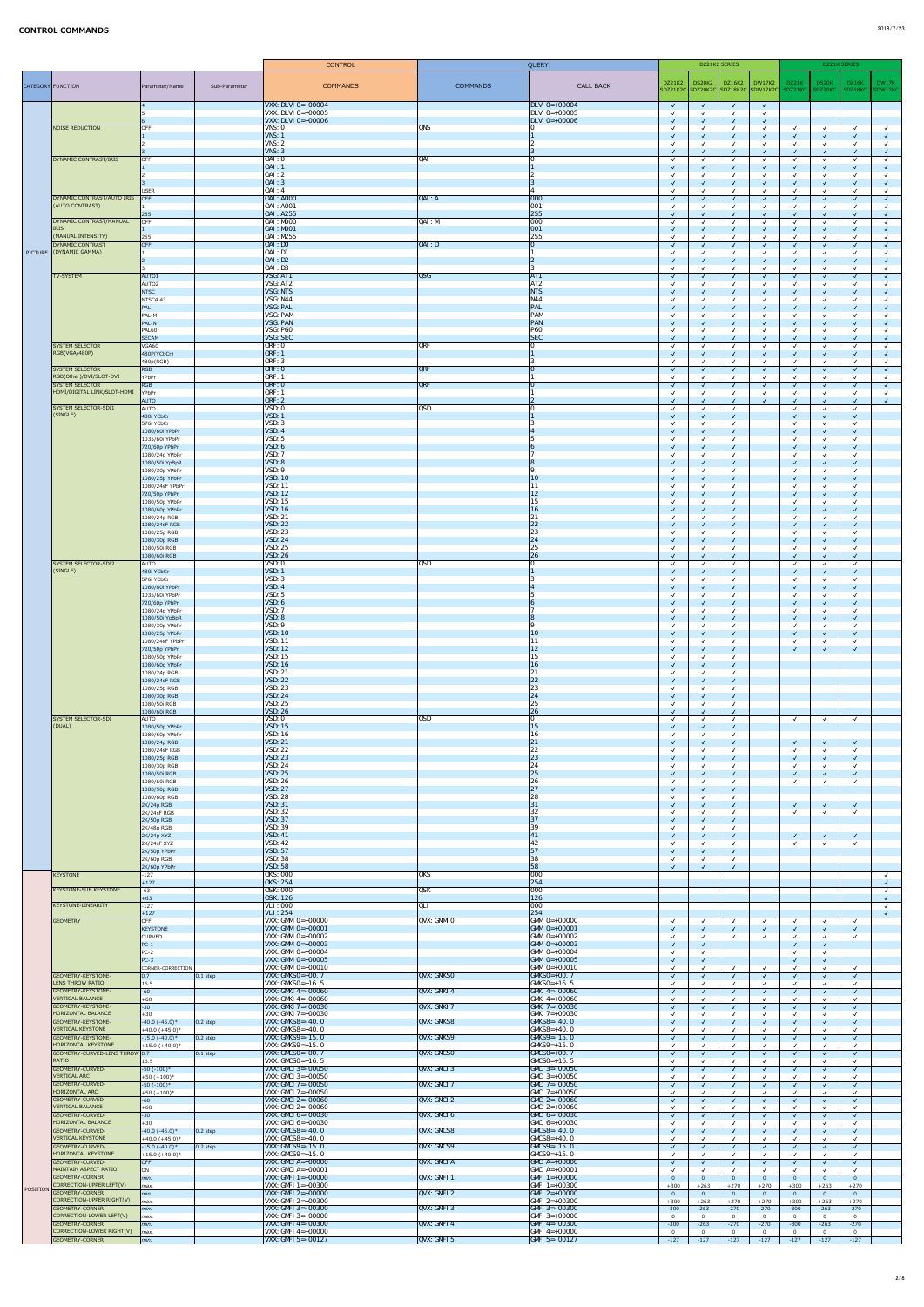|                   |                                                     | <b>CONTROL</b>                          |               | QUERY                                                    |                              | DZ21K2 SERIES                                                |                          |                  |                              | DZ21K SERIES                                |                                         |                              |                          |              |
|-------------------|-----------------------------------------------------|-----------------------------------------|---------------|----------------------------------------------------------|------------------------------|--------------------------------------------------------------|--------------------------|------------------|------------------------------|---------------------------------------------|-----------------------------------------|------------------------------|--------------------------|--------------|
|                   |                                                     |                                         |               |                                                          |                              |                                                              | <b>DZ21K2</b>            | <b>DS20K2</b>    | DZ16K2                       | DW17K2                                      | DZ21K                                   | DS20K                        | DZ16K                    | DW17K        |
| CATEGORY FUNCTION |                                                     | Parameter/Name                          | Sub-Parameter | <b>COMMANDS</b>                                          | <b>COMMANDS</b>              | <b>CALL BACK</b>                                             |                          |                  |                              | SDZ21K2C SDZ20K2C SDZ18K2C SDW17K2C SDZ21KC |                                         | SDZ20KC                      | SDZ18KC                  | SDW17KC      |
|                   |                                                     |                                         |               | <b>VXX: DLVI 0=+00004</b>                                |                              | $DLVI$ 0=+00004                                              | $\sqrt{ }$               | $\sqrt{ }$       | $\sqrt{ }$                   | $\sqrt{ }$                                  |                                         |                              |                          |              |
|                   |                                                     |                                         |               | <b>VXX: DLVI 0=+00005</b><br><b>VXX: DLVI 0=+00006</b>   |                              | $\overline{\text{DLVI 0} \text{=+00005}}$<br>$DLVI$ 0=+00006 |                          |                  | $\checkmark$                 |                                             |                                         |                              |                          |              |
|                   | NOISE REDUCTION                                     | OFF                                     |               | VNS: 0                                                   | QNS                          |                                                              |                          |                  |                              |                                             |                                         | $\checkmark$                 |                          |              |
|                   |                                                     |                                         |               | <b>VNS: 1</b><br>$V$ <sub>NS</sub> : $2$                 |                              |                                                              |                          |                  | $\checkmark$                 |                                             | ्√                                      | $\sqrt{ }$                   |                          |              |
|                   |                                                     |                                         |               | VNS: 3                                                   |                              |                                                              |                          |                  | $\sqrt{ }$                   |                                             | ⊸√                                      | $\sqrt{2}$                   |                          |              |
|                   | DYNAMIC CONTRAST/IRIS                               | OFF                                     |               | $0$ AI : 0<br>OAI:1                                      | QAI                          |                                                              |                          |                  | $\checkmark$<br>$\sqrt{ }$   |                                             | び<br>⊸                                  | $\sqrt{ }$                   |                          |              |
|                   |                                                     |                                         |               | 0AI:2                                                    |                              |                                                              |                          |                  |                              |                                             |                                         |                              |                          |              |
|                   |                                                     | USER                                    |               | 0AI:3 <br><b>OAI</b> : 4                                 |                              |                                                              |                          |                  | $\checkmark$<br>$\checkmark$ |                                             | ⊸√<br>び                                 | $\checkmark$                 |                          |              |
|                   | DYNAMIC CONTRAST/AUTO IRIS<br>(AUTO CONTRAST)       | $\overline{O}$ OFF                      |               | <b>OAI</b> : A000<br><b>OAI</b> : A001                   | QAI: A                       | $\boxed{000}$<br> 001                                        |                          |                  | $\sqrt{ }$                   |                                             | ⊸√                                      | $\sqrt{ }$                   |                          |              |
|                   |                                                     | 255                                     |               | 0AI: A255                                                |                              | 255                                                          |                          |                  | $\checkmark$                 |                                             | ्√                                      |                              |                          |              |
|                   | DYNAMIC CONTRAST/MANUAL<br><b>IRIS</b>              | OFF                                     |               | $0$ AI : MOOO<br> 0AI: M001                              | QAI: M                       | $\overline{1000}$<br> 001                                    |                          |                  | $\checkmark$<br>$\checkmark$ |                                             | ⊸                                       | $\sqrt{ }$                   |                          |              |
|                   | (MANUAL INTENSITY)                                  | 255                                     |               | <b>OAI</b> : M255                                        |                              | 255                                                          |                          |                  |                              |                                             |                                         | $\checkmark$                 |                          |              |
|                   | DYNAMIC CONTRAST<br>PICTURE (DYNAMIC GAMMA)         | OFF                                     |               | OAI:DO<br>OAI: D1                                        | QAI: D                       | 10                                                           |                          |                  | $\sqrt{ }$                   |                                             | ⊸√                                      | $\sqrt{ }$                   |                          |              |
|                   |                                                     |                                         |               | OAI: D2<br>OAI: D3                                       |                              |                                                              |                          |                  | $\checkmark$                 |                                             | ⊸√                                      |                              |                          |              |
|                   | TV-SYSTEM                                           | AUTO <sub>1</sub>                       |               | VSG: AT1                                                 | $\overline{QSG}$             | AT1                                                          | $\sqrt{ }$               |                  | $\checkmark$<br>$\sqrt{ }$   |                                             | ⊸<br>⊸√                                 | $\sqrt{2}$                   |                          | $\checkmark$ |
|                   |                                                     | AUTO <sub>2</sub><br>NTSC               |               | VSG: AT2<br><b>VSG: NTS</b>                              |                              | AT <sub>2</sub><br><b>NTS</b>                                |                          |                  | $\checkmark$                 |                                             |                                         |                              |                          |              |
|                   |                                                     | NTSC4.43                                |               | <b>VSG: N44</b>                                          |                              | N44                                                          |                          |                  |                              |                                             |                                         |                              |                          |              |
|                   |                                                     | $\overline{PAL}$<br>PAL-M               |               | <b>VSG: PAL</b><br><b>VSG: PAM</b>                       |                              | PAL<br><b>PAM</b>                                            |                          |                  | $\sqrt{ }$                   |                                             | $\overline{\mathsf{v}}$                 | $\sqrt{ }$                   |                          |              |
|                   |                                                     | $PAL-N$                                 |               | <b>VSG: PAN</b>                                          |                              | $\overline{PAN}$<br><b>P60</b>                               |                          |                  | $\sqrt{2}$                   |                                             | —√                                      | $\sqrt{2}$                   |                          |              |
|                   |                                                     | PAL60<br><b>SECAM</b>                   |               | <b>VSG: P60</b><br><b>VSG: SEC</b>                       |                              | SEC                                                          |                          |                  | $\checkmark$<br>$\sqrt{2}$   |                                             | び                                       | $\sqrt{ }$                   |                          | $\checkmark$ |
|                   | <b>SYSTEM SELECTOR</b><br>RGB(VGA/480P)             | VGA60<br>480P(YCbCr)                    |               | ORF: 0<br>ORF: 1                                         | QRF                          |                                                              |                          |                  | $\checkmark$<br>$\sqrt{ }$   |                                             |                                         | $\checkmark$<br>$\sqrt{ }$   |                          |              |
|                   |                                                     | 480p(RGB)                               |               | ORF: 3                                                   |                              |                                                              |                          |                  | $\checkmark$                 |                                             |                                         | $\checkmark$                 |                          |              |
|                   | <b>SYSTEM SELECTOR</b><br>RGB(Other)/DVI/SLOT-DVI   | RGB<br>YPbPr                            |               | ORF: 0<br><b>ORF: 1</b>                                  | <b>QRF</b>                   |                                                              | $\sqrt{ }$               |                  | $\sqrt{ }$<br>$\checkmark$   |                                             | $\overline{\mathsf{v}}$<br>$\checkmark$ | $\sqrt{ }$                   |                          |              |
|                   | <b>SYSTEM SELECTOR</b>                              | RGB                                     |               | ORF: 0                                                   | <b>QRF</b>                   |                                                              | $\sqrt{ }$               |                  | $\sqrt{ }$                   |                                             | ्√                                      | $\sqrt{2}$                   |                          |              |
|                   | HDMI/DIGITAL LINK/SLOT-HDMI                         | YPbPr<br>AUTO                           |               | <b>ORF: 1</b><br>ORF: 2                                  |                              |                                                              |                          |                  | $\checkmark$<br>$\checkmark$ |                                             | $\overline{\mathsf{v}}$                 | $\checkmark$                 |                          |              |
|                   | SYSTEM SELECTOR-SDI1<br>(SINGLE)                    | AUTO                                    |               | VSD: 0                                                   | $\overline{\text{QSD}}$      |                                                              |                          |                  | $\checkmark$                 |                                             |                                         | $\checkmark$                 |                          |              |
|                   |                                                     | 480i YCbCr<br>576i YCbCr                |               | VSD: 1<br>VSD: 3                                         |                              |                                                              |                          |                  | $\sqrt{ }$<br>$\checkmark$   |                                             | $\overline{\mathsf{v}}$                 | $\sqrt{ }$                   |                          |              |
|                   |                                                     | 1080/60i YPbPr<br>1035/60i YPbPr        |               | VSD: 4<br>VSD: 5                                         |                              |                                                              | $\sqrt{2}$               |                  | $\sqrt{2}$<br>$\checkmark$   |                                             | —√                                      | $\checkmark$                 | $\sqrt{ }$               |              |
|                   |                                                     | 720/60p YPbPr                           |               | VSD: 6                                                   |                              |                                                              |                          |                  | $\sqrt{ }$                   |                                             | ⊸√                                      | $\checkmark$                 |                          |              |
|                   |                                                     | 1080/24p YPbPr<br>1080/50i YpBpR        |               | VSD: 7<br>VSD: 8                                         |                              |                                                              |                          |                  | $\checkmark$<br>$\checkmark$ |                                             | $\overline{\mathsf{v}}$                 | $\checkmark$<br>$\checkmark$ |                          |              |
|                   |                                                     | 1080/30p YPbPr                          |               | VSD: 9                                                   |                              |                                                              |                          |                  | $\checkmark$                 |                                             |                                         | $\checkmark$                 |                          |              |
|                   |                                                     | 1080/25p YPbPr<br>1080/24sF YPbPr       |               | VSD: 10<br>VSD: 11                                       |                              | 10<br>11                                                     |                          |                  | $\checkmark$<br>$\checkmark$ |                                             | ⊸√                                      | $\checkmark$<br>$\checkmark$ |                          |              |
|                   |                                                     | 720/50p YPbPr<br>1080/50p YPbPr         |               | VSD: 12<br><b>VSD: 15</b>                                |                              | 12 <br>15                                                    |                          |                  | $\checkmark$<br>$\checkmark$ |                                             | $\overline{\mathsf{v}}$                 | $\sqrt{2}$                   |                          |              |
|                   |                                                     | 1080/60p YPbPr                          |               | VSD: 16                                                  |                              | 16                                                           |                          |                  | $\sqrt{2}$                   |                                             | $\overline{\mathsf{v}}$                 | $\checkmark$                 |                          |              |
|                   |                                                     | 1080/24p RGB<br>1080/24sF RGB           |               | <b>VSD: 21</b><br>VSD: 22                                |                              | 21<br>22                                                     |                          |                  | $\checkmark$<br>$\sqrt{ }$   |                                             |                                         | $\checkmark$<br>$\sqrt{ }$   |                          |              |
|                   |                                                     | 1080/25p RGB                            |               | <b>VSD: 23</b>                                           |                              | 23                                                           |                          |                  | $\checkmark$                 |                                             |                                         |                              |                          |              |
|                   |                                                     | 1080/30p RGB<br>1080/50i RGB            |               | <b>VSD: 24</b><br><b>VSD: 25</b>                         |                              | 24<br>25                                                     |                          |                  | $\checkmark$                 |                                             |                                         |                              |                          |              |
|                   | SYSTEM SELECTOR-SDI2                                | 1080/60i RGB                            |               | VSD: 26<br>VSD: 0                                        | <b>QSD</b>                   | 26                                                           |                          |                  | $\sqrt{ }$                   |                                             | $\blacktriangledown$                    | $\sqrt{ }$                   |                          |              |
|                   | (SINGLE)                                            | AUTO<br>480i YCbCr                      |               | VSD: 1                                                   |                              |                                                              |                          |                  | $\checkmark$<br>$\checkmark$ |                                             | ⊸√                                      |                              |                          |              |
|                   |                                                     | 576i YCbCr<br>1080/60i YPbPr            |               | VSD: 3<br>VSD: 4                                         |                              |                                                              |                          |                  | $\checkmark$<br>$\checkmark$ |                                             | ⊸√                                      | $\checkmark$                 |                          |              |
|                   |                                                     | 1035/60i YPbPr                          |               | VSD: 5                                                   |                              |                                                              |                          |                  | $\checkmark$                 |                                             |                                         |                              |                          |              |
|                   |                                                     | 720/60p YPbPr<br>1080/24p YPbPr         |               | VSD: 6<br>VSD: 7                                         |                              |                                                              | $\overline{J}$           |                  | $\checkmark$<br>$\checkmark$ |                                             | √                                       | $\sqrt{2}$<br>$\checkmark$   |                          |              |
|                   |                                                     | 1080/50i YpBpR                          |               | VSD: 8                                                   |                              |                                                              |                          |                  | $\sqrt{2}$                   |                                             | $\overline{\mathsf{v}}$                 | $\sqrt{ }$                   |                          |              |
|                   |                                                     | 1080/30p YPbPr<br>1080/25p YPbPr        |               | <b>VSD: 9</b><br><b>VSD: 10</b>                          |                              | 10                                                           |                          |                  | $\checkmark$<br>$\sqrt{ }$   |                                             | $\overline{\mathsf{v}}$                 | $\checkmark$                 |                          |              |
|                   |                                                     | 1080/24sF YPbPr<br>720/50p YPbPr        |               | <b>VSD: 11</b><br>VSD: 12                                |                              | 11<br>12                                                     |                          |                  | $\checkmark$<br>$\checkmark$ |                                             | $\checkmark$                            | $\sqrt{2}$                   |                          |              |
|                   |                                                     | 1080/50p YPbPr                          |               | <b>VSD: 15</b>                                           |                              | 15                                                           |                          |                  | $\checkmark$                 |                                             |                                         |                              |                          |              |
|                   |                                                     | 1080/60p YPbPr<br>1080/24p RGB          |               | <b>VSD: 16</b><br><b>VSD: 21</b>                         |                              | <b>16</b><br>21                                              | $\sqrt{ }$               |                  | $\checkmark$<br>$\checkmark$ |                                             |                                         |                              |                          |              |
|                   |                                                     | 1080/24sF RGB                           |               | <b>VSD: 22</b>                                           |                              | 22                                                           |                          |                  | $\checkmark$                 |                                             |                                         |                              |                          |              |
|                   |                                                     | 1080/25p RGB<br>1080/30p RGB            |               | <b>VSD: 23</b><br>VSD: 24                                |                              | 23<br> 24                                                    |                          |                  | $\checkmark$<br>$\sqrt{2}$   |                                             |                                         |                              |                          |              |
|                   |                                                     | 1080/50i RGB<br>1080/60i RGB            |               | <b>VSD: 25</b><br>VSD: 26                                |                              | 25<br>26                                                     | $\sqrt{ }$               |                  | $\checkmark$                 |                                             |                                         |                              |                          |              |
|                   | SYSTEM SELECTOR-SDI                                 | AUTO                                    |               | VSD: 0                                                   | $\overline{\text{QSD}}$      |                                                              |                          |                  | $\sqrt{2}$<br>$\checkmark$   |                                             | $\sqrt{ }$                              | $\checkmark$                 | $\sqrt{ }$               |              |
|                   | (DUAL)                                              | 1080/50p YPbPr<br>1080/60p YPbPr        |               | <b>VSD: 15</b><br><b>VSD: 16</b>                         |                              | <b>15</b><br>16                                              |                          |                  | $\sqrt{ }$<br>$\checkmark$   |                                             |                                         |                              |                          |              |
|                   |                                                     | 1080/24p RGB                            |               | VSD: 21                                                  |                              | 21                                                           |                          |                  | $\checkmark$                 |                                             | ्√                                      | $\checkmark$                 | $\sqrt{ }$               |              |
|                   |                                                     | 1080/24sF RGB<br>1080/25p RGB           |               | <b>VSD: 22</b><br>VSD: 23                                |                              | 22<br> 23                                                    |                          |                  | $\checkmark$<br>$\checkmark$ |                                             | $\overline{\mathsf{v}}$                 | $\sqrt{2}$                   | $\overline{\mathcal{A}}$ |              |
|                   |                                                     | 1080/30p RGB<br>1080/50i RGB            |               | <b>VSD: 24</b><br>VSD: 25                                |                              | 24<br>25                                                     |                          |                  | $\checkmark$                 |                                             |                                         |                              |                          |              |
|                   |                                                     | 1080/60i RGB                            |               | VSD: 26                                                  |                              | 26                                                           |                          |                  | $\checkmark$<br>$\checkmark$ |                                             | $\overline{\mathsf{v}}$                 | $\sqrt{2}$<br>$\checkmark$   |                          |              |
|                   |                                                     | 1080/50p RGB<br>1080/60p RGB            |               | <b>VSD: 27</b><br><b>VSD: 28</b>                         |                              | 27<br>28                                                     |                          |                  | $\sqrt{2}$                   |                                             |                                         |                              |                          |              |
|                   |                                                     | $2K/24p$ RGB                            |               | <b>VSD: 31</b>                                           |                              | 31                                                           |                          |                  | $\sqrt{ }$                   |                                             | ⊸√                                      | $\sqrt{ }$                   |                          |              |
|                   |                                                     | $2K/24$ sF RGB<br>$2K/50p$ RGB          |               | <b>VSD: 32</b><br><b>VSD: 37</b>                         |                              | 32<br>37                                                     |                          |                  | $\checkmark$<br>$\sqrt{ }$   |                                             |                                         |                              |                          |              |
|                   |                                                     | $2K/48p$ RGB                            |               | <b>VSD: 39</b><br>VSD: 41                                |                              | 41                                                           |                          |                  | $\checkmark$                 |                                             |                                         |                              |                          |              |
|                   |                                                     | $2K/24p$ XYZ<br>2K/24sF XYZ             |               | <b>VSD: 42</b>                                           |                              | 42                                                           |                          |                  | $\sqrt{ }$<br>$\checkmark$   |                                             | ⊸√                                      | $\checkmark$                 | $\sqrt{ }$               |              |
|                   |                                                     | $2K/50p$ YPbPr<br>$2K/60p$ RGB          |               | <b>VSD: 57</b><br><b>VSD: 38</b>                         |                              | 57<br>38                                                     |                          |                  | $\checkmark$<br>$\checkmark$ |                                             |                                         |                              |                          |              |
|                   |                                                     | 2K/60p YPbPr                            |               | VSD: 58                                                  |                              | 58                                                           |                          |                  | $\sqrt{ }$                   |                                             |                                         |                              |                          |              |
|                   | <b>KEYSTONE</b>                                     | $-127$<br>$+127$                        |               | <b>OKS: 000</b><br><b>OKS: 254</b>                       | QKS                          | $\overline{000}$<br>254                                      |                          |                  |                              |                                             |                                         |                              |                          |              |
|                   | <b>KEYSTONE-SUB KEYSTONE</b>                        | $-63$<br>$+63$                          |               | <b>OSK: 000</b><br><b>OSK: 126</b>                       | <b>QSK</b>                   | 000 <br><b>126</b>                                           |                          |                  |                              |                                             |                                         |                              |                          |              |
|                   | <b>KEYSTONE-LINEARITY</b>                           | $-127$                                  |               | <b>VLI</b> : 000                                         | QLI                          | 000                                                          |                          |                  |                              |                                             |                                         |                              |                          |              |
|                   | <b>GEOMETRY</b>                                     | $+127$<br>OFF                           |               | <b>VLI</b> : 254<br>VXX: GMMI $0=+00000$                 | QVX: GMMI O                  | 254<br>$GMM = +00000$                                        |                          |                  | $\checkmark$                 |                                             |                                         | $\checkmark$                 |                          |              |
|                   |                                                     | KEYSTONE                                |               | <b>VXX: GMMI 0=+00001</b><br><b>VXX: GMMI 0=+00002</b>   |                              | $\textsf{GMMI 0=+00001}$<br>$GMM = +00002$                   |                          |                  | $\sqrt{ }$                   |                                             | ⊸√                                      | $\sqrt{ }$                   |                          |              |
|                   |                                                     | <b>CURVED</b><br>$PC-1$                 |               | VXX: GMMI $0=+00003$                                     |                              | <b>GMMI</b> $0=+00003$                                       | $\sqrt{ }$               |                  | $\checkmark$                 |                                             | ⊸√                                      | $\checkmark$<br>$\checkmark$ |                          |              |
|                   |                                                     | $PC-2$<br>$PC-3$                        |               | <b>VXX: GMMI 0=+00004</b><br>VXX: GMMI $0=+00005$        |                              | <b>GMMI</b> $0=+00004$<br><b>GMMI</b> $0=+00005$             |                          |                  |                              |                                             | ⊸√                                      | $\sqrt{ }$                   |                          |              |
|                   |                                                     | CORNER-CORRECTION                       |               | VXX: GMMI $0=+00010$                                     |                              | $GMM = +00010$                                               |                          |                  | $\checkmark$                 |                                             |                                         | $\checkmark$                 |                          |              |
|                   | GEOMETRY-KEYSTONE-<br>LENS THROW RATIO              | 0.7 <br>16.5                            | $ 0.1$ step   | <b>VXX: GMKS0=+00. 7</b><br><b>VXX: GMKS0</b> =+16. 5    | <b>QVX: GMKSO</b>            | $GMSO=+00.7$<br>$GMKSO=+16.5$                                | $\sqrt{ }$               |                  | $\sqrt{ }$                   |                                             | ⊸√                                      | $\sqrt{2}$                   |                          |              |
|                   | GEOMETRY-KEYSTONE-                                  | $-60$                                   |               | VXX: GMKI 4=- 00060                                      | $\sqrt{\text{QV}}$ : GMKI 4  | $\textsf{GMKI}$ 4=-00060                                     | $\sqrt{2}$               |                  | $\sqrt{ }$                   |                                             | ⊸√                                      | $\sqrt{2}$                   |                          |              |
|                   | <b>VERTICAL BALANCE</b><br>GEOMETRY-KEYSTONE-       | $+60$<br>$-30$                          |               | <b>VXX: GMKI</b> $4=+00060$<br><b>VXX: GMKI 7=-00030</b> | QVX: GMKI 7                  | $GMKI$ 4=+00060<br>$GML 7 = -00030$                          |                          |                  | $\sqrt{ }$                   |                                             | ⊸√                                      | $\sqrt{2}$                   |                          |              |
|                   | <b>HORIZONTAL BALANCE</b><br>GEOMETRY-KEYSTONE-     | $+30$<br>$-40.0(-45.0)*$                | $ 0.2$ step   | VXX: GMKI $7=+00030$<br><b>VXX: GMKS8=-40.0</b>          | QVX: GMKS8                   | $GMKI$ 7=+00030<br>$GMS8 = -40.0$                            |                          |                  | $\checkmark$<br>$\sqrt{ }$   |                                             |                                         | $\checkmark$<br>$\sqrt{2}$   |                          |              |
|                   | <b>VERTICAL KEYSTONE</b>                            | $+40.0 (+45.0)^*$                       |               | VXX: $GMKSS = +40.0$                                     |                              | $GMKSS = +40.0$                                              |                          |                  |                              |                                             |                                         |                              |                          |              |
|                   | GEOMETRY-KEYSTONE-<br>HORIZONTAL KEYSTONE           | $-15.0$ $(-40.0)*$<br>$+15.0 (+40.0)^*$ | $ 0.2$ step   | <b>VXX: GMKS9=-15.0</b><br>$VXX: GMKS9=+15.0$            | QVX: GMKS9                   | $GMS9 = -15.0$<br>$GMS9=+15.0$                               | $\checkmark$             |                  | $\sqrt{ }$<br>$\checkmark$   | $\checkmark$                                | √                                       | $\sqrt{ }$<br>$\checkmark$   | $\sqrt{ }$               |              |
|                   | GEOMETRY-CURVED-LENS THROW 0.7<br>RATIO             |                                         | $ 0.1$ step   | VXX: $GMCSO=+00.7$<br><b>VXX:</b> GMCS0=+16. 5           | $QVX:$ GMCSO                 | $GMCSO=+00.7$<br>$GMCSO=+16.5$                               | $\sqrt{ }$               |                  | $\sqrt{ }$                   |                                             |                                         | $\sqrt{2}$                   |                          |              |
|                   | <b>GEOMETRY-CURVED-</b>                             | 16.5<br>$-50 (-100)^*$                  |               | <b>VXX: GMCI 3=- 00050</b>                               | $\overline{QVX}$ : GMCI 3    | $GMCI$ 3=-00050                                              |                          |                  | $\sqrt{ }$                   |                                             | —√                                      | $\sqrt{2}$                   |                          |              |
|                   | <b>VERTICAL ARC</b><br>GEOMETRY-CURVED-             | $+50 (+100)^*$<br>$-50 (-100)^*$        |               | VXX: GMCI $3=+00050$<br><b>VXX: GMCI 7=-00050</b>        | QVX: GMCI 7                  | $GMCI$ 3=+00050<br>$GMCI$ 7=-00050                           | $\sqrt{ }$               |                  | $\checkmark$<br>$\sqrt{ }$   |                                             |                                         | $\sqrt{2}$                   |                          |              |
|                   | HORIZONTAL ARC                                      | $+50 (+100)^*$                          |               | VXX: GMCI $7=+00050$                                     |                              | $GMCI 7=+00050$                                              |                          |                  |                              |                                             |                                         |                              |                          |              |
|                   | <b>GEOMETRY-CURVED-</b><br><b>VERTICAL BALANCE</b>  | $\vert$ -60<br>$+60$                    |               | $\vert$ VXX: GMCI 2=- 00060<br>VXX: GMCI $2=+00060$      | $\sqrt{\text{QVX}}$ : GMCI 2 | $ GMCI2 = -00060 $<br>$GMCI$ 2=+00060                        | $\sqrt{ }$               |                  | $\sqrt{ }$<br>$\checkmark$   |                                             |                                         | $\sqrt{2}$                   | $\overline{\mathcal{A}}$ |              |
|                   | GEOMETRY-CURVED-<br><b>HORIZONTAL BALANCE</b>       | $\vert$ -30<br>$+30$                    |               | <b>VXX: GMCI 6=-00030</b><br><b>VXX: GMCI 6=+00030</b>   | $\sqrt{\text{QVX}}$ : GMCI 6 | $GMCI$ 6=-00030<br>$GMCI 6=+00030$                           | $\sqrt{ }$               |                  | $\sqrt{ }$                   |                                             | ⊸√                                      | $\sqrt{2}$                   |                          |              |
|                   | <b>GEOMETRY-CURVED-</b>                             | $-40.0(-45.0)*$                         | $ 0.2$ step   | <b>VXX: GMCS8=-40. 0</b>                                 | QVX: GMCS8                   | $GMCS8 = -40.0$                                              |                          |                  | $\sqrt{ }$                   |                                             |                                         | $\checkmark$                 |                          |              |
|                   | <b>VERTICAL KEYSTONE</b><br><b>GEOMETRY-CURVED-</b> | $+40.0 (+45.0)^*$<br>$-15.0$ $(-40.0)*$ | $ 0.2$ step   | $VXX:$ GMCS8=+40. 0<br><b>VXX: GMCS9=-15.0</b>           | QVX: GMCS9                   | $GMCS8=+40.0$<br>$ GMCS9=-15.0$                              | $\sqrt{ }$               |                  | $\checkmark$<br>$\sqrt{ }$   |                                             |                                         | $\checkmark$<br>$\sqrt{2}$   |                          |              |
|                   | <b>HORIZONTAL KEYSTONE</b>                          | $+15.0 (+40.0)^*$                       |               | VXX: $GMCS9=+15.0$<br>$VXX: GMCI A=+00000$               |                              | $GMCS9=+15.0$                                                |                          |                  |                              |                                             |                                         |                              |                          |              |
|                   | GEOMETRY-CURVED-<br>MAINTAIN ASPECT RATIO           | OFF<br>ON                               |               | $\vert$ VXX: GMCI A=+00001                               | $\vert$ QVX: GMCIA           | $GMCI$ A=+00000<br>$GMCI$ A=+00001                           | $\sqrt{ }$               |                  | $\sqrt{ }$                   |                                             |                                         | $\sqrt{2}$                   |                          |              |
|                   | GEOMETRY-CORNER<br>CORRECTION-UPPER LEFT(V)         | $\mid$ min.<br>max.                     |               | VXX: GMFI $1 = +00000$<br><b>VXX: GMFI</b> $1 = +00300$  | QVX: GMFI 1                  | <b>GMFI</b> $1=+00000$<br>$GMFI$ 1=+00300                    | $\overline{0}$<br>$+300$ | $+263$           | $\overline{0}$<br>$+270$     | $+270$                                      | - 0<br>$+300$                           | $\overline{0}$<br>$+263$     | - 0<br>$+270$            |              |
| POSITION          | GEOMETRY-CORNER                                     | min.                                    |               | $VXX: GMFI 2=+00000$                                     | $\sqrt{\text{QV}}$ : GMFI 2  | $\text{GMFI}$ 2=+00000                                       | $\overline{0}$           |                  | $\overline{0}$               |                                             | - 0                                     | $\overline{0}$               | $\overline{0}$           |              |
|                   | CORRECTION-UPPER RIGHT(V)<br><b>GEOMETRY-CORNER</b> | max.<br>min.                            |               | VXX: GMFI $2=+00300$<br><b>VXX: GMFI 3=-00300</b>        | $\sqrt{\text{QV}}$ : GMFI 3  | $GHFI 2=+00300$<br>$GMT$ 3=-00300                            | $+300$<br>$-300$         | $+263$<br>$-263$ | $+270$<br>$-270$             | $+270$<br>$-270$                            | $+300$<br>$-300$                        | $+263$<br>$-263$             | $+270$<br>$-270$         |              |
|                   | CORRECTION-LOWER LEFT(V)<br><b>GEOMETRY-CORNER</b>  | max.                                    |               | <b>VXX: GMFI</b> $3=+00000$<br>VXX: GMFI 4=- $00300$     |                              | $GMFI$ 3=+00000<br>$GMFI$ 4=-00300                           | $\overline{0}$           |                  | $\overline{0}$               |                                             | 0                                       | $\mathbf 0$                  | $\overline{0}$           |              |
|                   | CORRECTION-LOWER RIGHT(V)                           | min.<br>max.                            |               | <b>VXX: GMFI</b> $4=+00000$                              | $\sqrt{\text{QV}}$ : GMFI 4  | $GMFI$ 4=+00000                                              | $-300$<br>$\Omega$       | $-263$           | $-270$<br>$\overline{0}$     | $-270$                                      | $-300$<br>$\Omega$                      | $-263$<br>$\Omega$           | $-270$<br>- 0            |              |
|                   | <b>GEOMETRY-CORNER</b>                              | $\mid$ min.                             |               | <b>VXX: GMFI 5=-00127</b>                                | QVX: GMFI 5                  | $GMFI$ 5=-00127                                              | $-127$                   | $-127$           | $-127$                       | $-127$                                      | $-127$                                  | $-127$                       | $-127$                   |              |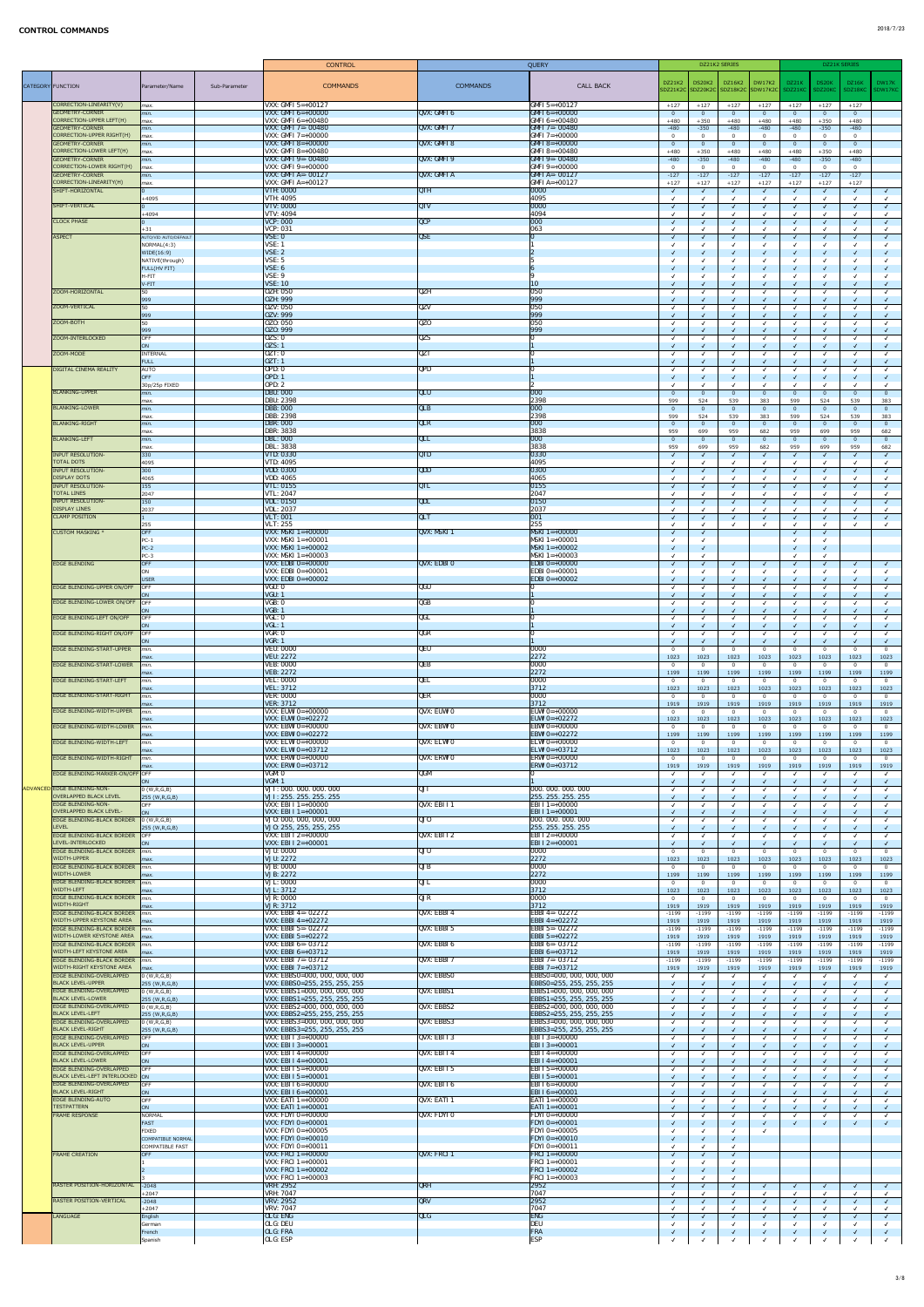|                   |                                                                       |                                                                           | <b>CONTROL</b>                                                 |                   | QUERY                                                |                                            | DZ21K2 SERIES          |                                    |                 | DZ21K SERIES                   |                 |                        |
|-------------------|-----------------------------------------------------------------------|---------------------------------------------------------------------------|----------------------------------------------------------------|-------------------|------------------------------------------------------|--------------------------------------------|------------------------|------------------------------------|-----------------|--------------------------------|-----------------|------------------------|
|                   |                                                                       |                                                                           |                                                                |                   |                                                      | DZ21K2                                     | DS20K2 DZ16K2          | <b>DW17K2</b>                      | DZ21K           | DS20K                          | DZ16K           | DW17K                  |
| CATEGORY FUNCTION |                                                                       | Sub-Parameter<br>Parameter/Name                                           | <b>COMMANDS</b>                                                | <b>COMMANDS</b>   | <b>CALL BACK</b>                                     | SDZ21K2C SDZ20K2C SDZ18K2C SDW17K2C        |                        |                                    | SDZ21KC         | SDZ20KC                        | SDZ18KC         | SDW17KC                |
|                   | CORRECTION-LINEARITY(V)                                               | $\vert$ <i>max.</i>                                                       | VXX: GMFI $5=+00127$                                           |                   | $GMFI$ 5=+00127                                      | $+127$<br>$+127$                           | $+127$                 | $+127$                             | $+127$          | $+127$                         | $+127$          |                        |
|                   | <b>GEOMETRY-CORNER</b><br>CORRECTION-UPPER LEFT(H)                    | $\mid$ min.                                                               | VXX: GMFI $6=+00000$<br>VXX: GMFI $6=+00480$                   | QVX: GMFI 6       | $GMFI 6=+00000$<br>$GMFI 6=+00480$                   | $\Omega$<br>$+480$<br>$+350$               | - 0<br>$+480$          | $\overline{0}$<br>$+480$           | $+480$          | $\overline{0}$<br>$+350$       | $+480$          |                        |
|                   | <b>GEOMETRY-CORNER</b>                                                | max.<br>min.                                                              | VXX: GMFI 7=-00480                                             | QVX: GMFI 7       | $GMT = -00480$                                       | $-480$<br>$-350$                           | $-480$                 | $-480$                             | $-480$          | $-350$                         | $-480$          |                        |
|                   | CORRECTION-UPPER RIGHT(H)<br>GEOMETRY-CORNER                          | max.<br>$\mid$ min.                                                       | VXX: GMFI $7=+00000$<br>VXX: GMFI 8=+00000                     | QVX: GMFI 8       | $GMFI 7=+00000$<br>$GMFI 8=+00000$                   | $\cap$<br>$\Omega$                         | - 0                    | $\Omega$                           |                 | $\mathbf 0$<br>$\overline{0}$  | $\Omega$        |                        |
|                   | CORRECTION-LOWER LEFT(H)                                              | max.                                                                      | VXX: GMFI 8= $+00480$                                          |                   | $GMFI 8=+00480$                                      | $+480$<br>$+350$                           | $+480$                 | $+480$                             | $+480$          | $+350$                         | $+480$          |                        |
|                   | <b>GEOMETRY-CORNER</b><br>CORRECTION-LOWER RIGHT(H)                   | min.<br>max.                                                              | VXX: GMFI 9=-00480<br>VXX: GMFI $9=+00000$                     | QVX: GMFI 9       | $GMFI9 = -00480$<br>$GMFI 9=+00000$                  | $-480$<br>$-350$                           | $-480$<br>$\cap$       | $-480$                             | $-480$          | $-350$<br>$\overline{0}$       | $-480$          |                        |
|                   | <b>GEOMETRY-CORNER</b><br>CORRECTION-LINEARITY(H)                     | min.                                                                      | <b>VXX: GMFI A=- 00127</b><br>VXX: GMFI A= $+00127$            | QVX: GMFIA        | $GMFI A = -00127$                                    | $-127$<br>$-127$                           | $-127$                 | $-127$                             | $-127$          | $-127$                         | $-127$          |                        |
|                   | SHIFT-HORIZONTAL                                                      | $\vert$ <i>max.</i>                                                       | <b>VTH: 0000</b>                                               | <b>QTH</b>        | $GMFI A=+00127$<br> 0000                             | $+127$<br>$+127$<br>$\sqrt{ }$             | $+127$                 | $+127$<br>$\overline{\mathcal{A}}$ | $+127$          | $+127$<br>$\checkmark$         | $+127$          |                        |
|                   | SHIFT-VERTICAL                                                        | $+4095$                                                                   | <b>VTH: 4095</b><br><b>VTV: 0000</b>                           | <b>QTV</b>        | 4095<br> 0000                                        |                                            |                        |                                    |                 | $\checkmark$<br>$\checkmark$   |                 |                        |
|                   |                                                                       | $+4094$                                                                   | <b>VTV: 4094</b>                                               |                   | 4094                                                 |                                            |                        |                                    |                 | $\checkmark$                   |                 |                        |
|                   | <b>CLOCK PHASE</b>                                                    | $+31$                                                                     | <b>VCP: 000</b><br><b>VCP</b> : 031                            | QCP               | 000<br>063                                           | $\sqrt{ }$                                 |                        |                                    |                 | $\sqrt{ }$<br>$\checkmark$     |                 |                        |
|                   | <b>ASPECT</b>                                                         | AUTO/VID AUTO/DEFAULT                                                     | VSE: 0                                                         | <b>QSE</b>        | $\Omega$                                             | $\sqrt{ }$                                 |                        | $\sqrt{ }$                         |                 | $\sqrt{ }$                     |                 |                        |
|                   |                                                                       | NORMAL(4:3)<br>WIDE(16:9)                                                 | VSE: 1<br><b>VSE: 2</b>                                        |                   |                                                      |                                            |                        |                                    |                 | √<br>$\sqrt{ }$                |                 |                        |
|                   |                                                                       | NATIVE(through)<br>FULL(HV FIT)                                           | VSE: 5<br><b>VSE: 6</b>                                        |                   |                                                      |                                            |                        |                                    |                 | $\checkmark$<br>$\checkmark$   |                 |                        |
|                   |                                                                       | H-FIT                                                                     | VSE: 9                                                         |                   |                                                      |                                            |                        |                                    |                 |                                |                 |                        |
|                   | ZOOM-HORIZONTAL                                                       | V-FIT<br>50                                                               | <b>VSE: 10</b><br><b>OZH: 050</b>                              | <b>QZH</b>        | <b>10</b><br> 050                                    |                                            |                        |                                    |                 | $\checkmark$<br>$\checkmark$   |                 |                        |
|                   |                                                                       | 999                                                                       | <b>OZH: 999</b>                                                |                   | 999                                                  |                                            |                        |                                    |                 |                                |                 |                        |
|                   | ZOOM-VERTICAL                                                         | 50<br>999                                                                 | 0ZV: 050<br><b>0ZV: 999</b>                                    | <b>QZV</b>        | 050<br>999                                           |                                            |                        |                                    |                 | $\checkmark$                   |                 |                        |
|                   | ZOOM-BOTH                                                             | 50<br>999                                                                 | 0Z0: 050<br>0Z0: 999                                           | QZ <sub>0</sub>   | 050<br> 999                                          |                                            |                        |                                    |                 | $\checkmark$<br>$\checkmark$   |                 |                        |
|                   | ZOOM-INTERLOCKED                                                      | OFF                                                                       | 0ZS: 0                                                         | <b>QZS</b>        |                                                      |                                            |                        |                                    |                 | $\checkmark$                   |                 |                        |
|                   | ZOOM-MODE                                                             | ON<br><b>INTERNAL</b>                                                     | <b>0ZS</b> : 1<br>0ZT:0                                        | QZT               |                                                      | $\sqrt{ }$                                 |                        | $\sqrt{ }$                         |                 | $\sqrt{2}$<br>$\checkmark$     |                 |                        |
|                   |                                                                       | FULL                                                                      | 0ZT: 1                                                         |                   |                                                      |                                            |                        |                                    |                 | $\checkmark$                   |                 |                        |
|                   | <b>DIGITAL CINEMA REALITY</b>                                         | AUTO<br>OFF                                                               | <b>OPD: 0</b><br><b>OPD: 1</b>                                 | QPD               |                                                      |                                            |                        |                                    |                 | $\checkmark$<br>$\checkmark$   |                 |                        |
|                   | <b>BLANKING-UPPER</b>                                                 | 30p/25p FIXED<br>$\mid$ min.                                              | <b>OPD: 2</b><br><b>DBU: 000</b>                               | QLU               | 000                                                  | $\Omega$<br>$\Omega$                       | $\overline{0}$         | $\overline{0}$                     | _ റ             | $\checkmark$<br>$\overline{0}$ |                 | $\Omega$               |
|                   |                                                                       | $\vert$ max.                                                              | <b>DBU: 2398</b>                                               |                   | 2398                                                 | 599<br>524                                 | 539                    | 383                                | 599             | 524                            | 539             | 383                    |
|                   | <b>BLANKING-LOWER</b>                                                 | $\mid$ min.<br>$\vert$ max.                                               | <b>DBB: 000</b><br>DBB: 2398                                   | QLB               | 000 <br>2398                                         | $\overline{0}$<br>$\Omega$<br>599<br>524   | - 0<br>539             | $\overline{0}$<br>383              | _ റ<br>599      | $\overline{0}$<br>524          | $\Omega$<br>539 | $\Omega$<br>383        |
|                   | <b>BLANKING-RIGHT</b>                                                 | $\mid$ min.                                                               | <b>DBR: 000</b>                                                | QLR               | 000                                                  | $\Omega$                                   | - 0                    | - 0                                |                 | $\overline{0}$                 |                 | $\Omega$               |
|                   | <b>BLANKING-LEFT</b>                                                  | $\mathsf{max}.$<br>$\mid$ min.                                            | <b>DBR: 3838</b><br><b>DBL: 000</b>                            | QLL               | 3838<br> 000                                         | 959<br>699<br>$\Omega$                     | 959<br>- 0             | 682<br>- 0                         | 959             | 699<br>$\Omega$                | 959             | 682<br>$\Omega$        |
|                   | <b>INPUT RESOLUTION-</b>                                              | $\vert$ max.<br>$ 330\rangle$                                             | <b>DBL: 3838</b><br><b>VTD: 0330</b>                           | QTD               | 3838<br>0330                                         | 959<br>699<br>$\sqrt{ }$                   | 959                    | 682<br>$\sqrt{ }$                  | 959             | 699<br>$\sqrt{ }$              | 959             | 682                    |
|                   | <b>TOTAL DOTS</b>                                                     | 4095                                                                      | VTD: 4095                                                      |                   | 4095                                                 |                                            |                        |                                    |                 | $\checkmark$                   |                 |                        |
|                   | <b>INPUT RESOLUTION-</b><br><b>DISPLAY DOTS</b>                       | 300<br>4065                                                               | <b>VDD: 0300</b><br>VDD: 4065                                  | QDD               | 0300<br>4065                                         | $\sqrt{ }$                                 |                        |                                    |                 | $\sqrt{ }$<br>$\checkmark$     |                 |                        |
|                   | <b>INPUT RESOLUTION-</b>                                              | $ 155\rangle$                                                             | <b>VTL: 0155</b>                                               | QTL               | 0155                                                 |                                            |                        | $\mathcal{L}$                      |                 | $\checkmark$                   |                 |                        |
|                   | <b>TOTAL LINES</b><br><b>INPUT RESOLUTION-</b>                        | 2047<br>150                                                               | <b>VTL: 2047</b><br><b>VDL: 0150</b>                           | QDL               | 2047<br> 0150                                        | $\sqrt{ }$                                 |                        | $\sqrt{ }$                         |                 | $\checkmark$<br>$\sqrt{ }$     |                 |                        |
|                   | <b>DISPLAY LINES</b>                                                  | 2037                                                                      | <b>VDL: 2037</b><br><b>VLT: 001</b>                            | QLT               | 2037<br> 001                                         |                                            |                        |                                    |                 | $\checkmark$                   |                 |                        |
|                   | <b>CLAMP POSITION</b>                                                 | 255                                                                       | <b>VLT: 255</b>                                                |                   | 255                                                  | $\sqrt{ }$                                 |                        | $\overline{\mathcal{A}}$           |                 | $\checkmark$<br>$\checkmark$   |                 |                        |
|                   | <b>CUSTOM MASKING *</b>                                               | OFF<br>$PC-1$                                                             | VXX: MSKI $1=+00000$<br>VXX: MSKI $1=+00001$                   | QVX: MSKI 1       | $MSKI$ 1=+00000<br>$MSKI$ 1=+00001                   | $\sqrt{ }$                                 |                        |                                    |                 | $\checkmark$<br>$\checkmark$   |                 |                        |
|                   |                                                                       | $PC-2$                                                                    | <b>VXX: MSKI</b> $1=+00002$                                    |                   | $MSKI$ 1=+00002                                      |                                            |                        |                                    |                 | $\sqrt{ }$                     |                 |                        |
|                   | <b>EDGE BLENDING</b>                                                  | $PC-3$<br><b>OFF</b>                                                      | $VXX: MSKI$ 1=+00003<br>VXX: EDBI $0=+00000$                   | QVX: EDBIO        | $MSKI$ 1=+00003<br>$ EBBIO=+00000$                   |                                            |                        | $\mathcal{L}$                      |                 | √<br>$\sqrt{ }$                |                 |                        |
|                   |                                                                       | ON                                                                        | $VXX: EDBI 0=+00001$<br>VXX: EDBI $0=+00002$                   |                   | $ EBB10=+00001$<br><b>EDBI</b> $0=+00002$            |                                            |                        |                                    |                 |                                |                 |                        |
|                   | <b>EDGE BLENDING-UPPER ON/OFF</b>                                     | USER<br>OFF                                                               | VGU: 0                                                         | QGU               |                                                      |                                            |                        |                                    |                 | $\checkmark$<br>$\checkmark$   |                 |                        |
|                   | <b>EDGE BLENDING-LOWER ON/OFF</b>                                     | ON<br>OFF                                                                 | VGU: 1<br>VGB: 0                                               | QGB               |                                                      |                                            |                        |                                    |                 |                                |                 |                        |
|                   |                                                                       | ON                                                                        | VGB:1                                                          |                   |                                                      |                                            |                        |                                    |                 |                                |                 |                        |
|                   | <b>EDGE BLENDING-LEFT ON/OFF</b>                                      | OFF<br>ON                                                                 | VGL: 0<br>VGL: 1                                               | QGL               |                                                      |                                            |                        | $\sqrt{ }$                         |                 | $\checkmark$<br>$\checkmark$   |                 |                        |
|                   | <b>EDGE BLENDING-RIGHT ON/OFF</b>                                     | <b>OFF</b><br><b>ON</b>                                                   | VGR: 0<br><b>VGR: 1</b>                                        | <b>QGR</b>        |                                                      |                                            |                        |                                    |                 | $\checkmark$                   |                 |                        |
|                   | <b>EDGE BLENDING-START-UPPER</b>                                      | min.                                                                      | <b>VEU: 0000</b>                                               | QEU               | 0000                                                 | $\Omega$                                   | - 0                    | $\Omega$                           |                 | $\overline{0}$                 |                 | $\Omega$               |
|                   | <b>EDGE BLENDING-START-LOWER</b>                                      | $\vert$ <i>max.</i><br>min.                                               | <b>VEU: 2272</b><br><b>VEB: 0000</b>                           | QEB               | 2272<br>0000                                         | 1023<br>1023<br>$\Omega$                   | 1023<br>- 0            | 1023<br>- റ                        | 1023            | 1023<br>$\mathbf 0$            | 1023            | 1023<br>$\overline{0}$ |
|                   |                                                                       | $\vert$ <i>max.</i>                                                       | <b>VEB: 2272</b>                                               |                   | 2272                                                 | 1199<br>1199                               | 1199                   | 1199                               | 1199            | 1199                           | 1199            | 1199                   |
|                   | <b>EDGE BLENDING-START-LEFT</b>                                       | min.<br>$\vert$ max.                                                      | <b>VEL: 0000</b><br><b>VEL: 3712</b>                           | QEL               | 0000<br>$ 3712$                                      | 1023<br>1023                               | - 0<br>1023            | $\Omega$<br>1023                   | 1023            | $\overline{0}$<br>1023         | 1023            | $\overline{0}$<br>1023 |
|                   | <b>EDGE BLENDING-START-RIGHT</b>                                      | min.<br>$\vert$ <i>max.</i>                                               | <b>VER: 0000</b><br><b>VER: 3712</b>                           | QER               | 0000<br> 3712                                        | $\overline{0}$<br>$\Omega$<br>1919<br>1919 | - 0<br>1919            | $\overline{0}$<br>1919             | - 0<br>1919     | $\overline{0}$<br>1919         | 1919            | $\overline{0}$<br>1919 |
|                   | <b>EDGE BLENDING-WIDTH-UPPER</b>                                      | min.                                                                      | VXX: EUWI 0=+00000                                             | QVX: EUWI 0       | <b>EUWI</b> $0=+00000$                               | $\Omega$<br>$\Omega$                       | - 0                    | $\Omega$                           |                 | $\overline{0}$                 |                 | $\overline{0}$         |
|                   | <b>EDGE BLENDING-WIDTH-LOWER</b>                                      | $\vert$ <i>max.</i><br>min.                                               | VXX: EUWI 0=+02272<br>VXX: EBWI $0=+00000$                     | QVX: EBWI 0       | EUWI 0=+02272<br><b>EBWI 0=+00000</b>                | 1023<br>1023                               | 1023<br>- 0            | 1023<br>$\Omega$                   | 1023            | 1023<br>$\mathbf 0$            | 1023            | 1023<br>$\overline{0}$ |
|                   |                                                                       | $\vert$ max.                                                              | <b>VXX: EBWI 0=+02272</b>                                      |                   | <b>EBWI 0=+02272</b>                                 | 1199<br>1199                               | 1199                   | 1199                               | 1199            | 1199                           | 1199            | 1199                   |
|                   | <b>EDGE BLENDING-WIDTH-LEFT</b>                                       | min.<br>$\vert$ <i>max.</i>                                               | $VXX: ELWI 0=+00000$<br>VXX: ELWI 0=+03712                     | QVX: ELWI 0       | <b>ELWI 0=+00000</b><br>ELWI 0=+03712                | $\Omega$<br>$\Omega$<br>1023<br>1023       | - 0<br>1023            | $\Omega$<br>1023                   | - 0<br>1023     | $\overline{0}$<br>1023         | 1023            | $\overline{0}$<br>1023 |
|                   | <b>EDGE BLENDING-WIDTH-RIGHT</b>                                      | min.<br>$\vert$ <i>max.</i>                                               | <b>VXX: ERWI 0=+00000</b><br><b>VXX: ERWI 0=+03712</b>         | QVX: ERWI O       | <b>ERWI 0=+00000</b><br><b>ERWI 0=+03712</b>         | $\Omega$<br>1919<br>1919                   | - 0<br>1919            | $\overline{0}$<br>1919             | 1919            | $\overline{0}$<br>1919         | 1919            | $\Omega$<br>1919       |
|                   | <b>EDGE BLENDING-MARKER-ON/OFF OFF</b>                                |                                                                           | VGM: O                                                         | <b>QGM</b>        |                                                      |                                            |                        |                                    |                 |                                |                 |                        |
|                   | ADVANCED EDGE BLENDING-NON-                                           | 0 (W,R,G,B)                                                               | VGM: 1<br>VJI: 000. 000. 000. 000                              | QJI               | 000.000.000.000                                      |                                            |                        |                                    |                 | $\sqrt{2}$<br>$\checkmark$     |                 |                        |
|                   | <b>OVERLAPPED BLACK LEVEL</b><br><b>EDGE BLENDING-NON-</b>            | 255 (W,R,G,B)<br><b>OFF</b>                                               | VJI: 255. 255. 255. 255<br>VXX: EBI I $1=+00000$               | QVX: EBII1        | 255, 255, 255, 255<br><b>EBI</b> I 1=+00000          |                                            |                        |                                    |                 | $\sqrt{ }$<br>$\checkmark$     |                 |                        |
|                   | <b>OVERLAPPED BLACK LEVEL-</b>                                        | ON                                                                        | VXX: EBI I $1=+00001$                                          |                   | $ EBI I1=+00001$                                     |                                            |                        |                                    |                 |                                |                 |                        |
|                   | <b>EDGE BLENDING-BLACK BORDER</b><br><b>LEVEL</b>                     | 0 (W,R,G,B) <br> 255 (W,R,G,B)                                            | VJ0: 000, 000, 000, 000<br>VJ0: 255, 255, 255, 255             | QJ0               | 000. 000. 000. 000<br>255. 255. 255. 255             |                                            |                        |                                    |                 | $\checkmark$                   |                 |                        |
|                   | <b>EDGE BLENDING-BLACK BORDER</b>                                     | <b>OFF</b>                                                                | VXX: EBI I 2=+00000                                            | QVX: EBI I 2      | $EBI I 2=+00000$                                     |                                            |                        |                                    |                 |                                |                 |                        |
|                   | LEVEL-INTERLOCKED<br><b>EDGE BLENDING-BLACK BORDER</b>                | ION<br>min.                                                               | VXX: EBI I $2=+00001$<br><b>VJU: 0000</b>                      | QJU               | $ EBI I2=+00001$<br>0000                             | $\mathbf{0}$<br>$\Omega$                   | - 0                    | $\Omega$                           | - 0             | $\checkmark$<br>$\overline{0}$ |                 | $\overline{0}$         |
|                   | <b>WIDTH-UPPER</b><br><b>EDGE BLENDING-BLACK BORDER</b>               | $\vert$ <i>max.</i><br>min.                                               | <b>VJU: 2272</b><br><b>VJB: 0000</b>                           | <b>QJB</b>        | 2272<br>0000                                         | 1023<br>1023<br>$\Omega$                   | 1023<br>- 0            | 1023<br>$\Omega$                   | 1023            | 1023<br>$\Omega$               | 1023            | 1023<br>$\Omega$       |
|                   | <b>WIDTH-LOWER</b>                                                    | max.                                                                      | <b>VJB: 2272</b>                                               |                   | 2272                                                 | 1199<br>1199                               | 1199                   | 1199                               | 1199            | 1199                           | 1199            | 1199                   |
|                   | <b>EDGE BLENDING-BLACK BORDER</b><br><b>WIDTH-LEFT</b>                | min.<br>$\vert$ <i>max.</i>                                               | <b>VJL: 0000</b><br><b>VJL: 3712</b>                           | QJL               | 0000<br>3712                                         | . റ<br>1023<br>1023                        | - റ<br>1023            | $\Omega$<br>1023                   | 1023            | $\Omega$<br>1023               | 1023            | <u>n</u><br>1023       |
|                   | EDGE BLENDING-BLACK BORDER<br><b>WIDTH-RIGHT</b>                      | $\mathsf{m}$ in.<br>$\vert$ <i>max.</i>                                   | <b>VJR: 0000</b><br><b>VJR: 3712</b>                           | QJR               | 0000<br>$3712$                                       | 1919<br>1919                               | $\overline{0}$<br>1919 | - 0<br>1919                        | 1919            | $\overline{0}$<br>1919         | 1919            | $\overline{0}$<br>1919 |
|                   | <b>EDGE BLENDING-BLACK BORDER</b>                                     | min.                                                                      | VXX: EBBI 4=-02272                                             | QVX: EBBI4        | <b>EBBI</b> 4=-02272                                 | $-1199$<br>$-1199$                         | $-1199$                | $-1199$                            | $-1199$         | $-1199$                        | $-1199$         | $-1199$                |
|                   | <b>WIDTH-UPPER KEYSTONE AREA</b><br><b>EDGE BLENDING-BLACK BORDER</b> | $\mathsf{Im}$ ax.<br>min.                                                 | VXX: EBBI $4=+02272$<br>VXX: EBBI 5=- 02272                    | QVX: EBBI 5       | EBBI 4=+02272<br><b>EBBI</b> 5=-02272                | 1919<br>1919<br>$-1199$<br>$-1199$         | 1919<br>$-1199$        | 1919<br>$-1199$                    | 1919<br>$-1199$ | 1919<br>$-1199$                | 1919<br>$-1199$ | 1919<br>$-1199$        |
|                   | <b>WIDTH-LOWER KEYSTONE AREA</b>                                      | $\vert$ <i>max.</i>                                                       | <b>VXX: EBBI</b> 5=+02272                                      |                   | EBBI 5=+02272                                        | 1919<br>1919                               | 1919                   | 1919                               | 1919            | 1919                           | 1919            | 1919                   |
|                   | <b>EDGE BLENDING-BLACK BORDER</b><br><b>WIDTH-LEFT KEYSTONE AREA</b>  | min.<br>$\mathsf{Im}$ ax.                                                 | VXX: EBBI 6=-03712<br>VXX: EBBI 6=+03712                       | QVX: EBBI6        | <b>EBBI 6=-03712</b><br>$EBBI 6=+03712$              | $-1199$<br>$-1199$<br>1919<br>1919         | $-1199$<br>1919        | $-1199$<br>1919                    | $-1199$<br>1919 | $-1199$<br>1919                | $-1199$<br>1919 | $-1199$<br>1919        |
|                   | <b>EDGE BLENDING-BLACK BORDER</b><br><b>WIDTH-RIGHT KEYSTONE AREA</b> | $\mathsf{m}$ in.<br>$\mathsf{Im}$ ax.                                     | VXX: EBBI 7=- 03712<br>VXX: EBBI 7=+03712                      | QVX: EBBI 7       | <b>EBBI</b> 7=-03712<br>EBBI 7=+03712                | $-1199$<br>$-1199$<br>1919<br>1919         | $-1199$<br>1919        | $-1199$<br>1919                    | $-1199$<br>1919 | $-1199$<br>1919                | $-1199$<br>1919 | $-1199$<br>1919        |
|                   | <b>EDGE BLENDING-OVERLAPPED</b>                                       | 0 (W,R,G,B)                                                               | VXX: EBBS0=000, 000, 000, 000                                  | <b>QVX: EBBSO</b> | EBBS0=000, 000, 000, 000                             |                                            |                        |                                    |                 |                                |                 |                        |
|                   | <b>BLACK LEVEL-UPPER</b><br><b>EDGE BLENDING-OVERLAPPED</b>           | 255 (W,R,G,B) <br>0 (W,R,G,B)                                             | VXX: EBBS0=255, 255, 255, 255<br>VXX: EBBS1=000, 000, 000, 000 | QVX: EBBS1        | EBBS0=255, 255, 255, 255<br>EBBS1=000, 000, 000, 000 |                                            |                        |                                    |                 |                                |                 |                        |
|                   | <b>BLACK LEVEL-LOWER</b>                                              | 255 (W,R,G,B)                                                             | VXX: EBBS1=255, 255, 255, 255                                  |                   | EBBS1=255, 255, 255, 255                             |                                            |                        |                                    |                 |                                |                 |                        |
|                   | <b>EDGE BLENDING-OVERLAPPED</b><br><b>BLACK LEVEL-LEFT</b>            | $\vert$ 0 (W,R,G,B)<br>255 (W,R,G,B)                                      | VXX: EBBS2=000, 000, 000, 000<br>VXX: EBBS2=255, 255, 255, 255 | QVX: EBBS2        | EBBS2=000, 000, 000, 000<br>EBBS2=255, 255, 255, 255 | $\sqrt{ }$                                 |                        |                                    |                 | $\checkmark$<br>$\checkmark$   |                 |                        |
|                   | <b>EDGE BLENDING-OVERLAPPED</b><br><b>BLACK LEVEL-RIGHT</b>           | $\vert 0 \, (\text{W},\text{R},\text{G},\text{B}) \vert$<br>255 (W,R,G,B) | VXX: EBBS3=000, 000, 000, 000<br>VXX: EBBS3=255, 255, 255, 255 | QVX: EBBS3        | EBBS3=000, 000, 000, 000<br>EBBS3=255, 255, 255, 255 | $\checkmark$                               |                        |                                    |                 | $\sqrt{ }$                     |                 |                        |
|                   | <b>EDGE BLENDING-OVERLAPPED</b>                                       | <b>OFF</b>                                                                | VXX: EBI I $3=+00000$                                          | QVX: EBI I 3      | <b>EBI I 3=+00000</b>                                |                                            |                        |                                    |                 |                                |                 |                        |
|                   | <b>BLACK LEVEL-UPPER</b><br><b>EDGE BLENDING-OVERLAPPED</b>           | ON<br>OFF                                                                 | VXX: EBI I 3=+00001<br>VXX: EBI I 4=+00000                     | QVX: EBI I 4      | <b>EBI I 3=+00001</b><br>$ EBI I4=+00000$            | $\sqrt{ }$                                 | $\sqrt{ }$             |                                    |                 | $\checkmark$                   |                 |                        |
|                   | <b>BLACK LEVEL-LOWER</b><br><b>EDGE BLENDING-OVERLAPPED</b>           | ON<br><b>OFF</b>                                                          | $VXX: EBI I 4=+00001$<br><b>VXX: EBI I 5=+00000</b>            | QVX: EBI I 5      | $ EBI I4=+00001$<br><b>EBI I 5=+00000</b>            |                                            |                        |                                    |                 | $\sqrt{2}$                     |                 |                        |
|                   | BLACK LEVEL-LEFT INTERLOCKED ON                                       |                                                                           | $VXX: EBI I 5=+00001$                                          |                   | <b>EBI I 5=+00001</b>                                |                                            |                        |                                    |                 | $\checkmark$                   |                 |                        |
|                   | <b>EDGE BLENDING-OVERLAPPED</b><br><b>BLACK LEVEL-RIGHT</b>           | <b>OFF</b><br>ON                                                          | $VXX: EBI I 6=+00000$<br>$VXX: EBI I 6=+00001$                 | QVX: EBI I 6      | <b>EBI I 6=+00000</b><br><b>EBI I 6=+00001</b>       |                                            |                        |                                    |                 | $\checkmark$                   |                 |                        |
|                   | <b>EDGE BLENDING-AUTO</b><br><b>TESTPATTERN</b>                       | OFF                                                                       | VXX: EATI $1=+00000$<br><b>VXX: EATI 1=+00001</b>              | QVX: EATI 1       | <b>EATI</b> $1=+00000$<br>$ EATI1=+00001 $           |                                            |                        |                                    |                 | $\sqrt{ }$                     |                 |                        |
|                   | <b>FRAME RESPONSE</b>                                                 | ON<br>NORMAL                                                              | $\vert$ VXX: FDYI 0=+00000                                     | QVX: FDYI 0       | $ FDYI 0=+00000$                                     |                                            |                        |                                    |                 |                                |                 |                        |
|                   |                                                                       | FAST<br>FIXED                                                             | $ VXX: FDYI 0=+00001$<br>$ VXX: FDYI 0=+00005$                 |                   | $ FDYI 0=+00001$<br>$ FDYI 0=+00005$                 |                                            |                        |                                    |                 | $\sqrt{ }$                     |                 |                        |
|                   |                                                                       | COMPATIBLE NORMAL                                                         | $\overline{\text{VXX}}$ : FDYI 0=+00010                        |                   | $ FDYI 0=+00010$                                     |                                            |                        |                                    |                 |                                |                 |                        |
|                   | <b>FRAME CREATION</b>                                                 | COMPATIBLE FAST<br>OFF                                                    | VXX: FDYI $0=+00011$<br>$VXX: FRCI 1=+00000$                   | QVX: FRCI 1       | $ FDYI 0=+00011$<br><b>FRCI</b> $1=+00000$           |                                            |                        |                                    |                 |                                |                 |                        |
|                   |                                                                       |                                                                           | VXX: FRCI $1=+00001$<br>$VXX: FRCI 1=+00002$                   |                   | $ FRCI1=+00001$<br><b>FRCI</b> 1=+00002              |                                            |                        |                                    |                 |                                |                 |                        |
|                   |                                                                       |                                                                           | VXX: FRCI $1=+00003$                                           |                   | <b>FRCI</b> 1=+00003                                 |                                            |                        |                                    |                 |                                |                 |                        |
|                   | RASTER POSITION-HORIZONTAL                                            | $-2048$<br>$+2047$                                                        | VRH: 2952<br><b>VRH: 7047</b>                                  | QRH               | 2952<br>7047                                         | $\sqrt{ }$                                 |                        | $\sqrt{ }$                         |                 | $\sqrt{2}$                     |                 |                        |
|                   | <b>RASTER POSITION-VERTICAL</b>                                       | $-2048$                                                                   | <b>VRV: 2952</b><br><b>VRV: 7047</b>                           | QRV               | 2952<br>7047                                         |                                            |                        |                                    |                 | $\sqrt{ }$                     |                 |                        |
|                   | LANGUAGE                                                              | $+2047$<br>English                                                        | <b>OLG: ENG</b>                                                | QLG               | <b>ENG</b>                                           | $\sqrt{ }$                                 |                        |                                    |                 | $\sqrt{ }$                     |                 |                        |
|                   |                                                                       | German<br>French                                                          | <b>OLG: DEU</b><br><b>OLG: FRA</b>                             |                   | <b>DEU</b><br>FRA                                    |                                            |                        |                                    |                 | $\checkmark$                   |                 |                        |
|                   |                                                                       | Spanish                                                                   | <b>OLG: ESP</b>                                                |                   | <b>ESP</b>                                           |                                            |                        |                                    |                 |                                |                 |                        |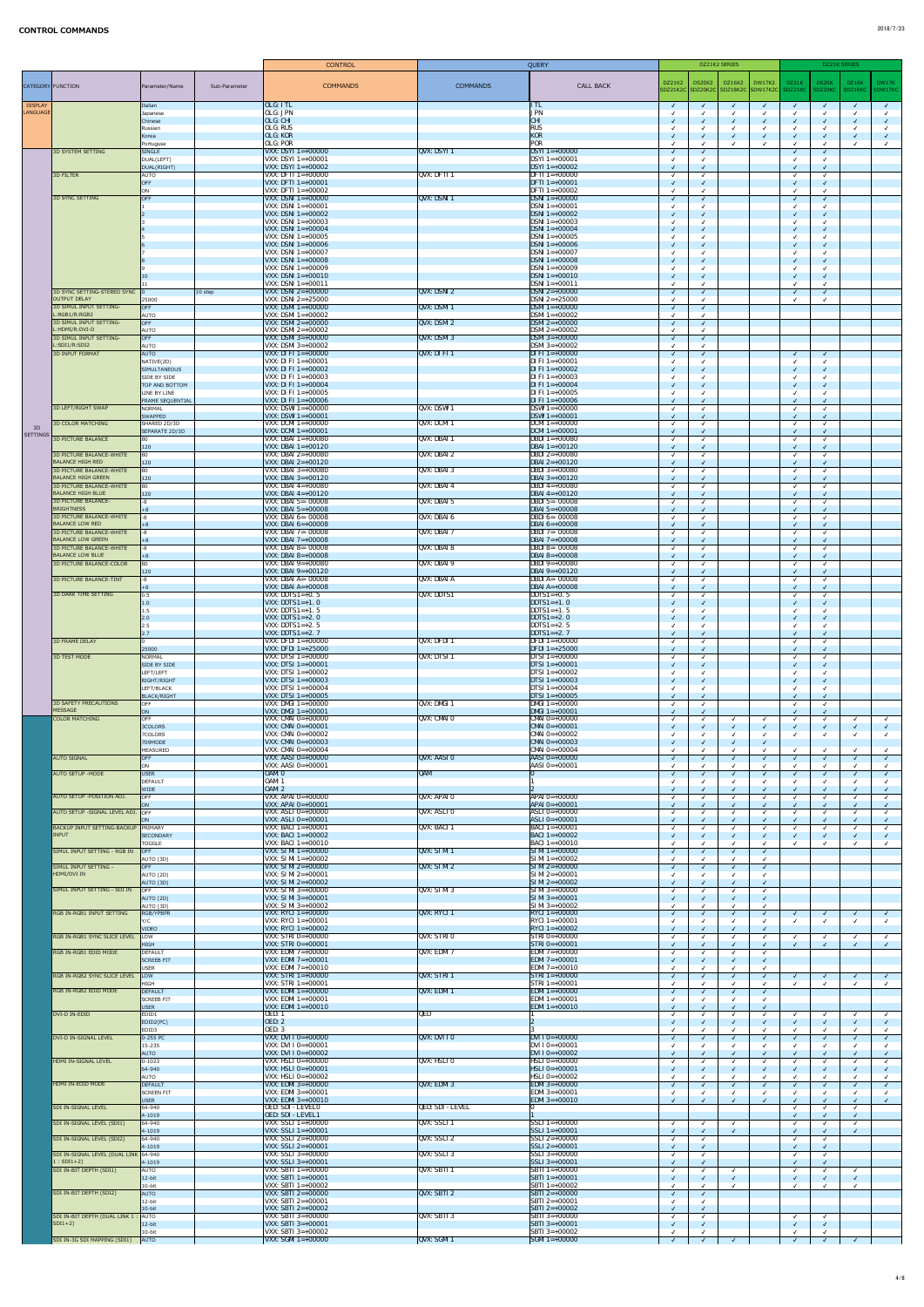|                            |                                                              |                                                |               |                                                                                  | <b>CONTROL</b>                                                                       |                              | QUERY                    |                                                                |                                          | DZ21K2 SERIES |                                     |                |            | DZ21K SERIES                |            |            |
|----------------------------|--------------------------------------------------------------|------------------------------------------------|---------------|----------------------------------------------------------------------------------|--------------------------------------------------------------------------------------|------------------------------|--------------------------|----------------------------------------------------------------|------------------------------------------|---------------|-------------------------------------|----------------|------------|-----------------------------|------------|------------|
|                            | CATEGORY FUNCTION                                            | Parameter/Name                                 | Sub-Parameter |                                                                                  | <b>COMMANDS</b>                                                                      | <b>COMMANDS</b>              |                          | <b>CALL BACK</b>                                               | DZ21K2                                   | <b>DS20K2</b> | DZ16K2                              | $\vert$ DW17K2 | DZ21K      | DS20K                       | DZ16K      | DW17K      |
|                            |                                                              |                                                |               |                                                                                  |                                                                                      |                              |                          |                                                                |                                          |               | SDZ21K2C SDZ20K2C SDZ18K2C SDW17K2C |                | SDZ21KC    | SDZ20KC                     | SDZ18KC    | SDW17KC    |
| <b>DISPLAY</b><br>LANGUAGE |                                                              | Italian<br>Japanese                            |               | [OLG: ITL]<br>OLG: JPN                                                           |                                                                                      |                              | <b>ITL</b><br><b>JPN</b> |                                                                | $\sqrt{ }$                               | $\sqrt{ }$    | $\sqrt{ }$                          | $\sqrt{ }$     | $\sqrt{ }$ | $\sqrt{ }$                  | $\sqrt{ }$ |            |
|                            |                                                              | Chinese<br>Russian                             |               | OLG: CHI<br><b>OLG: RUS</b>                                                      |                                                                                      |                              | <b>CHI</b><br><b>RUS</b> |                                                                | $\checkmark$                             |               |                                     |                |            |                             |            |            |
|                            |                                                              | Korea<br>Portuguse                             |               | <b>OLG: KOR</b><br>OLG: POR                                                      |                                                                                      |                              | KOR<br><b>POR</b>        |                                                                | $\checkmark$                             |               |                                     |                |            |                             |            |            |
|                            | <b>3D SYSTEM SETTING</b>                                     | SINGLE<br>DUAL(LEFT)                           |               | <b>VXX: DSYI</b> $1 = +00001$                                                    | $VXX:$ DSYI 1=+00000                                                                 | QVX:DSYI1                    |                          | $DSYI$ 1=+00000<br>$DSYI$ 1=+00001                             | $\sqrt{ }$                               |               |                                     |                |            | $\sqrt{ }$                  |            |            |
|                            | 3D FILTER                                                    | DUAL(RIGHT)<br>AUTO                            |               |                                                                                  | <b>VXX: DSYI</b> $1=+00002$<br><b>VXX: DFTI</b> $1=+00000$                           | QVX: DFTI 1                  |                          | $DSYI$ 1=+00002<br><b>DFTI</b> $1=+00000$                      | $\sqrt{ }$                               |               |                                     |                |            |                             |            |            |
|                            |                                                              | <b>OFF</b><br><b>ON</b>                        |               |                                                                                  | <b>VXX: DFTI</b> $1 = +00001$<br>VXX: DFTI $1=+00002$                                |                              |                          | $DFTI$ 1=+00001<br>DFTI $1=+00002$                             | $\checkmark$                             |               |                                     |                |            | $\sqrt{ }$<br>$\sqrt{ }$    |            |            |
|                            | 3D SYNC SETTING                                              | <b>OFF</b>                                     |               | <b>VXX: DSNI</b> $1=+00001$                                                      | <b>VXX: DSNI</b> $1=+00000$                                                          | $QVX:$ DSNI 1                |                          | $DSNI$ 1=+00000<br>$DSNI$ 1=+00001                             | $\sqrt{ }$                               |               |                                     |                |            | $\sqrt{ }$                  |            |            |
|                            |                                                              |                                                |               |                                                                                  | $ VXX:$ DSNI 1=+00002                                                                |                              |                          | $DSNI$ 1=+00002                                                | $\checkmark$                             |               |                                     |                |            | $\sqrt{}$                   |            |            |
|                            |                                                              |                                                |               |                                                                                  | <b>VXX: DSNI</b> $1=+00003$<br><b>VXX: DSNI</b> $1=+00004$                           |                              |                          | $DSNI$ 1=+00003<br>$DSNI$ 1=+00004                             | $\checkmark$                             |               |                                     |                |            | $\checkmark$<br>$\sqrt{ }$  |            |            |
|                            |                                                              |                                                |               |                                                                                  | <b>VXX: DSNI</b> $1=+00005$<br><b>VXX: DSNI</b> $1=+00006$                           |                              |                          | $DSNI$ 1=+00005<br>$DSNI$ 1=+00006                             | $\checkmark$                             |               |                                     |                |            | $\sqrt{ }$                  |            |            |
|                            |                                                              |                                                |               |                                                                                  | <b>VXX: DSNI</b> $1=+00007$<br><b>VXX: DSNI</b> $1=+00008$                           |                              |                          | $DSNI$ 1=+00007<br>$DSNI$ 1=+00008                             | $\checkmark$                             |               |                                     |                |            | $\mathcal{L}$<br>$\sqrt{ }$ |            |            |
|                            |                                                              | 10                                             |               |                                                                                  | VXX: DSNI $1=+00009$<br><b>VXX: DSNI</b> $1=+00010$                                  |                              |                          | $DSNI$ 1=+00009<br>$DSNI$ 1=+00010                             | $\checkmark$                             |               |                                     |                |            | $\checkmark$                |            |            |
|                            | 3D SYNC SETTING-STEREO SYNC 0                                |                                                | $10$ step     | $ VXX:$ DSNI 1=+00011                                                            | <b>VXX: DSNI</b> $2=+00000$                                                          | QVX: DSNI2                   |                          | $DSNI$ 1=+00011<br>$DSNI 2=+00000$                             | $\sqrt{ }$                               |               |                                     |                |            | $\checkmark$                |            |            |
|                            | <b>OUTPUT DELAY</b><br>3D SIMUL INPUT SETTING-               | 25000<br>$\overline{O}$                        |               |                                                                                  | <b>VXX: DSNI</b> $2=+25000$<br><b>VXX: DSMI</b> $1=+00000$                           | $ QVX:$ DSMI 1               |                          | $DSNI 2=+25000$<br>$DSMI = +00000$                             |                                          |               |                                     |                |            |                             |            |            |
|                            | L:RGB1/R:RGB2<br><b>3D SIMUL INPUT SETTING-</b>              | AUTO<br>OFF                                    |               |                                                                                  | <b>VXX: DSMI</b> $1=+00002$<br><b>VXX: DSMI 2=+00000</b>                             | $QVX:$ DSMI 2                |                          | $DSMI = +00002$<br>$DSMI$ 2=+00000                             | $\sqrt{ }$                               | $\sqrt{ }$    |                                     |                |            |                             |            |            |
|                            | L:HDMI/R:DVI-D<br><b>3D SIMUL INPUT SETTING-</b>             | <b>AUTO</b><br>OFF                             |               |                                                                                  | <b>VXX: DSMI 2=+00002</b><br><b>VXX: DSMI</b> 3=+00000                               | $\sqrt{\text{QV}}$ : DSMI 3  |                          | $DSMI$ 2=+00002<br>$DSM = +00000$                              | $\sqrt{ }$                               |               |                                     |                |            |                             |            |            |
|                            | L:SDI1/R:SDI2<br><b>3D INPUT FORMAT</b>                      | <b>AUTO</b><br>AUTO                            |               |                                                                                  | $VXX:$ DSMI 3=+00002<br>$ VXX: DI FI 1=+00000$                                       | $\sqrt{\text{QVX: DI FI} 1}$ |                          | $DSMI$ 3=+00002<br>DI FI $1=+00000$                            | $\sqrt{ }$                               |               |                                     |                |            | $\sqrt{ }$                  |            |            |
|                            |                                                              | NATIVE(2D)<br><b>SIMULTANEOUS</b>              |               |                                                                                  | $\vert$ VXX: DI FI 1=+00001<br>$ VXX: DI FI 1=+00002$                                |                              |                          | DI FI $1=+00001$<br>DI FI $1=+00002$                           | $\checkmark$                             |               |                                     |                |            | $\sqrt{ }$                  |            |            |
|                            |                                                              | SIDE BY SIDE<br>TOP AND BOTTOM                 |               |                                                                                  | <b>VXX: DI FI</b> $1=+00003$<br>$ VXX: DI FI 1=+00004$                               |                              |                          | DI FI $1=+00003$<br>DI FI $1=+00004$                           | $\sqrt{ }$                               |               |                                     |                |            | $\checkmark$<br>$\sqrt{ }$  |            |            |
|                            |                                                              | LINE BY LINE<br><b>FRAME SEQUENTIAL</b>        |               |                                                                                  | <b>VXX:</b> DI FI $1 = +00005$<br><b>VXX: DI FI 1=+00006</b>                         |                              |                          | DI FI $1=+00005$<br>DI FI $1=+00006$                           | $\checkmark$                             |               |                                     |                |            | $\checkmark$<br>$\sqrt{ }$  |            |            |
|                            | 3D LEFT/RIGHT SWAP                                           | NORMAL<br><b>SWAPPED</b>                       |               |                                                                                  | <b>VXX: DSWI</b> $1=+00000$<br>$ VXX:$ DSWI 1=+00001                                 | QVX: DSWI 1                  |                          | $DSWI = +00000$<br>$DSWI = +00001$                             | $\sqrt{ }$                               |               |                                     |                |            | $\checkmark$<br>$\sqrt{2}$  |            |            |
| 3D                         | <b>3D COLOR MATCHING</b>                                     | SHARED 2D/3D<br>SEPARATE 2D/3D                 |               |                                                                                  | <b>VXX: DCMI</b> $1=+00000$<br><b>VXX: DCMI</b> $1 = +00001$                         | QVX: DCMI 1                  |                          | $DCM1 = +00000$<br>$DCM1 = +00001$                             | $\checkmark$                             |               |                                     |                |            | $\checkmark$                |            |            |
| <b>SETTINGS</b>            | <b>3D PICTURE BALANCE</b>                                    | 80                                             |               |                                                                                  | <b>VXX: DBAI 1=+00080</b>                                                            | QVX: DBAI 1                  |                          | <b>DBDI</b> $1=+00080$                                         | $\sqrt{ }$                               |               |                                     |                |            | $\sqrt{ }$<br>$\sqrt{ }$    |            |            |
|                            | <b>3D PICTURE BALANCE-WHITE</b><br><b>BALANCE HIGH RED</b>   | $ 120\rangle$<br>$ 80\rangle$<br>$ 120\rangle$ |               |                                                                                  | <b>VXX: DBAI 1=+00120</b><br>$\vert$ VXX: DBAI 2=+00080<br><b>VXX: DBAI 2=+00120</b> | QVX: DBAI 2                  |                          | $DBAI 1=+00120$<br>$ DBDI2=+00080$<br>$DBAI 2=+00120$          | $\sqrt{ }$                               |               |                                     |                |            | $\checkmark$                |            |            |
|                            | <b>3D PICTURE BALANCE-WHITE</b><br><b>BALANCE HIGH GREEN</b> | 80                                             |               |                                                                                  | <b>VXX: DBAI 3=+00080</b>                                                            | QVX: DBAI 3                  |                          | $ DBDI3=+00080$                                                | $\checkmark$<br>$\checkmark$             |               |                                     |                |            | $\sqrt{ }$<br>$\sqrt{ }$    |            |            |
|                            | 3D PICTURE BALANCE-WHITE<br><b>BALANCE HIGH BLUE</b>         | $ 120\rangle$<br>80                            |               |                                                                                  | <b>VXX: DBAI</b> 3=+00120<br>$\overline{\text{VXX}}$ : DBAI 4=+00080                 | QVX: DBAI 4                  |                          | $DBAI 3=+00120$<br><b>DBDI</b> 4=+00080                        | $\checkmark$<br>$\sqrt{ }$               |               |                                     |                |            | $\sqrt{ }$<br>$\sqrt{ }$    |            |            |
|                            | 3D PICTURE BALANCE-<br><b>BRIGHTNESS</b>                     | $ 120\rangle$<br>$ -8$                         |               |                                                                                  | <b>VXX: DBAI 4=+00120</b><br>$ VXX: DBAI 5 = -00008$                                 | QVX: DBAI 5                  |                          | $DBAI 4=+00120$<br>$DBDI$ 5=-00008                             | $\sqrt{ }$<br>$\checkmark$               |               |                                     |                |            | $\sqrt{2}$<br>$\checkmark$  |            |            |
|                            | <b>3D PICTURE BALANCE-WHITE</b><br><b>BALANCE LOW RED</b>    | $ +8 $<br>-8                                   |               |                                                                                  | <b>VXX: DBAI</b> $5=+00008$<br>$\vert$ VXX: DBAI 6=- 00008                           | QVX: DBAI 6                  |                          | $DBAI 5=+00008$<br><b>DBDI 6=-00008</b>                        | $\checkmark$                             |               |                                     |                |            | $\sqrt{2}$<br>$\checkmark$  |            |            |
|                            | 3D PICTURE BALANCE-WHITE<br><b>BALANCE LOW GREEN</b>         | $ +8 $<br>$ -8$                                |               |                                                                                  | <b>VXX: DBAI 6=+00008</b><br><b>VXX: DBAI 7=- 00008</b><br><b>VXX: DBAI 7=+00008</b> | QVX: DBAI 7                  |                          | $DBAI 6=+00008$<br><b>DBDI</b> 7= $-00008$<br>$DBAI 7=+00008$  | $\checkmark$<br>$\sqrt{ }$               |               |                                     |                |            | $\sqrt{2}$<br>$\checkmark$  |            |            |
|                            | 3D PICTURE BALANCE-WHITE<br><b>BALANCE LOW BLUE</b>          | $ +8 $<br>$ -8$                                |               |                                                                                  | <b>VXX: DBAI 8=- 00008</b>                                                           | QVX: DBAI 8                  |                          | $DBDI 8 = -00008$                                              | $\checkmark$                             |               |                                     |                |            |                             |            |            |
|                            | <b>3D PICTURE BALANCE-COLOR</b>                              | $ +8 $<br>$ 80\rangle$                         |               |                                                                                  | <b>VXX: DBAI 8=+00008</b><br>$VXX: DBAI 9=+00080$                                    | QVX: DBAI 9                  |                          | $DBAI 8=+00008$<br>$DBDI 9=+00080$                             | $\sqrt{ }$                               |               |                                     |                |            |                             |            |            |
|                            | 3D PICTURE BALANCE-TINT                                      | $ 120\rangle$<br>$ -8$                         |               |                                                                                  | <b>VXX: DBAI 9=+00120</b><br>$\overline{\text{VXX}}$ : DBAI A=- 00008                | QVX: DBAI A                  |                          | $DBAI 9=+00120$<br>DBDI A= $-00008$                            | $\checkmark$                             |               |                                     |                |            |                             |            |            |
|                            | <b>3D DARK TIME SETTING</b>                                  | $ +8 $<br> 0.5                                 |               | VXX: DDTS $1 = +0.5$                                                             | VXX: DBAI $A=+00008$                                                                 | QVX: DDTS1                   |                          | $DBAI A=+00008$<br>$ DDTS1=+0.5$                               | $\sqrt{ }$<br>$\checkmark$               |               |                                     |                |            | $\sqrt{2}$<br>$\checkmark$  |            |            |
|                            |                                                              | 1.0<br>1.5                                     |               | $\vert$ VXX: DDTS1=+1. 0<br>$\vert$ VXX: DDTS1=+1. 5<br>$\vert$ VXX: DDTS1=+2. 0 |                                                                                      |                              |                          | $ DDTS1=+1.0$<br>$DDTS1=+1.5$                                  | $\sqrt{ }$                               |               |                                     |                |            |                             |            |            |
|                            |                                                              | 2.0<br> 2.5                                    |               | $\textsf{VXX}: \textsf{DDTS1}=+2.5$<br>$\vert$ VXX: DDTS1=+2. 7                  |                                                                                      |                              |                          | DDTS1= $+2.0$<br>DDTS1= $+2.5$<br>DDTS1= $+2.7$                | $\checkmark$                             |               |                                     |                |            | $\sqrt{ }$                  |            |            |
|                            | <b>3D FRAME DELAY</b>                                        | 2.7 <br>25000                                  |               |                                                                                  | <b>VXX: DFDI</b> $1=+00000$<br><b>VXX: DFDI</b> $1 = +25000$                         | <b>QVX: DFDI 1</b>           |                          | $DFDI$ 1=+00000<br><b>DFDI</b> $1 = +25000$                    | $\checkmark$<br>$\sqrt{ }$<br>$\sqrt{ }$ |               |                                     |                |            | $\sqrt{ }$<br>$\sqrt{ }$    |            |            |
|                            | 3D TEST MODE                                                 | NORMAL<br><b>SIDE BY SIDE</b>                  |               |                                                                                  | <b>VXX: DTSI</b> $1=+00000$<br><b>VXX: DTSI</b> $1=+00001$                           | <b>QVX: DTSI 1</b>           |                          | <b>DTSI</b> $1=+00000$<br>$DTSI$ 1=+00001                      | $\sqrt{ }$<br>$\sqrt{ }$                 |               |                                     |                |            | $\sqrt{ }$                  |            |            |
|                            |                                                              | LEFT/LEFT<br>RIGHT/RIGHT                       |               |                                                                                  | <b>VXX: DTSI</b> $1=+00002$<br><b>VXX: DTSI</b> $1 = +00003$                         |                              |                          | <b>DTSI</b> 1=+00002<br>$DTSI$ 1=+00003                        | $\sqrt{ }$                               |               |                                     |                |            | $\sqrt{ }$                  |            |            |
|                            |                                                              | LEFT/BLACK<br><b>BLACK/RIGHT</b>               |               |                                                                                  | <b>VXX: DTSI</b> $1 = +00004$<br><b>VXX: DTSI</b> $1=+00005$                         |                              |                          | <b>DTSI</b> $1=+00004$<br><b>DTSI</b> $1=+00005$               | $\checkmark$                             |               |                                     |                |            | $\sqrt{2}$                  |            |            |
|                            | <b>3D SAFETY PRECAUTIONS</b><br>MESSAGE                      | <b>OFF</b><br>ON                               |               |                                                                                  | <b>VXX: DMGI</b> $1 = +00000$<br>$ VXX: DMGI 1=+00001$                               | QVX: DMGI 1                  |                          | $DMGI$ 1=+00000<br>$ DMGI1=+00001$                             | $\checkmark$<br>$\checkmark$             |               |                                     |                |            | $\sqrt{ }$<br>$\sqrt{ }$    |            |            |
|                            | <b>COLOR MATCHING</b>                                        | <b>OFF</b><br>3COLORS                          |               |                                                                                  | $VXX: CMAI 0=+00000$<br><b>VXX: CMAI 0=+00001</b>                                    | QVX: CMAI 0                  |                          | $CMAI 0=+00000$<br>$ CMAI 0=+00001$                            | √<br>$\checkmark$                        |               |                                     |                |            | $\sqrt{ }$                  |            |            |
|                            |                                                              | 7COLORS<br>709MODE                             |               |                                                                                  | <b>VXX: CMAI 0=+00002</b><br>$ VXX: CMAI 0=+00003$                                   |                              |                          | $CMAI 0=+00002$<br>$\textsf{CMAI}\,0=+00003$                   |                                          |               |                                     |                |            |                             |            |            |
|                            | <b>AUTO SIGNAL</b>                                           | MEASURED<br>OFF                                |               |                                                                                  | <b>VXX: CMAI 0=+00004</b><br>$VXX: AASI 0=+00000$                                    | QVX: AASI 0                  |                          | $CMAI 0=+00004$<br>$AASI 0=+00000$                             | $\checkmark$<br>$\sqrt{ }$               |               |                                     |                |            | $\sqrt{ }$                  |            |            |
|                            | <b>AUTO SETUP - MODE</b>                                     | <b>ON</b><br><b>USER</b>                       |               | <b>VXX:</b> AASI $0=+00001$<br>OAM: 0                                            |                                                                                      | $\sqrt{\text{QAM}}$          |                          | AASI $0=+00001$                                                | $\sqrt{ }$                               |               |                                     |                |            | $\sqrt{ }$                  |            |            |
|                            |                                                              | DEFAULT<br><b>WIDE</b>                         |               | <b>OAM: 1</b><br><b>OAM: 2</b>                                                   |                                                                                      |                              |                          |                                                                | $\checkmark$                             |               |                                     |                |            |                             |            |            |
|                            | AUTO SETUP - POSITION ADJ.                                   | $\overline{O}$ FF<br><b>ON</b>                 |               |                                                                                  | $ VXX: APAI 0=+00000$<br><b>VXX: APAI 0=+00001</b>                                   | QVX: APAI 0                  |                          | $APAI 0=+00000$<br>$APAI 0=+00001$                             | $\checkmark$                             |               |                                     |                |            |                             |            |            |
|                            | AUTO SETUP - SIGNAL LEVEL ADJ. OFF                           | ON                                             |               |                                                                                  | VXX: ASLI $0=+00000$<br>$VXX: ASLI 0=+00001$                                         | QVX: ASLI 0                  |                          | $ ASLI 0=+00000$<br>$ASLI 0=+00001$                            | $\checkmark$<br>$\sqrt{ }$               |               |                                     |                |            | $\sqrt{ }$                  |            |            |
|                            | <b>BACKUP INPUT SETTING-BACKUP</b><br>INPUT                  | PRIMARY<br><b>SECONDARY</b>                    |               |                                                                                  | <b>VXX: BACI 1=+00001</b><br><b>VXX: BACI 1=+00002</b>                               | QVX: BACI 1                  |                          | $ BACI1=+00001 $<br>$BACI1=+00002$                             | $\checkmark$<br>$\overline{\mathcal{L}}$ |               |                                     |                |            |                             |            |            |
|                            | SIMUL INPUT SETTING - RGB IN                                 | <b>TOGGLE</b><br>$\overline{O}$                |               |                                                                                  | <b>VXX: BACI</b> $1 = +00010$<br>$VXX: SI M1 = +00000$                               | QVX: SIM11                   |                          | BACI $1=+00010$<br>$\vert$ SIMI 1=+00000                       | $\sqrt{ }$                               |               |                                     |                |            |                             |            |            |
|                            | SIMUL INPUT SETTING -                                        | AUTO (3D)<br>OFF                               |               |                                                                                  | $VXX: SI M1 = +00002$<br>$VXX: SI M1 2=+00000$                                       | QVX: SI M12                  |                          | $\vert$ SIMI 1=+00002<br>$\vert$ SIMI 2=+00000                 | $\sqrt{ }$                               |               |                                     |                |            |                             |            |            |
|                            | HDMI/DVI IN                                                  | AUTO (2D)<br>AUTO (3D)                         |               |                                                                                  | VXX: SI MI $2=+00001$<br>VXX: SI MI $2=+00002$                                       |                              |                          | $\vert$ SIMI 2=+00001<br>$\vert$ SIMI 2=+00002                 | $\sqrt{ }$                               |               |                                     |                |            |                             |            |            |
|                            | SIMUL INPUT SETTING - SDI IN                                 | <b>OFF</b><br>AUTO (2D)                        |               |                                                                                  | $VXX: SI MI 3=+00000$<br>$VXX: SI MI 3=+00001$                                       | QVX: SI M 3                  |                          | $\vert$ SIMI 3=+00000<br>$\vert$ SIMI 3=+00001                 | $\sqrt{ }$<br>$\checkmark$               |               |                                     |                |            |                             |            |            |
|                            | <b>RGB IN-RGB1 INPUT SETTING</b>                             | AUTO (3D)<br>RGB/YPBPR                         |               |                                                                                  | $VXX: SI M13=+00002$<br><b>VXX:</b> RYCI $1=+00000$                                  | QVX: RYCI 1                  |                          | $\vert$ SIMI 3=+00002<br>$ RYCI1=+00000 $                      | $\sqrt{ }$                               |               |                                     |                |            |                             |            |            |
|                            |                                                              | Y/C<br><b>VIDEO</b>                            |               |                                                                                  | <b>VXX: RYCI</b> $1 = +00001$<br><b>VXX: RYCI</b> $1 = +00002$                       |                              |                          | $RYCI$ 1=+00001<br>RYCI $1=+00002$                             | $\checkmark$                             |               |                                     |                |            |                             |            |            |
|                            | RGB IN-RGB1 SYNC SLICE LEVEL                                 | $ $ LOW<br>HIGH                                |               |                                                                                  | $VXX: STRI 0=+00000$<br><b>VXX: STRI 0=+00001</b>                                    | <b>QVX: STRIO</b>            |                          | $STRI 0=+00000$<br>$\vert$ STRI 0=+00001                       | $\sqrt{ }$                               |               |                                     |                |            | $\sqrt{ }$                  |            |            |
|                            | <b>RGB IN-RGB1 EDID MODE</b>                                 | DEFAULT<br><b>SCREEB FIT</b>                   |               |                                                                                  | <b>VXX: EDMI</b> $7=+00000$<br><b>VXX: EDMI</b> $7 = +00001$                         | QVX: EDMI 7                  |                          | <b>EDMI</b> $7=+00000$<br><b>EDMI</b> $7=+00001$               | $\checkmark$<br>$\checkmark$             |               |                                     |                |            |                             |            |            |
|                            | RGB IN-RGB2 SYNC SLICE LEVEL                                 | USER<br> LOW                                   |               |                                                                                  | <b>VXX: EDMI</b> $7=+00010$<br><b>VXX: STRI</b> $1=+00000$                           | QVX: STRI1                   |                          | <b>EDMI</b> $7=+00010$<br>$\vert$ STRI 1=+00000                | $\sqrt{ }$                               |               |                                     |                |            | $\sqrt{ }$                  |            | $\sqrt{ }$ |
|                            | <b>RGB IN-RGB2 EDID MODE</b>                                 | HIGH<br>DEFAULT                                |               |                                                                                  | <b>VXX: STRI</b> $1=+00001$<br><b>VXX: EDMI</b> $1=+00000$                           | QVX: EDM1                    |                          | $STRI1=+00001$<br>EDMI $1=+00000$                              | $\sqrt{ }$                               |               |                                     |                |            |                             |            |            |
|                            |                                                              | <b>SCREEB FIT</b><br><b>USER</b>               |               |                                                                                  | <b>VXX: EDMI</b> $1 = +00001$<br><b>VXX: EDMI</b> $1 = +00010$                       |                              |                          | <b>EDMI</b> $1=+00001$<br>EDMI $1=+00010$                      |                                          |               |                                     |                |            |                             |            |            |
|                            | DVI-D IN-EDID                                                | EDID1<br>EDID2(PC)                             |               | <b>OED: 1</b><br><b>OED: 2</b>                                                   |                                                                                      | QED                          |                          |                                                                |                                          |               |                                     |                |            |                             |            |            |
|                            | DVI-D IN-SIGNAL LEVEL                                        | EDID3<br>$ 0-255$ PC                           |               | <b>OED: 3</b>                                                                    | <b>VXX:</b> DVI $I$ $O=+00000$                                                       | QVX: DVIIO                   |                          | $DVI I 0=+00000$                                               | $\sqrt{ }$                               |               |                                     |                |            |                             |            |            |
|                            |                                                              | $15 - 235$<br><b>AUTO</b>                      |               |                                                                                  | <b>VXX:</b> DVI I $0=+00001$<br><b>VXX:</b> DVI I 0=+00002                           |                              |                          | $ DVI I 0=+00001$<br>$ DVI I0=+00002$                          | $\sqrt{ }$                               | $\checkmark$  | $\checkmark$                        |                |            | $\checkmark$<br>$\sqrt{2}$  | $\sqrt{ }$ |            |
|                            | HDMI IN-SIGNAL LEVEL                                         | $ 0-1023 $<br>$ 64 - 940 $                     |               |                                                                                  | <b>VXX: HSLI 0=+00000</b><br>$ VXX: HSLI 0=+00001$                                   | <b>QVX: HSLIO</b>            |                          | $ HSLI 0=+00000$<br>$HSLI$ 0=+00001                            | $\checkmark$<br>$\sqrt{ }$               |               |                                     |                |            | $\checkmark$                |            |            |
|                            | HDMI IN-EDID MODE                                            | AUTO<br>DEFAULT                                |               |                                                                                  | $VXX: HSLI 0=+00002$<br><b>VXX: EDMI</b> $3=+00000$                                  | QVX: EDM 3                   |                          | $HSLI$ 0=+00002<br><b>EDMI</b> 3=+00000                        | $\sqrt{2}$                               |               |                                     |                |            | $\sqrt{ }$                  |            |            |
|                            |                                                              | <b>SCREEN FIT</b><br>USER                      |               |                                                                                  | <b>VXX: EDMI</b> $3=+00001$<br>$ VXX: EDMI 3=+00010$                                 |                              |                          | <b>EDMI</b> 3=+00001<br><b>EDMI</b> 3=+00010                   | $\sqrt{ }$                               |               |                                     |                |            | $\sqrt{ }$                  |            |            |
|                            | <b>SDI IN-SIGNAL LEVEL</b>                                   | $64 - 940$<br>$ 4-1019 $                       |               | <b>OED: SDI - LEVELO</b><br><b>OED: SDI - LEVEL1</b>                             |                                                                                      | <b>QED: SDI - LEVEL</b>      |                          |                                                                |                                          |               |                                     |                |            |                             |            |            |
|                            | SDI IN-SIGNAL LEVEL (SDI1)                                   | $64 - 940$<br>$ 4-1019 $                       |               |                                                                                  | $VXX:$ SSLI 1=+00000<br>$ VXX: SSLI 1=+00001$                                        | QVX: SSLI1                   |                          | $ SSLI1=+00000$<br>$ SSLI1=+00001 $                            | $\checkmark$<br>$\checkmark$             |               |                                     |                |            | $\checkmark$<br>$\sqrt{ }$  |            |            |
|                            | SDI IN-SIGNAL LEVEL (SDI2)                                   | $64 - 940$<br>$ 4-1019 $                       |               |                                                                                  | $ VXX: SSLI 2=+00000$<br>$ VXX: SSLI 2=+00001$                                       | QVX: SSLI 2                  |                          | $\overline{\text{SSLI 2=+00000}}$<br>$ SSLI2=+00001 $          | $\checkmark$<br>$\sqrt{2}$               |               |                                     |                |            | $\checkmark$<br>$\sqrt{2}$  |            |            |
|                            | SDI IN-SIGNAL LEVEL (DUAL LINK 64-940<br>$1:SDI1+2)$         | $ 4-1019 $                                     |               |                                                                                  | $ VXX: SSLI 3=+00000$<br>$ VXX: SSLI 3=+00001$                                       | QVX: SSLI 3                  |                          | $ SSLI 3=+00000$<br>$ SSLI 3=+00001$                           | $\checkmark$<br>$\sqrt{ }$               |               |                                     |                |            | $\checkmark$<br>$\sqrt{2}$  |            |            |
|                            | SDI IN-BIT DEPTH (SDI1)                                      | AUTO<br>$12-bit$                               |               |                                                                                  | $ VXX:$ SBTI 1=+00000<br><b>VXX: SBTI</b> $1 = +00001$                               | $QVX:$ SBTI 1                |                          | $ SBTI1=+00000$<br>$ SBTI1=+00001$                             | $\sqrt{ }$<br>$\checkmark$               |               |                                     |                |            | $\sqrt{ }$<br>$\sqrt{ }$    |            |            |
|                            | SDI IN-BIT DEPTH (SDI2)                                      | $10-bit$<br><b>AUTO</b>                        |               |                                                                                  | $ VXX:$ SBTI 1=+00002<br>$ VXX:$ SBTI 2=+00000                                       | $\sqrt{QVX}$ : SBTI 2        |                          | $ SBTI1=+00002$<br>$ SBTI 2=+00000$                            | $\sqrt{ }$<br>$\checkmark$               |               |                                     |                |            |                             |            |            |
|                            |                                                              | $12$ -bit<br>$10-bit$                          |               |                                                                                  | $ VXX:$ SBTI 2=+00001<br>$ VXX:$ SBTI 2=+00002                                       |                              |                          | $\overline{\text{SBTI 2=+00001}}$<br>$ SBTI 2=+00002$          | √<br>$\sqrt{ }$                          |               |                                     |                |            |                             |            |            |
|                            | SDI IN-BIT DEPTH (DUAL LINK 1<br>$SDI1+2)$                   | $:$ AUTO<br>$12-bit$                           |               |                                                                                  | $ VXX:$ SBTI 3=+00000<br>$ VXX:$ SBTI 3=+00001                                       | QVX: SBTI 3                  |                          | $ SBTI 3=+00000$<br>$ SBTI3=+00001$                            | $\sqrt{ }$<br>$\checkmark$               |               |                                     |                |            | $\sqrt{ }$                  |            |            |
|                            | SDI IN-3G SDI MAPPING (SDI1)                                 | $10-bit$<br>$\overline{A}$ UTO                 |               |                                                                                  | $VXX:$ SBTI 3=+00002<br><b>VXX: SGMI</b> $1 = +00000$                                | $\sqrt{\text{QVX}}$ : SGMI 1 |                          | $\overline{\text{SBTI}} 3=+00002$<br>$\textsf{SGMI}\,1=+00000$ |                                          |               |                                     |                |            | $\checkmark$                |            |            |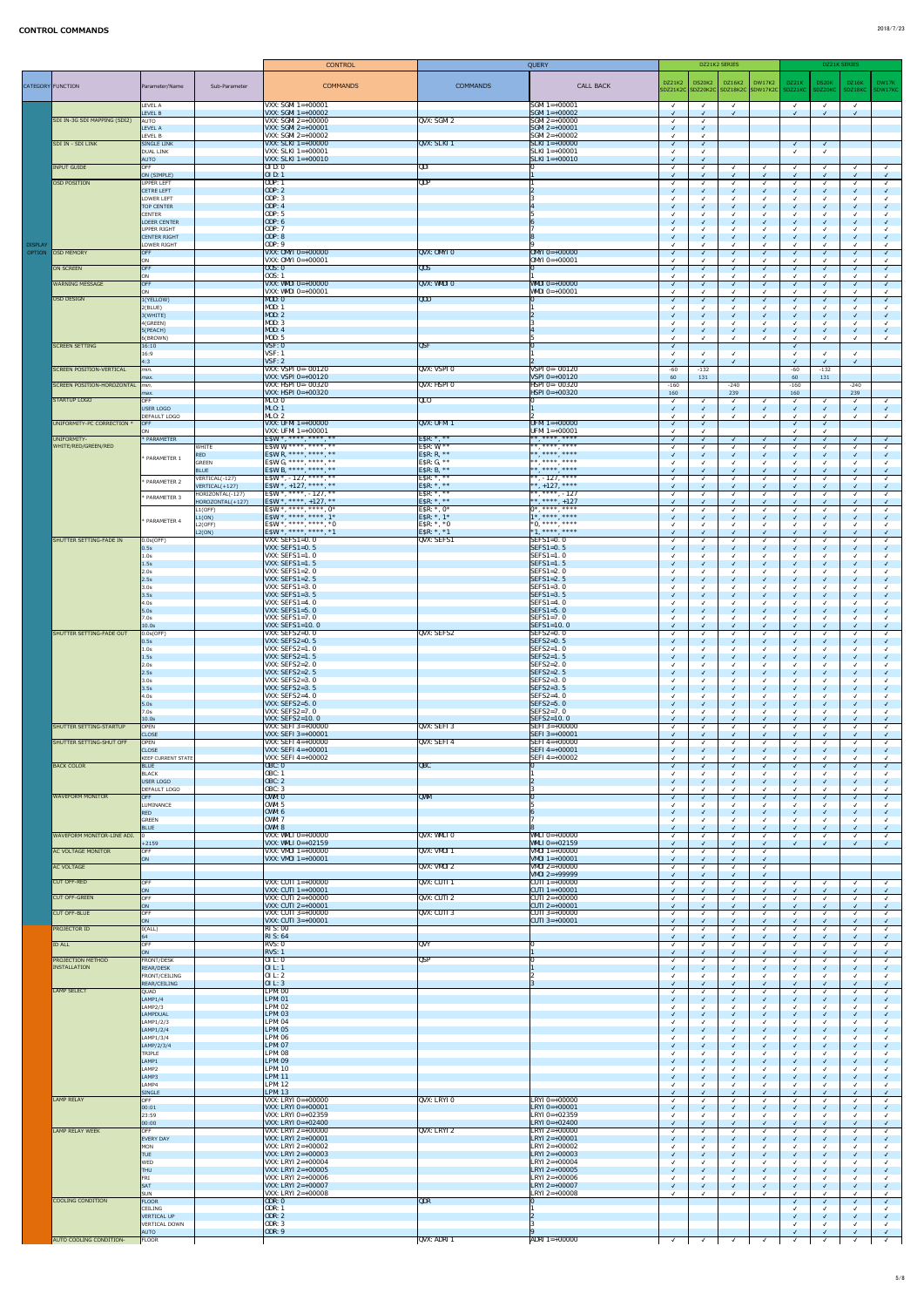|                                 |                                    |                                                     | <b>CONTROL</b>                                             |                                     | QUERY                                            |               |               | DZ21K2 SERIES                               |               |                              | DZ21K SERIES                 |            |                          |
|---------------------------------|------------------------------------|-----------------------------------------------------|------------------------------------------------------------|-------------------------------------|--------------------------------------------------|---------------|---------------|---------------------------------------------|---------------|------------------------------|------------------------------|------------|--------------------------|
|                                 |                                    |                                                     |                                                            |                                     |                                                  | DZ21K2        | <b>DS20K2</b> | $\vert$ DZ16K2 $\vert$                      | <b>DW17K2</b> | DZ21K                        | DS20K                        | DZ16K      | DW17K                    |
|                                 | CATEGORY FUNCTION                  | Sub-Parameter<br>Parameter/Name                     | <b>COMMANDS</b>                                            | <b>COMMANDS</b>                     | <b>CALL BACK</b>                                 |               |               | SDZ21K2C SDZ20K2C SDZ18K2C SDW17K2C SDZ21KC |               |                              | SDZ20KC                      | SDZ18KC    | SDW17KC                  |
|                                 |                                    | LEVEL A                                             | VXX: SGMI $1=+00001$                                       |                                     | $SGM1 = +00001$                                  | $\sqrt{ }$    | $\checkmark$  | $\sqrt{ }$                                  |               | $\sqrt{ }$                   | $\checkmark$                 |            |                          |
|                                 | SDI IN-3G SDI MAPPING (SDI2)       | LEVEL B<br>AUTO                                     | <b>VXX: SGMI 1=+00002</b><br>VXX: SGMI $2=+00000$          | QVX: SGMI 2                         | $SGM1 = +00002$<br>$SGM12=+00000$                |               |               |                                             |               |                              | $\sqrt{ }$                   |            |                          |
|                                 |                                    | LEVEL A                                             | <b>VXX: SGMI 2=+00001</b>                                  |                                     | $\sqrt{\text{SGM1} 2=+00001}$                    |               |               |                                             |               |                              |                              |            |                          |
|                                 | <b>SDI IN - SDI LINK</b>           | LEVEL B<br><b>SINGLE LINK</b>                       | $VXX:$ SGMI 2=+00002<br><b>VXX: SLKI</b> $1 = +00000$      | QVX: SLKI 1                         | $SGM12=+00002$<br>$SLKI$ 1=+00000                | $\mathcal{L}$ |               |                                             |               | $\checkmark$                 | $\sqrt{ }$                   |            |                          |
|                                 |                                    | DUAL LINK                                           | $VXX: SLKI$ 1=+00001                                       |                                     | $ SLKI1=+00001$                                  |               |               |                                             |               |                              |                              |            |                          |
|                                 | <b>INPUT GUIDE</b>                 | <b>AUTO</b><br><b>OFF</b>                           | $VXX: SLKI$ 1=+00010<br>0I D: 0                            | QDI                                 | $SLKI$ 1=+00010                                  |               |               |                                             |               | √                            | $\checkmark$                 |            | $\checkmark$             |
|                                 | OSD POSITION                       | ON (SIMPLE)<br>UPPER LEFT                           | <b>OID</b> : 1<br>ODP: 1                                   | QDP                                 |                                                  | $\sqrt{ }$    |               |                                             |               |                              | $\sqrt{ }$<br>$\checkmark$   |            |                          |
|                                 |                                    | CETRE LEFT                                          | <b>ODP</b> : 2                                             |                                     |                                                  |               |               |                                             |               |                              | $\sqrt{ }$                   |            |                          |
|                                 |                                    | LOWER LEFT<br><b>TOP CENTER</b>                     | <b>ODP</b> : 3<br><b>ODP</b> : 4                           |                                     |                                                  |               |               |                                             |               |                              | $\checkmark$<br>$\sqrt{ }$   |            |                          |
|                                 |                                    | <b>CENTER</b>                                       | <b>ODP</b> : 5                                             |                                     |                                                  |               |               |                                             |               |                              |                              |            |                          |
|                                 |                                    | <b>LOEER CENTER</b><br>UPPER RIGHT                  | <b>ODP</b> : 6<br><b>ODP</b> : 7                           |                                     |                                                  |               |               |                                             |               |                              | $\checkmark$                 |            |                          |
|                                 |                                    | CENTER RIGHT                                        | <b>ODP</b> : 8                                             |                                     |                                                  |               |               |                                             |               |                              | $\checkmark$                 |            |                          |
| <b>DISPLAY</b><br><b>OPTION</b> | <b>OSD MEMORY</b>                  | LOWER RIGHT<br>OFF                                  | <b>ODP</b> : 9<br>VXX: $OMYI 0=+00000$                     | QVX: OMYI0                          | $OMYI 0=+00000$                                  | $\sqrt{ }$    |               |                                             |               |                              | $\checkmark$<br>$\sqrt{ }$   |            |                          |
|                                 | ON SCREEN                          | ON<br>OFF                                           | VXX: $OMYI 0=+00001$<br>00S: 0                             | $\overline{QOS}$                    | $OMYI 0=+00001$                                  |               |               |                                             |               |                              |                              |            |                          |
|                                 |                                    | ON                                                  | 00S: 1                                                     |                                     |                                                  |               |               |                                             |               |                              | $\checkmark$<br>$\checkmark$ |            |                          |
|                                 | <b>WARNING MESSAGE</b>             | OFF<br>ON                                           | <b>VXX: WMDI 0=+00000</b><br>$VXX: WMDI 0=+00001$          | QVX: WMDIO                          | <b>WMDI</b> $0=+00000$<br><b>WMDI</b> $0=+00001$ |               |               |                                             | $\sqrt{ }$    |                              | $\sqrt{ }$                   |            |                          |
|                                 | OSD DESIGN                         | 1(YELLOW)                                           | MD: 0                                                      | $\overline{QOD}$                    |                                                  |               |               |                                             |               |                              |                              |            |                          |
|                                 |                                    | 2(BLUE)<br>3(WHITE)                                 | MOD:<br><b>MOD</b> : 2                                     |                                     |                                                  |               |               | √                                           |               | $\checkmark$                 | $\checkmark$                 |            |                          |
|                                 |                                    | 4(GREEN)                                            | <b>MOD</b> : 3                                             |                                     |                                                  |               |               |                                             |               |                              | $\checkmark$                 |            |                          |
|                                 |                                    | 5(PEACH)<br>6(BROWN)                                | <b>MOD: 4</b><br><b>MOD</b> : 5                            |                                     |                                                  |               |               |                                             |               |                              | $\sqrt{ }$<br>$\checkmark$   |            |                          |
|                                 | <b>SCREEN SETTING</b>              | 16:10                                               | VSF: 0                                                     | QSF                                 |                                                  | $\sqrt{ }$    |               |                                             |               | $\checkmark$                 |                              |            |                          |
|                                 |                                    | 16:9<br>4:3                                         | VSF: 1<br>VSF: 2                                           |                                     |                                                  |               |               | $\checkmark$                                |               | $\overline{\mathsf{v}}$      | $\checkmark$<br>$\checkmark$ |            |                          |
|                                 | <b>SCREEN POSITION-VERTICAL</b>    | min.                                                | <b>VXX: VSPI 0=-00120</b><br><b>VXX: VSPI 0=+00120</b>     | <b>QVX: VSPIO</b>                   | $VSPI$ 0=-00120<br>$VSPI 0=+00120$               | $-60$         | $-132$        |                                             |               | $-60$                        | $-132$                       |            |                          |
|                                 | <b>SCREEN POSITION-HOROZONTAL</b>  | $\vert$ <i>max.</i><br>min.                         | <b>VXX: HSPI 0=-00320</b>                                  | <b>QVX: HSPIO</b>                   | <b>HSPI 0=-00320</b>                             | 60<br>$-160$  | 131           | $-240$                                      |               | 60<br>$-160$                 | 131                          | $-240$     |                          |
|                                 | STARTUP LOGO                       | $\vert$ <i>max.</i><br><b>OFF</b>                   | <b>VXX: HSPI 0=+00320</b><br>ML0:0                         | QLO                                 | $HSPI 0=+00320$                                  | 160           |               | 239                                         |               | 160                          |                              | 239        |                          |
|                                 |                                    | USER LOGO                                           | ML0:1                                                      |                                     |                                                  |               |               | $\checkmark$<br>√                           |               | √<br>$\checkmark$            | $\checkmark$<br>$\sqrt{ }$   |            |                          |
|                                 | UNIFORMITY-PC CORRECTION           | <b>DEFAULT LOGO</b><br><b>OFF</b>                   | ML0:2<br>VXX: UFMI $1=+00000$                              | QVX: UFMI 1                         | UFMI 1=+00000                                    | $\sqrt{ }$    |               |                                             |               | $\checkmark$                 | $\checkmark$<br>$\checkmark$ |            |                          |
|                                 |                                    | ON                                                  | VXX: UFMI $1=+00001$                                       |                                     | UFMI 1=+00001                                    |               |               |                                             |               | $\checkmark$                 | $\checkmark$                 |            |                          |
|                                 | UNIFORMITY-<br>WHITE/RED/GREEN/RED | * PARAMETER<br><b>WHITE</b>                         | ESW: *, ****, ****, **<br>ESW: W, ****, ****, **           | ESR: $*, **$<br>ESR: $W, **$        | **, ****, ****                                   |               |               | $\checkmark$                                | $\sqrt{ }$    | $\checkmark$                 | $\checkmark$<br>$\checkmark$ |            |                          |
|                                 |                                    | <b>RED</b><br>* PARAMETER 1                         | ESW: R, ****, ****, **                                     | ESR: $R, **$                        | ** **** ****                                     |               |               | $\checkmark$                                | $\sqrt{ }$    | $\checkmark$                 | $\sqrt{ }$                   |            |                          |
|                                 |                                    | <b>GREEN</b><br><b>BLUE</b>                         | ESW: G, ****, ****, **<br><b>ESW:</b> B, ****, ****, **    | ESR: $G, **$<br><b>ESR:</b> B, $**$ | **, ****, ****<br>** **** ****                   |               |               |                                             |               | $\checkmark$<br>$\checkmark$ | $\checkmark$<br>$\sqrt{ }$   |            |                          |
|                                 |                                    | VERTICAL(-127)<br>* PARAMETER 2                     | ESW: *, $-127$ , ****, **                                  | ESR: $*, **$                        | $ **, -127, ****$                                |               |               |                                             |               | $\checkmark$                 | $\checkmark$                 |            |                          |
|                                 |                                    | VERTICAL(+127)<br>HORIZONTAL(-127)<br>* PARAMETER 3 | ESW: *, $+127$ , ****, **<br>ESW: *, ****, - 127, **       | ESR: *, **<br>ESR: $*, **$          | $ ***,+127,****$<br>$ ***,***,-127$              |               |               |                                             |               | $\checkmark$                 | $\sqrt{ }$<br>$\checkmark$   |            |                          |
|                                 |                                    | HOROZONTAL(+127)<br>L1(OFF)                         | ESW: *, ****, +127, **<br>ESW: *, ****, ****, $0$ *        | ESR: $*, **$<br>ESR: $*, 0*$        | $ ***,***,+127$<br>$\vert 0^*,***,*^{***}$       |               |               | √<br>$\checkmark$                           |               | √<br>√                       | $\checkmark$<br>$\checkmark$ |            |                          |
|                                 |                                    | L1(ON)<br>* PARAMETER 4                             | ESW: *, ****, ****, 1*                                     | ESR: $*, 1*$                        | $1^*,***$ , ****                                 |               |               | √                                           | $\sqrt{ }$    | $\checkmark$                 | $\checkmark$                 |            |                          |
|                                 |                                    | L2(OFF)<br>L2(ON)                                   | ESW: *, ****, ****, *0<br>ESW: *, ****, ****, *1           | ESR: $*$ , $*$ 0<br>ESR: $*, *1$    | $*0,***,***$<br>$ *1, ***, **$                   |               |               |                                             |               | √                            | $\checkmark$<br>$\sqrt{ }$   |            |                          |
|                                 | SHUTTER SETTING-FADE IN            | 0.0s(OFF)                                           | VXX: $SEFS1=0.0$                                           | <b>QVX: SEFS1</b>                   | $\left  \text{SEFS1=0.0} \right $                |               |               |                                             |               |                              |                              |            |                          |
|                                 |                                    | 0.5s <br>1.0s                                       | <b>VXX: SEFS1=0. 5</b><br>VXX: $SEFS1=1.0$                 |                                     | $\textsf{SEFS1}=0.5$<br>$SEFS1=1.0$              |               |               |                                             |               |                              | $\checkmark$                 |            |                          |
|                                 |                                    | 1.5s                                                | VXX: SEFS1=1. $5$                                          |                                     | $\textsf{SEFS1}=1.5$                             |               |               |                                             |               |                              | $\sqrt{ }$                   |            |                          |
|                                 |                                    | 2.0s<br> 2.5s                                       | VXX: SEFS1=2. $0$<br>VXX: SEFS1=2. $5$                     |                                     | $SEFS1=2.0$<br>$\textsf{SEFS1} = 2.5$            |               |               |                                             |               |                              | $\checkmark$<br>$\sqrt{ }$   |            |                          |
|                                 |                                    | 3.0s<br>3.5s                                        | VXX: SEFS1=3. $0$<br><b>VXX: SEFS1=3.5</b>                 |                                     | $SEFS1=3.0$<br>$\textsf{SEFS1}=3.5$              |               |               |                                             |               |                              | $\sqrt{ }$                   |            |                          |
|                                 |                                    | 4.0s                                                | VXX: $SEFS1=4.0$                                           |                                     | $SEFS1=4.0$                                      |               |               |                                             |               |                              |                              |            |                          |
|                                 |                                    | 5.0s<br>7.0s                                        | VXX: $SEFS1=5.0$<br>VXX: SEFS1=7. $0$                      |                                     | $\textsf{SEFS1}=5.0$<br>$SEFS1=7.0$              |               |               |                                             |               |                              | $\sqrt{ }$<br>$\checkmark$   |            |                          |
|                                 |                                    | 10.0s                                               | $VXX: SEFS1=10.0$                                          |                                     | $\textsf{SEFS1}=10.0$                            | $\sqrt{ }$    |               |                                             | $\sqrt{ }$    | $\checkmark$                 | $\sqrt{2}$                   |            |                          |
|                                 | SHUTTER SETTING-FADE OUT           | $0.0$ s $(OFF)$<br> 0.5s                            | <b>VXX: SEFS2=0.0</b><br>VXX: SEFS2= $0.5$                 | <b>QVX: SEFS2</b>                   | $SEFS2=0.0$<br>$SEFS2=0.5$                       |               |               |                                             |               |                              | $\checkmark$<br>$\sqrt{ }$   |            |                          |
|                                 |                                    | 1.0s                                                | VXX: $SEFS2=1.0$                                           |                                     | $SEFS2=1.0$                                      |               |               |                                             |               |                              | $\checkmark$                 |            |                          |
|                                 |                                    | 1.5s<br>2.0s                                        | VXX: SEFS2=1. $5$<br>VXX: SEFS2=2. $0$                     |                                     | $\textsf{SEFS2}=1.5$<br>$SEFS2=2.0$              |               |               |                                             |               |                              | $\sqrt{ }$<br>$\checkmark$   |            |                          |
|                                 |                                    | 2.5s                                                | VXX: SEFS2=2. $5$<br><b>VXX: SEFS2=3.0</b>                 |                                     | $SEFS2=2.5$<br>$SEFS2=3.0$                       |               |               |                                             |               |                              | $\sqrt{ }$                   |            |                          |
|                                 |                                    | 3.0s<br>3.5s                                        | VXX: SEFS2=3. $5$                                          |                                     | $\textsf{SEFS2}=3.5$                             |               |               |                                             | $\sqrt{ }$    |                              | $\checkmark$<br>$\sqrt{ }$   |            |                          |
|                                 |                                    | 4.0s<br>5.0s                                        | VXX: SEFS2=4. $0$<br>VXX: SEFS2=5. $0$                     |                                     | $SEFS2=4.0$<br>$SEFS2=5.0$                       |               |               |                                             |               |                              | $\checkmark$<br>$\sqrt{ }$   |            |                          |
|                                 |                                    | 7.0s                                                | <b>VXX: SEFS2=7.0</b>                                      |                                     | $SEFS2=7.0$                                      |               |               |                                             |               |                              | $\checkmark$                 |            |                          |
|                                 | <b>SHUTTER SETTING-STARTUP</b>     | 10.0s<br>OPEN                                       | <b>VXX: SEFS2=10.0</b><br><b>VXX: SEFI 3=+00000</b>        | QVX: SEFI 3                         | $SEFS2=10.0$<br><b>SEFI 3=+00000</b>             |               |               |                                             |               |                              | $\sqrt{ }$<br>$\checkmark$   |            |                          |
|                                 |                                    | <b>CLOSE</b>                                        | $VXX: SEFI 3=+00001$                                       |                                     | $\text{SEFI}$ 3=+00001                           |               |               |                                             | $\sqrt{ }$    |                              | $\sqrt{ }$                   |            |                          |
|                                 | SHUTTER SETTING-SHUT OFF           | OPEN<br><b>CLOSE</b>                                | <b>VXX: SEFI 4=+00000</b><br><b>VXX: SEFI 4=+00001</b>     | QVX: SEFI 4                         | <b>SEFI4=+00000</b><br>$\text{SEFI } 4 = +00001$ |               |               |                                             |               | $\checkmark$                 | $\checkmark$<br>$\sqrt{ }$   |            |                          |
|                                 |                                    | <b>KEEP CURRENT STATE</b>                           | <b>VXX: SEFI 4=+00002</b>                                  |                                     | <b>SEFI4=+00002</b>                              |               |               |                                             |               |                              | $\checkmark$                 |            |                          |
|                                 | <b>BACK COLOR</b>                  | <b>BLUE</b><br>BLACK                                | <b>OBC: 0</b><br><b>OBC: 1</b>                             | $\overline{QBC}$                    |                                                  |               |               |                                             |               |                              | $\sqrt{ }$<br>$\checkmark$   |            |                          |
|                                 |                                    | USER LOGO<br><b>DEFAULT LOGO</b>                    | <b>OBC: 2</b><br><b>OBC: 3</b>                             |                                     |                                                  |               |               |                                             |               |                              | $\sqrt{ }$                   |            |                          |
|                                 | <b>WAVEFORM MONITOR</b>            | OFF                                                 | <b>OWM: 0</b>                                              | QWM                                 |                                                  |               |               |                                             |               |                              | $\sqrt{ }$                   |            |                          |
|                                 |                                    | LUMINANCE<br><b>RED</b>                             | OWM: 5<br><b>OWM: 6</b>                                    |                                     |                                                  |               |               | √                                           |               |                              | $\checkmark$<br>$\sqrt{ }$   |            |                          |
|                                 |                                    | GREEN                                               | <b>OWM: 7</b>                                              |                                     |                                                  |               |               |                                             |               |                              | $\checkmark$                 |            |                          |
|                                 | WAVEFORM MONITOR-LINE ADJ.         | <b>BLUE</b>                                         | <b>OWM: 8</b><br>VXX: WMLI $0=+00000$                      | QVX: WMLIO                          | $\sqrt{\text{WMLI}} 0=+00000$                    |               |               |                                             |               |                              | $\sqrt{ }$<br>$\sqrt{ }$     |            |                          |
|                                 | <b>AC VOLTAGE MONITOR</b>          | $+2159$<br>OFF                                      | VXX: WMLI $0=+02159$<br>$VXX: VMOI 1=+00000$               | QVX: VMOI 1                         | <b>WMLI</b> $0=+02159$<br>$VMOI = +00000$        |               |               |                                             |               |                              | $\checkmark$                 |            |                          |
|                                 |                                    | ON                                                  | <b>VXX: VMOI 1</b> =+00001                                 |                                     | <b>VMOI</b> $1=+00001$                           |               |               |                                             |               |                              |                              |            |                          |
|                                 | <b>AC VOLTAGE</b>                  |                                                     |                                                            | QVX: VMOI2                          | VMOI 2=+00000<br>$\sqrt{\text{W0I}} 2=+99999$    |               |               |                                             |               |                              |                              |            |                          |
|                                 | <b>CUT OFF-RED</b>                 | OFF                                                 | VXX: CUTI $1=+00000$<br><b>VXX: CUTI 1=+00001</b>          | $QVX:$ CUTI 1                       | $\overline{CUT1}$ 1=+00000<br>CUTI 1=+00001      |               |               |                                             |               |                              | $\checkmark$                 |            |                          |
|                                 | <b>CUT OFF-GREEN</b>               | <b>ON</b><br>OFF                                    | <b>VXX: CUTI 2=+00000</b>                                  | QVX: CUTI 2                         | $\overline{CUT1}$ 2=+00000                       |               |               |                                             |               | √                            | $\checkmark$<br>$\checkmark$ |            |                          |
|                                 | <b>CUT OFF-BLUE</b>                | <b>ON</b><br>OFF                                    | VXX: CUTI $2=+00001$<br><b>VXX: CUTI 3=+00000</b>          | $QVX:$ CUTI 3                       | $ CUTI2=+00001$<br>$ CUTI3=+00000 $              |               |               |                                             | $\sqrt{ }$    |                              | $\checkmark$<br>$\checkmark$ |            |                          |
|                                 |                                    | ON                                                  | VXX: CUTI 3=+00001                                         |                                     | $ CUTI 3=+00001$                                 |               |               |                                             |               |                              | $\sqrt{ }$                   |            |                          |
|                                 | <b>PROJECTOR ID</b>                | 0(ALL) <br>64                                       | RI S: 00<br>RIS: 64                                        |                                     |                                                  |               |               |                                             |               |                              | $\checkmark$                 |            |                          |
|                                 | <b>ID ALL</b>                      | OFF                                                 | RVS:0                                                      | QVY                                 |                                                  |               |               |                                             |               |                              | $\sqrt{ }$                   |            |                          |
|                                 | <b>PROJECTION METHOD</b>           | ON<br>FRONT/DESK                                    | RVS:1<br>$0$ I L: $0$                                      | <b>QSP</b>                          |                                                  |               |               |                                             |               |                              | $\sqrt{ }$<br>$\sqrt{ }$     |            |                          |
|                                 | <b>INSTALLATION</b>                | REAR/DESK<br>FRONT/CEILING                          | 0IL: 1<br>01 L: 2                                          |                                     |                                                  |               |               |                                             |               |                              | $\sqrt{ }$<br>$\checkmark$   |            |                          |
|                                 |                                    | REAR/CEILING                                        | 0I L: 3                                                    |                                     |                                                  |               |               |                                             |               |                              | $\sqrt{ }$                   |            | $\sqrt{}$                |
|                                 | <b>LAMP SELECT</b>                 | QUAD<br>LAMP1/4                                     | <b>LPM: 00</b><br><b>LPM: 01</b>                           |                                     |                                                  |               |               |                                             |               |                              | $\checkmark$<br>$\sqrt{ }$   |            |                          |
|                                 |                                    | LAMP2/3                                             | <b>LPM: 02</b>                                             |                                     |                                                  |               |               |                                             |               |                              |                              |            |                          |
|                                 |                                    | LAMPDUAL<br>LAMP1/2/3                               | <b>LPM: 03</b><br><b>LPM: 04</b>                           |                                     |                                                  |               |               |                                             |               |                              | $\sqrt{ }$<br>$\checkmark$   |            |                          |
|                                 |                                    | LAMP1/2/4                                           | <b>LPM: 05</b>                                             |                                     |                                                  |               |               |                                             |               | $\checkmark$                 | $\sqrt{ }$                   |            |                          |
|                                 |                                    | LAMP1/3/4<br>LAMP/2/3/4                             | <b>LPM: 06</b><br><b>LPM: 07</b>                           |                                     |                                                  |               |               | $\sqrt{ }$                                  | $\sqrt{ }$    | $\sqrt{2}$                   | $\sqrt{2}$                   | $\sqrt{2}$ | $\sqrt{ }$               |
|                                 |                                    | TRIPLE<br>LAMP1                                     | <b>LPM: 08</b><br><b>LPM: 09</b>                           |                                     |                                                  |               |               | √                                           | $\sqrt{ }$    |                              | $\checkmark$<br>$\checkmark$ |            |                          |
|                                 |                                    | LAMP2                                               | <b>LPM: 10</b>                                             |                                     |                                                  |               |               |                                             |               | $\overline{\mathsf{v}}$      |                              |            |                          |
|                                 |                                    | LAMP3<br>LAMP4                                      | <b>LPM: 11</b><br><b>LPM: 12</b>                           |                                     |                                                  |               |               |                                             | $\sqrt{ }$    |                              | $\checkmark$<br>$\checkmark$ |            |                          |
|                                 |                                    | SINGLE                                              | <b>LPM: 13</b>                                             |                                     |                                                  |               |               |                                             |               |                              | $\sqrt{ }$                   |            |                          |
|                                 | <b>LAMP RELAY</b>                  | OFF<br> 00:01                                       | $VXX: LRYI 0=+00000$<br>VXX: LRYI $0=+00001$               | QVX: LRYIO                          | $ LRYI 0=+00000$<br>$ LRYI 0=+00001$             |               |               |                                             |               |                              | $\checkmark$<br>$\sqrt{ }$   |            |                          |
|                                 |                                    | 23:59                                               | $VXX: LRYI 0=+02359$                                       |                                     | $LRYI 0=+02359$                                  |               |               |                                             |               |                              |                              |            |                          |
|                                 | LAMP RELAY WEEK                    | 00:00 <br>OFF                                       | <b>VXX:</b> LRYI $0=+02400$<br>$VXX: LRYI 2=+00000$        | QVX: LRYI 2                         | $ LRYI 0=+02400$<br>$ LRYI2=+00000 $             |               |               |                                             |               |                              | $\checkmark$<br>$\checkmark$ |            |                          |
|                                 |                                    | EVERY DAY<br>MON                                    | <b>VXX:</b> LRYI $2=+00001$<br><b>VXX: LRYI</b> $2=+00002$ |                                     | $ LRYI2=+00001 $<br>$LRYI 2=+00002$              |               |               |                                             |               | $\checkmark$                 | $\sqrt{ }$<br>$\checkmark$   |            |                          |
|                                 |                                    | <b>TUE</b>                                          | <b>VXX:</b> LRYI 2=+00003                                  |                                     | $ LRYI2=+00003 $                                 |               |               |                                             |               |                              | $\sqrt{ }$                   |            |                          |
|                                 |                                    | WED<br><b>THU</b>                                   | $VXX: LRYI 2=+00004$<br><b>VXX:</b> LRYI $2=+00005$        |                                     | $ LRYI 2=+00004$<br>$ LRYI 2=+00005 $            |               |               |                                             |               |                              | $\sqrt{ }$                   |            |                          |
|                                 |                                    | FRI                                                 | <b>VXX: LRYI</b> $2=+00006$                                |                                     | $ LRYI 2=+00006$                                 |               |               |                                             |               |                              | $\checkmark$                 |            |                          |
|                                 |                                    | SAT<br>SUN                                          | <b>VXX:</b> LRYI $2=+00007$<br><b>VXX:</b> LRYI $2=+00008$ |                                     | $ LRYI 2=+00007$<br>$ LRYI2=+00008$              |               |               |                                             | $\sqrt{ }$    |                              | $\checkmark$<br>$\checkmark$ |            |                          |
|                                 | COOLING CONDITION                  | FLOOR<br>CEILING                                    | ODR: 0<br><b>ODR: 1</b>                                    | <b>QDR</b>                          |                                                  |               |               |                                             |               | $\checkmark$                 | $\sqrt{ }$                   |            | $\sqrt{ }$               |
|                                 |                                    | VERTICAL UP                                         | <b>ODR: 2</b>                                              |                                     |                                                  |               |               |                                             |               |                              | $\checkmark$                 |            |                          |
|                                 |                                    | VERTICAL DOWN<br><b>AUTO</b>                        | <b>ODR: 3</b><br><b>ODR: 9</b>                             |                                     |                                                  |               |               |                                             |               |                              | $\checkmark$                 |            | $\overline{\mathcal{A}}$ |
|                                 | AUTO COOLING CONDITION-            | FLOOR                                               |                                                            | QVX: ADRI 1                         | ADRI 1=+00000                                    |               |               |                                             |               |                              |                              |            | $\sqrt{ }$               |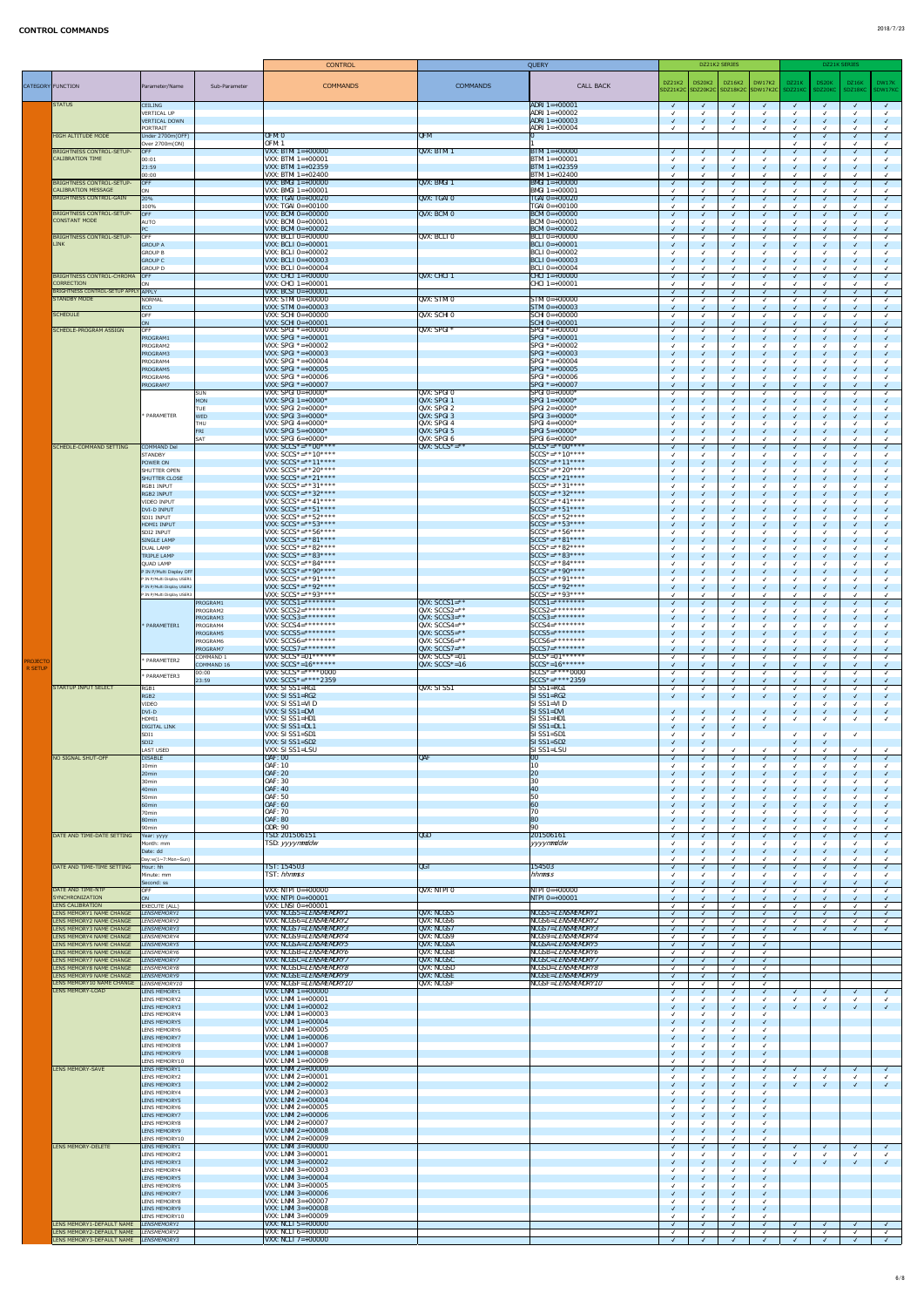|                                   |                                                                    |                                                          | <b>CONTROL</b>                                             |                                        | <b>QUERY</b>                                    |                          | DZ21K2 SERIES                                         |              |               |       | DZ21K SERIES                           |                  |                  |
|-----------------------------------|--------------------------------------------------------------------|----------------------------------------------------------|------------------------------------------------------------|----------------------------------------|-------------------------------------------------|--------------------------|-------------------------------------------------------|--------------|---------------|-------|----------------------------------------|------------------|------------------|
|                                   | CATEGORY FUNCTION                                                  | Sub-Parameter<br>Parameter/Name                          | <b>COMMANDS</b>                                            | <b>COMMANDS</b>                        | <b>CALL BACK</b>                                | DZ21K2                   | DS20K2<br>SDZ21K2C SDZ20K2C SDZ18K2C SDW17K2C SDZ21KC | DZ16K2       | <b>DW17K2</b> | DZ21K | DS20K<br>SDZ20KC                       | DZ16K<br>SDZ18KC | DW17K<br>SDW17KC |
|                                   | <b>STATUS</b>                                                      | <b>CEILING</b>                                           |                                                            |                                        | $ADRI$ 1=+00001                                 | $\sqrt{ }$               | $\sqrt{ }$                                            | $\sqrt{ }$   | $\sqrt{ }$    |       | $\sqrt{ }$                             |                  | $\sqrt{ }$       |
|                                   |                                                                    | VERTICAL UP<br><b>VERTICAL DOWN</b>                      |                                                            |                                        | ADRI $1=+00002$<br>$ADRI$ 1=+00003              |                          |                                                       |              |               |       | $\overline{\mathcal{A}}$               |                  |                  |
|                                   | <b>HIGH ALTITUDE MODE</b>                                          | PORTRAIT<br>Under 2700m(OFF)                             | OFM: 0                                                     | <b>QFM</b>                             | ADRI $1=+00004$                                 |                          |                                                       |              |               |       |                                        |                  |                  |
|                                   | <b>BRIGHTNESS CONTROL-SETUP-</b>                                   | Over 2700m(ON)<br>OFF                                    | <b>OFM: 1</b><br>VXX: BTMI $1=+00000$                      | QVX: BTMI 1                            | $BTM1 = +00000$                                 | √                        |                                                       | $\sqrt{}$    |               |       | $\sqrt{ }$                             |                  |                  |
|                                   | <b>CALIBRATION TIME</b>                                            | 00:01<br> 23:59                                          | <b>VXX: BTMI</b> $1=+00001$<br><b>VXX: BTMI</b> $1=+02359$ |                                        | <b>BTMI</b> $1=+00001$<br><b>BTMI</b> 1=+02359  |                          |                                                       |              |               |       |                                        |                  |                  |
|                                   | <b>BRIGHTNESS CONTROL-SETUP-</b>                                   | 00:00 <br>OFF                                            | VXX: BTMI $1=+02400$<br><b>VXX: BMGI 1=+00000</b>          | QVX: BMGI 1                            | $BTMI = +02400$<br><b>BMGI</b> 1=+00000         |                          |                                                       |              |               |       | $\sqrt{ }$                             |                  |                  |
|                                   | <b>CALIBRATION MESSAGE</b><br><b>BRIGHTNESS CONTROL-GAIN</b>       | ON<br>20%                                                | VXX: BMGI $1 = +00001$<br>VXX: TGAI $0=+00020$             | QVX: TGAI 0                            | <b>BMGI</b> 1=+00001<br>$TGAI 0=+00020$         |                          |                                                       |              |               |       | $\overline{\mathcal{A}}$               |                  |                  |
|                                   | <b>BRIGHTNESS CONTROL-SETUP-</b>                                   | 100%<br>OFF                                              | VXX: TGAI $0=+00100$<br>VXX: BCMI $0=+00000$               | QVX: BCMI 0                            | $TGAI$ 0=+00100<br>$BCM10=+00000$               |                          |                                                       |              |               |       |                                        |                  |                  |
|                                   | <b>CONSTANT MODE</b>                                               | AUTO                                                     | VXX: BCMI $0=+00001$                                       |                                        | $BCM10=+00001$                                  |                          |                                                       |              |               |       | $\sqrt{ }$                             |                  | $\sqrt{ }$       |
|                                   | <b>BRIGHTNESS CONTROL-SETUP-</b>                                   | PC <br>OFF                                               | <b>VXX: BCMI 0=+00002</b><br>VXX: BCLI $0=+00000$          | QVX: BCLIO                             | $ BCMI 0=+00002 $<br>$ BCLI0=+00000 $           |                          |                                                       |              |               |       |                                        |                  |                  |
|                                   | <b>LINK</b>                                                        | <b>GROUP A</b><br><b>GROUP B</b>                         | <b>VXX: BCLI 0=+00001</b><br>VXX: BCLI $0=+00002$          |                                        | $ BCLI0=+00001 $<br>$ BCLI0=+00002 $            |                          |                                                       |              | $\sqrt{ }$    |       | $\overline{\mathcal{A}}$               |                  |                  |
|                                   |                                                                    | <b>GROUP C</b><br><b>GROUP D</b>                         | $VXX: BCLI 0=+00003$<br>VXX: BCLI $0=+00004$               |                                        | $ BCLI0=+00003 $<br>$ BCLI0=+00004 $            |                          |                                                       |              |               |       |                                        |                  |                  |
|                                   | <b>BRIGHTNESS CONTROL-CHROMA</b><br><b>CORRECTION</b>              | <b>OFF</b><br>ON                                         | <b>VXX: CHCI 1=+00000</b><br>VXX: CHCI $1=+00001$          | QVX: CHCI 1                            | $CHCI$ 1=+00000<br>$CHCI$ 1=+00001              |                          |                                                       |              |               |       |                                        |                  |                  |
|                                   | BRIGHTNESS CONTROL-SETUP APPLY APPLY<br><b>STANDBY MODE</b>        | NORMAL                                                   | VXX: $BCSI$ $0=+00001$<br>VXX: STMI $0=+00000$             | QVX: STMI 0                            | $STM10=+00000$                                  |                          |                                                       |              |               |       | √                                      |                  |                  |
|                                   | <b>SCHEDULE</b>                                                    | ECO<br><b>OFF</b>                                        | VXX: STMI $0=+00003$<br><b>VXX: SCHI 0=+00000</b>          | QVX: SCHI 0                            | $STM10=+00003$<br>$\vert$ SCHI 0=+00000         |                          |                                                       |              |               |       |                                        |                  |                  |
|                                   | <b>SCHEDLE-PROGRAM ASSIGN</b>                                      | ON<br>OFF                                                | VXX: SCHI $0=+00001$<br>VXX: SPGI $*=+00000$               | $QVX: SPGI*$                           | $\vert$ SCHI 0=+00001<br>$SPGI * = +00000$      |                          |                                                       |              |               |       |                                        |                  |                  |
|                                   |                                                                    | PROGRAM1<br>PROGRAM2                                     | <b>VXX:</b> SPGI *=+00001<br>VXX: SPGI $*=+00002$          |                                        | $ SPGI^* = +00001$<br>$SPGI^* = +00002$         |                          |                                                       |              |               |       |                                        |                  |                  |
|                                   |                                                                    | PROGRAM3<br>PROGRAM4                                     | VXX: SPGI $*=+00003$<br>VXX: SPGI $*=+00004$               |                                        | $ SPGI^* = +00003 $<br>$ SPGI^* = +00004$       |                          |                                                       |              | $\sqrt{ }$    |       | $\sqrt{ }$                             |                  |                  |
|                                   |                                                                    | PROGRAM5<br>PROGRAM6                                     | VXX: SPGI $*=+00005$<br>VXX: SPGI $*=+00006$               |                                        | $ SPGI^* = +00005$<br>$ SPGI^* = +00006$        |                          | $\checkmark$                                          |              |               |       | $\sqrt{ }$                             |                  |                  |
|                                   |                                                                    | <b>PROGRAM7</b><br><b>SUN</b>                            | VXX: SPGI $*=+00007$<br>VXX: SPGI $0=+0000*$               | QVX: SPGI 0                            | $ SPGI^* = +00007$<br>$ SPGI 0=+0000*$          |                          |                                                       |              |               |       | $\sqrt{ }$                             |                  |                  |
|                                   |                                                                    | MON<br>TUE                                               | VXX: SPGI $1=+0000*$<br>VXX: SPGI $2=+0000*$               | QVX: SPGI 1<br>QVX: SPGI 2             | $ SPGI 1=+0000*$<br>$SPGI 2=+0000*$             |                          |                                                       |              |               |       |                                        |                  |                  |
|                                   |                                                                    | * PARAMETER<br><b>WED</b><br>THU                         | VXX: SPGI 3=+0000*<br>VXX: SPGI $4=+0000*$                 | QVX: SPGI 3<br>QVX: SPGI 4             | $ SPGI 3=+0000*$<br>$ SPGI 4=+0000*$            |                          |                                                       |              | $\checkmark$  |       |                                        |                  |                  |
|                                   |                                                                    | <b>FRI</b><br><b>SAT</b>                                 | VXX: SPGI $5=+0000*$<br>VXX: SPGI $6=+0000*$               | QVX: SPGI 5<br>QVX: SPGI 6             | $ SPGI 5=+0000*$<br>$ SPGI 6=+0000*$            |                          |                                                       |              |               |       |                                        |                  |                  |
|                                   | SCHEDLE-COMMAND SETTING                                            | COMMAND Del<br>STANDBY                                   | VXX: $SCCS^* = **00***$<br>VXX: $SCCS^* = **10***$         | $QVX:SCCS^* = **$                      | $SCCS^* = **00****$<br>$SCCS^* = **10***$       |                          |                                                       |              |               |       | $\sqrt{ }$                             |                  |                  |
|                                   |                                                                    | POWER ON<br>SHUTTER OPEN                                 | VXX: $SCCS^* = **11***$<br>VXX: $SCCS^* = **20***$         |                                        | $SCCS^* = **11***$<br>$SCCS^* = **20***$        |                          |                                                       |              |               |       | $\sqrt{ }$                             |                  |                  |
|                                   |                                                                    | SHUTTER CLOSE<br>RGB1 INPUT                              | VXX: $SCCS^* = **21***$<br>VXX: $SCCS^* = **31***$         |                                        | $SCCS^* = **21***$<br>$SCCS^* = **31***$        |                          | $\checkmark$                                          |              | $\checkmark$  |       | $\overline{\mathcal{A}}$               |                  |                  |
|                                   |                                                                    | <b>RGB2 INPUT</b><br>VIDEO INPUT                         | VXX: $SCCS^* = **32***$<br>VXX: $SCCS^* = **41***$         |                                        | $SCCS^* = **32***$<br>$SCCS^* = * * 41 ** ** *$ |                          |                                                       |              |               |       |                                        |                  |                  |
|                                   |                                                                    | DVI-D INPUT<br>SDI1 INPUT                                | VXX: $SCCS^* = **51***$<br>VXX: $SCCS^* = **52***$         |                                        | $SCCS^* = **51***$<br>$SCCS^* = **52***$        |                          |                                                       |              |               |       |                                        |                  |                  |
|                                   |                                                                    | HDMI1 INPUT<br>SDI2 INPUT                                | VXX: $SCCS^* = **53***$<br>VXX: $SCCS^* = **56***$         |                                        | $SCCS^* = **53***$<br>$SCCS^* = **56***$        |                          |                                                       |              | $\sqrt{ }$    |       | $\sqrt{ }$                             |                  |                  |
|                                   |                                                                    | SINGLE LAMP<br>DUAL LAMP                                 | VXX: $SCCS^* = **81***$<br>VXX: $SCCS^* = **82***$         |                                        | $SCCS^* = **81***$<br>$SCCS^* = **82***$        |                          |                                                       |              |               |       |                                        |                  |                  |
|                                   |                                                                    | TRIPLE LAMP<br><b>QUAD LAMP</b>                          | VXX: $SCCS^* = **83***$<br>VXX: $SCCS^* = **84***$         |                                        | $SCCS^* = **83***$<br>$SCCS^* = **84***$        |                          |                                                       |              |               |       |                                        |                  |                  |
|                                   |                                                                    | P IN P/Multi Display OFF<br>P IN P/Multi Display USER1   | VXX: $SCCS^* = **90***$<br>VXX: $SCCS^* = **91***$         |                                        | $SCCS^* = **90***$<br>$SCCS^* = **91***$        |                          |                                                       |              |               |       | $\sqrt{ }$                             |                  |                  |
|                                   |                                                                    | P IN P/Multi Display USER2<br>P IN P/Multi Display USER3 | VXX: $SCCS^* = **92***$<br>VXX: $SCCS^* = **93***$         |                                        | $SCCS^* = **92***$<br>$SCCS^* = **93***$        |                          |                                                       |              | $\checkmark$  |       | $\mathcal{L}$<br>$\sqrt{ }$            |                  |                  |
|                                   |                                                                    | PROGRAM1<br>PROGRAM2                                     | VXX: $SCCS1 = *********$<br>VXX: $SCCS2 = *********$       | QVX: $SCCS1 = **$<br>$QVX:SCCS2=**$    | $SCCS1 = **********$<br>$SCCS2 = *********$     | √                        |                                                       | $\sqrt{ }$   |               |       | $\sqrt{ }$                             |                  |                  |
|                                   |                                                                    | PROGRAM3<br>PROGRAM4<br>* PARAMETER1                     | VXX: $SCCS3 = *********$<br>VXX: $SCCS4 = *********$       | $QVX:SCCS3=**$<br>$QVX:SCCS4=**$       | $SCCS3 = **********$<br>$SCCS4 = *********$     |                          |                                                       |              |               |       | $\overline{\mathcal{A}}$               |                  |                  |
|                                   |                                                                    | PROGRAM5<br>PROGRAM6                                     | <b>VXX: SCCS5</b> =*********<br>VXX: $SCCS6 = *********$   | QVX: $SCCS5 = **$<br>$QVX:SCCS6=**$    | $SCCS5=**********$<br>$SCCS6=**********$        |                          |                                                       |              | $\sqrt{ }$    |       | $\sqrt{ }$                             |                  |                  |
|                                   |                                                                    | PROGRAM7                                                 | VXX: $SCCS7 = *********$                                   | QVX: $SCCS7 = **$                      | $SCCS7=**********$<br>$SCCS^* = 01******$       |                          |                                                       |              |               |       | $\mathcal{L}$                          |                  |                  |
| <b>PROJECTC</b><br><b>R SETUP</b> |                                                                    | COMMAND 1<br>* PARAMETER2<br>COMMAND 16                  | VXX: $SCCS^* = 01******$<br><b>VXX:</b> SCCS*=16******     | $QVX:SCCS*=01$<br>QVX: $SCCS^* = 16$   | $SCCS^* = 16******$                             |                          |                                                       |              |               |       | $\sqrt{ }$                             |                  |                  |
|                                   |                                                                    | 00:00<br>* PARAMETER3<br>23:59                           | VXX: $SCCS^* = ****0000$<br>VXX: $SCCS^* = ****2359$       |                                        | $SCCS^* = ****0000$<br>$SCCS^* = ****2359$      |                          |                                                       |              |               |       | $\sqrt{ }$<br>$\overline{\mathcal{A}}$ |                  |                  |
|                                   | <b>STARTUP INPUT SELECT</b>                                        | RGB1<br>RGB2                                             | $VXX: SI$ SS1=RG1<br>VXX: $SI$ SS1=RG2                     | QVX: SISS1                             | $STSS1 = RG1$<br>$\vert$ SISS1=RG2              | $\overline{\mathcal{A}}$ |                                                       |              | $\sqrt{ }$    |       | $\sqrt{ }$<br>$\sqrt{ }$               |                  |                  |
|                                   |                                                                    | <b>VIDEO</b><br>$DVI-D$                                  | VXX: SISS1=VID<br>VXX: $SI$ SS1=DVI                        |                                        | $SI$ SS1=VI D<br>$\vert$ SI SS1=DVI             | $\overline{\mathcal{A}}$ | $\checkmark$                                          | $\sqrt{ }$   |               |       |                                        |                  |                  |
|                                   |                                                                    | HDMI1<br><b>DIGITAL LINK</b>                             | VXX: $SI$ $SS1$ = HD1<br>VXX: $SI$ SS1=DL1                 |                                        | $SI$ SS1=HD1<br>$\vert$ SISS1=DL1               |                          |                                                       |              | $\sqrt{ }$    |       |                                        |                  |                  |
|                                   |                                                                    | SDI1<br>SDI <sub>2</sub>                                 | VXX: $SI$ $SS1 = SD1$<br>VXX: $SI$ $SS1 = SD2$             |                                        | $SI$ SS1=SD1<br>$\vert$ SI SS1=SD2              |                          |                                                       |              |               |       | $\sqrt{ }$                             |                  |                  |
|                                   | NO SIGNAL SHUT-OFF                                                 | LAST USED<br>DISABLE                                     | <b>VXX: SISS1=LSU</b><br><b>OAF: 00</b>                    | $\overline{QAF}$                       | $SI$ SS1=LSU<br>00                              | $\sqrt{ }$               | $\checkmark$                                          | $\sqrt{ }$   | $\sqrt{ }$    |       | $\sqrt{ }$                             | $\checkmark$     |                  |
|                                   |                                                                    | 10min<br>20min                                           | <b>OAF: 10</b><br><b>OAF: 20</b>                           |                                        | 10<br>20                                        |                          |                                                       |              |               |       |                                        |                  |                  |
|                                   |                                                                    | 30min<br>40min                                           | <b>OAF: 30</b><br><b>OAF: 40</b>                           |                                        | 30<br>40                                        |                          |                                                       |              |               |       |                                        |                  |                  |
|                                   |                                                                    | 50 <sub>min</sub><br>$60$ min                            | <b>OAF: 50</b><br><b>OAF: 60</b>                           |                                        | 60                                              |                          |                                                       |              |               |       |                                        |                  |                  |
|                                   |                                                                    | 70min<br>80 <sub>min</sub>                               | <b>OAF: 70</b><br><b>OAF: 80</b>                           |                                        | 80                                              |                          |                                                       |              |               |       |                                        |                  |                  |
|                                   | DATE AND TIME-DATE SETTING                                         | 90 <sub>min</sub><br>Year: yyyy                          | <b>ODR: 90</b><br>TSD: 201506151                           | QGD                                    | 90<br>201506161                                 |                          |                                                       |              |               |       |                                        |                  |                  |
|                                   |                                                                    | Month: mm<br>Date: dd                                    | TSD: <i>yyyynmddw</i>                                      |                                        | yyyynmddw                                       |                          |                                                       |              |               |       |                                        |                  |                  |
|                                   | DATE AND TIME-TIME SETTING                                         | $\vert$ Day:w(1~7:Mon~Sun)<br>Hour: hh                   | <b>TST: 154503</b>                                         | <b>QGT</b>                             | 154503                                          |                          | $\checkmark$                                          | $\sqrt{ }$   | $\sqrt{ }$    |       | $\sqrt{ }$                             |                  |                  |
|                                   |                                                                    | Minute: mm<br>Second: ss                                 | <b>TST: hhmmss</b>                                         |                                        | hhmmss                                          |                          |                                                       |              |               |       | $\overline{\mathcal{A}}$               |                  |                  |
|                                   | DATE AND TIME-NTP<br>SYNCHRONIZATION                               | <b>OFF</b><br>ON                                         | <b>VXX: NTPI 0=+00000</b><br><b>VXX: NTPI 0=+00001</b>     | QVX: NTPI 0                            | $NTPI 0=+00000$<br>$NTPI 0=+00001$              |                          |                                                       |              |               |       |                                        |                  |                  |
|                                   | <b>LENS CALIBRATION</b><br>LENS MEMORY1 NAME CHANGE                | <b>EXECUTE (ALL)</b><br>LENSMEMORY1                      | VXX: LNSI $0=+00001$<br>VXX: NCGS5=LENSMEMORY1             | QVX: NCGS5                             | NCGS5=LENSMEMORY1                               |                          |                                                       |              |               |       | $\sqrt{ }$                             |                  |                  |
|                                   | LENS MEMORY2 NAME CHANGE<br>LENS MEMORY3 NAME CHANGE               | LENSMEMORY2<br>LENSMEMORY3                               | VXX: NCGS6=LENSMEMORY2<br>VXX: NCGS7=LENSMEMORY3           | QVX: NCGS6<br><b>QVX: NCGS7</b>        | NCGS6=LENSMEMORY2<br>$NCGS7 = LENSMEMORY3$      |                          |                                                       |              |               |       | √                                      |                  |                  |
|                                   | LENS MEMORY4 NAME CHANGE<br>LENS MEMORY5 NAME CHANGE               | LENSMEMORY4<br>LENSMEMORY5                               | VXX: NCGS9=LENSMEMORY4<br>VXX: NCGSA=LENSMEMORY5           | QVX: NCGS9<br><b>QVX: NCGSA</b>        | NCGS9=LENSMEMORY4<br>NCGSA=LENSMEMORY5          |                          |                                                       |              |               |       |                                        |                  |                  |
|                                   | LENS MEMORY6 NAME CHANGE<br>LENS MEMORY7 NAME CHANGE               | LENSMEMORY6<br>LENSMEMORY7                               | VXX: NCGSB=LENSMEMORY6<br>VXX: NCGSC=LENSMEMORY7           | <b>QVX: NCGSB</b><br><b>QVX: NCGSC</b> | NCGSB=LENSMEMORY6<br>NCGSC=LENSMEMORY7          |                          |                                                       |              | $\sqrt{ }$    |       |                                        |                  |                  |
|                                   | LENS MEMORY8 NAME CHANGE<br>LENS MEMORY9 NAME CHANGE               | LENSMEMORY8<br>LENSMEMORY9                               | VXX: NCGSD=LENSMEMORY8<br>VXX: NCGSE=LENSMEMORY9           | <b>QVX: NCGSD</b><br><b>QVX: NCGSE</b> | NCGSD=LENSMEMORY8<br>NCGSE=LENSMEMORY9          |                          |                                                       |              | $\sqrt{ }$    |       |                                        |                  |                  |
|                                   | LENS MEMORY10 NAME CHANGE<br><b>LENS MEMORY-LOAD</b>               | LENSMEMORY10<br>LENS MEMORY1                             | VXX: NCGSF=LENSMEMORY10<br>VXX: LNMI $1=+00000$            | <b>QVX: NCGSF</b>                      | NCGSF=LENSMEMORY10                              | √                        |                                                       |              |               |       | $\sqrt{ }$                             |                  |                  |
|                                   |                                                                    | LENS MEMORY2<br>LENS MEMORY3                             | VXX: LNMI $1=+00001$<br><b>VXX:</b> LNMI $1=+00002$        |                                        |                                                 |                          |                                                       |              |               |       |                                        |                  |                  |
|                                   |                                                                    | LENS MEMORY4<br>LENS MEMORY5                             | VXX: LNMI $1=+00003$<br><b>VXX:</b> LNMI $1=+00004$        |                                        |                                                 |                          |                                                       |              | $\checkmark$  |       |                                        |                  |                  |
|                                   |                                                                    | LENS MEMORY6<br>LENS MEMORY7                             | <b>VXX:</b> LNMI $1=+00005$<br>VXX: LNMI $1=+00006$        |                                        |                                                 |                          |                                                       |              |               |       |                                        |                  |                  |
|                                   |                                                                    | LENS MEMORY8<br>LENS MEMORY9                             | VXX: LNMI $1=+00007$<br><b>VXX:</b> LNMI $1=+00008$        |                                        |                                                 |                          |                                                       | $\mathbf{v}$ |               |       |                                        |                  |                  |
|                                   | LENS MEMORY-SAVE                                                   | LENS MEMORY10<br>LENS MEMORY1                            | <b>VXX: LNMI</b> $1=+00009$<br>$VXX: LNM2=+00000$          |                                        |                                                 |                          |                                                       |              |               |       | $\sqrt{ }$                             |                  |                  |
|                                   |                                                                    | LENS MEMORY2<br>LENS MEMORY3                             | <b>VXX:</b> LNMI $2=+00001$<br><b>VXX:</b> LNMI $2=+00002$ |                                        |                                                 |                          |                                                       |              |               |       |                                        |                  |                  |
|                                   |                                                                    | LENS MEMORY4<br>LENS MEMORY5                             | <b>VXX: LNMI 2=+00003</b><br><b>VXX:</b> LNMI $2=+00004$   |                                        |                                                 |                          |                                                       |              |               |       |                                        |                  |                  |
|                                   |                                                                    | LENS MEMORY6<br>LENS MEMORY7                             | <b>VXX: LNMI 2=+00005</b><br>$VXX: LNM2=+00006$            |                                        |                                                 |                          |                                                       |              |               |       |                                        |                  |                  |
|                                   |                                                                    | LENS MEMORY8<br>LENS MEMORY9                             | <b>VXX: LNMI 2=+00007</b><br>$VXX: LNM2=+00008$            |                                        |                                                 |                          |                                                       |              |               |       |                                        |                  |                  |
|                                   | LENS MEMORY-DELETE                                                 | LENS MEMORY10<br>LENS MEMORY1                            | <b>VXX:</b> LNMI $2=+00009$<br><b>VXX: LNMI 3=+00000</b>   |                                        |                                                 | $\sqrt{ }$               | $\checkmark$                                          |              | $\sqrt{ }$    |       | $\sqrt{ }$                             | $\checkmark$     | $\sqrt{ }$       |
|                                   |                                                                    | LENS MEMORY2<br>LENS MEMORY3                             | <b>VXX:</b> LNMI $3=+00001$<br>$VXX: LNM3=+00002$          |                                        |                                                 |                          |                                                       |              |               |       |                                        |                  |                  |
|                                   |                                                                    | LENS MEMORY4<br>LENS MEMORY5                             | <b>VXX: LNMI 3=+00003</b><br>$ VXX: LNM3=+00004$           |                                        |                                                 |                          |                                                       |              |               |       |                                        |                  |                  |
|                                   |                                                                    | LENS MEMORY6<br>LENS MEMORY7                             | <b>VXX:</b> LNMI $3=+00005$<br>$VXX: LNM3=+00006$          |                                        |                                                 |                          |                                                       |              |               |       |                                        |                  |                  |
|                                   |                                                                    | LENS MEMORY8                                             | $ VXX: LNM3=+00007$<br>$ VXX: LNM3=+00008$                 |                                        |                                                 |                          |                                                       |              |               |       |                                        |                  |                  |
|                                   |                                                                    | LENS MEMORY9<br>LENS MEMORY10                            | <b>VXX: LNMI</b> $3=+00009$                                |                                        |                                                 |                          |                                                       |              |               |       |                                        |                  |                  |
|                                   | LENS MEMORY1-DEFAULT NAME<br>LENS MEMORY2-DEFAULT NAME LENSMEMORY2 | LENSMEMORY1                                              | <b>VXX:</b> NCLI $5=+00000$<br>VXX: NCLI $6=+00000$        |                                        |                                                 |                          |                                                       |              |               |       | $\sqrt{ }$<br>$\checkmark$             |                  |                  |
|                                   | LENS MEMORY3-DEFAULT NAME LENSMEMORY3                              |                                                          | $\overline{\text{VXX}}$ : NCLI 7=+00000                    |                                        |                                                 |                          |                                                       |              |               |       |                                        |                  |                  |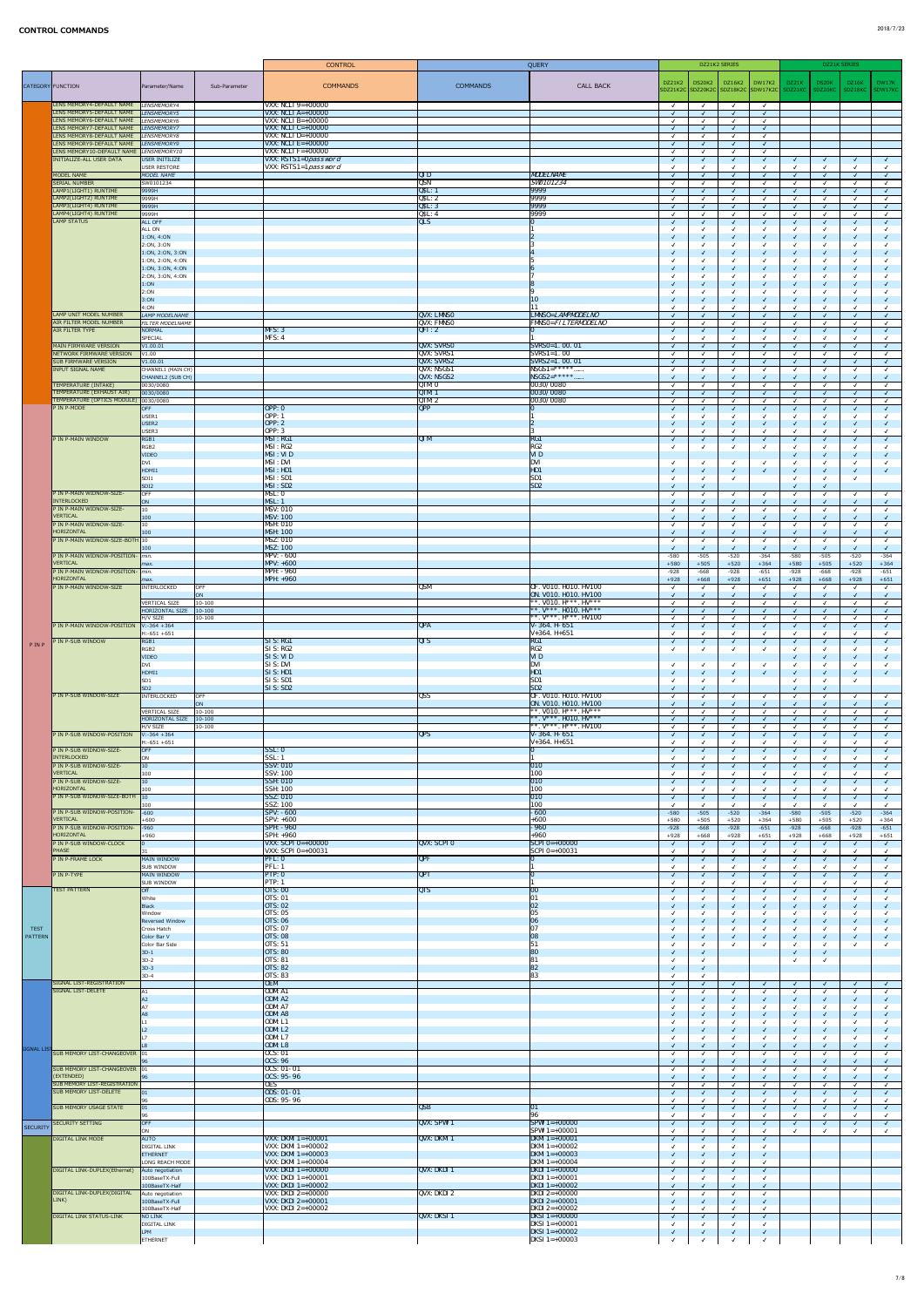|                               |                                                                                |                                                                       | <b>CONTROL</b>                                       |                                        | QUERY                                                                |                          | DZ21K2 SERIES    |                                             |                          |                  | DZ21K SERIES                 |                  |                  |
|-------------------------------|--------------------------------------------------------------------------------|-----------------------------------------------------------------------|------------------------------------------------------|----------------------------------------|----------------------------------------------------------------------|--------------------------|------------------|---------------------------------------------|--------------------------|------------------|------------------------------|------------------|------------------|
|                               |                                                                                |                                                                       |                                                      |                                        |                                                                      | DZ21K2                   | DS20K2           | DZ16K2   DW17K2                             |                          | DZ21K            | DS20K                        | DZ16K            | DW17K            |
|                               | CATEGORY FUNCTION                                                              | Parameter/Name<br>Sub-Parameter                                       | <b>COMMANDS</b>                                      | <b>COMMANDS</b>                        | <b>CALL BACK</b>                                                     |                          |                  | SDZ21K2C SDZ20K2C SDZ18K2C SDW17K2C SDZ21KC |                          |                  | SDZ20KC   SDZ18KC            |                  | SDW17KC          |
|                               | LENS MEMORY4-DEFAULT NAME LENSMEMORY4                                          |                                                                       | <b>VXX:</b> NCLI $9=+00000$                          |                                        |                                                                      | $\checkmark$             | $\sqrt{ }$       | $\sqrt{ }$                                  | $\sqrt{ }$               |                  |                              |                  |                  |
|                               | LENS MEMORY5-DEFAULT NAME                                                      | LENSMEMORY5                                                           | VXX: $NCLI$ A=+00000                                 |                                        |                                                                      |                          |                  |                                             | $\sqrt{ }$               |                  |                              |                  |                  |
|                               | LENS MEMORY6-DEFAULT NAME LENSMEMORY6<br>LENS MEMORY7-DEFAULT NAME LENSMEMORY7 |                                                                       | VXX: NCLI $B=+00000$<br>VXX: NCLI $C=+00000$         |                                        |                                                                      |                          |                  |                                             |                          |                  |                              |                  |                  |
|                               | LENS MEMORY8-DEFAULT NAME                                                      | LENSMEMORY8                                                           | VXX: NCLI $D=+00000$                                 |                                        |                                                                      | $\sqrt{ }$               |                  |                                             | $\sqrt{ }$               |                  |                              |                  |                  |
|                               | LENS MEMORY9-DEFAULT NAME LENSMEMORY9                                          |                                                                       | $\vert$ VXX: NCLI E=+00000<br>VXX: $NCLI$ $F=+00000$ |                                        |                                                                      |                          |                  |                                             |                          |                  |                              |                  |                  |
|                               | LENS MEMORY10-DEFAULT NAME LENSMEMORY10<br>INITIALIZE-ALL USER DATA            | USER INITILIZE                                                        | VXX: RSTS1=0password                                 |                                        |                                                                      |                          |                  | $\sqrt{ }$                                  | $\sqrt{ }$               | $\sqrt{ }$       | $\sqrt{ }$                   |                  |                  |
|                               |                                                                                | USER RESTORE                                                          | VXX: RSTS1=1 password                                |                                        |                                                                      |                          |                  |                                             |                          |                  | $\checkmark$                 |                  |                  |
|                               | MODEL NAME<br><b>SERIAL NUMBER</b>                                             | MODEL NAME<br>SW0101234                                               |                                                      | QID<br>QSN                             | <b>MODELNAME</b><br><b>SW0101234</b>                                 |                          |                  |                                             | $\sqrt{ }$               |                  | $\sqrt{ }$<br>$\checkmark$   |                  |                  |
|                               | LAMP1(LIGHT1) RUNTIME                                                          | 9999H                                                                 |                                                      | QSL: 1                                 | 9999                                                                 |                          |                  |                                             |                          |                  | $\sqrt{ }$                   |                  |                  |
|                               | LAMP2(LIGHT2) RUNTIME<br>LAMP3(LIGHT4) RUNTIME                                 | 9999H<br>9999H                                                        |                                                      | QSL: 2<br>QSL:3                        | 9999 <br>9999                                                        | $\overline{\mathcal{L}}$ |                  |                                             |                          |                  | $\checkmark$<br>$\sqrt{}$    |                  |                  |
|                               | LAMP4(LIGHT4) RUNTIME                                                          | 9999H                                                                 |                                                      | QSL: 4                                 | 9999                                                                 |                          |                  |                                             |                          |                  | $\checkmark$                 |                  |                  |
|                               | LAMP STATUS                                                                    | <b>ALL OFF</b><br>ALL ON                                              |                                                      | QLS                                    |                                                                      | $\mathcal{L}$            |                  | $\checkmark$                                | $\sqrt{ }$               |                  | $\sqrt{ }$                   |                  |                  |
|                               |                                                                                | 1:0N, 4:0N                                                            |                                                      |                                        |                                                                      |                          |                  |                                             |                          |                  | $\sqrt{ }$                   |                  |                  |
|                               |                                                                                | 2:0N, 3:0N<br>1:0N, 2:0N, 3:0N                                        |                                                      |                                        |                                                                      |                          |                  |                                             | $\sqrt{ }$               |                  | $\checkmark$<br>$\checkmark$ |                  |                  |
|                               |                                                                                | 1:0N, 2:0N, 4:0N                                                      |                                                      |                                        |                                                                      |                          |                  |                                             |                          |                  | $\checkmark$                 |                  |                  |
|                               |                                                                                | 1:ON, 3:ON, 4:ON                                                      |                                                      |                                        |                                                                      |                          |                  |                                             | $\sqrt{ }$               |                  | $\checkmark$<br>$\checkmark$ |                  |                  |
|                               |                                                                                | 2:0N, 3:0N, 4:0N<br>1:ON                                              |                                                      |                                        |                                                                      |                          |                  | $\sqrt{ }$                                  | $\sqrt{ }$               |                  | $\checkmark$                 |                  |                  |
|                               |                                                                                | 2:ON                                                                  |                                                      |                                        |                                                                      |                          |                  |                                             |                          |                  | $\checkmark$                 |                  |                  |
|                               |                                                                                | 3:ON<br>4:ON                                                          |                                                      |                                        | 10<br>$\perp$                                                        |                          |                  |                                             |                          |                  | $\checkmark$                 |                  |                  |
|                               | LAMP UNIT MODEL NUMBER                                                         | LAMP MODELNAME                                                        |                                                      | <b>QVX: LMNSO</b>                      | LMNSO= <i>LAMPMODELNO</i>                                            |                          |                  |                                             |                          |                  | $\sqrt{ }$                   |                  |                  |
|                               | AIR FILTER MODEL NUMBER<br>AIR FILTER TYPE                                     | <b>FILTER MODELNAME</b><br>NORMAL                                     | MFS: 3                                               | <b>QVX: FMNSO</b><br> QFI:2            | <b>FMNSO=FILTERMODELNO</b>                                           |                          |                  | $\checkmark$                                | $\sqrt{ }$               |                  | $\sqrt{ }$                   |                  |                  |
|                               |                                                                                | SPECIAL                                                               | MFS: 4                                               |                                        |                                                                      |                          |                  |                                             |                          |                  |                              |                  |                  |
|                               | MAIN FIRMWARE VERSION<br>NETWORK FIRMWARE VERSION                              | VI.00.01<br>V1.00                                                     |                                                      | <b>QVX: SVRSO</b><br><b>QVX: SVRS1</b> | $SVRSO=1.00.01$<br>$ SVRS1=1.00$                                     |                          |                  |                                             |                          |                  | $\checkmark$<br>$\checkmark$ |                  |                  |
|                               | <b>SUB FIRMWARE VERSION</b>                                                    | V <sub>1.00.01</sub>                                                  |                                                      | <b>QVX: SVRS2</b>                      | $NRS2=1.00.01$                                                       |                          |                  |                                             |                          |                  | $\sqrt{ }$                   |                  |                  |
|                               | <b>INPUT SIGNAL NAME</b>                                                       | CHANNEL1 (MAIN CH)<br>CHANNEL2 (SUB CH)                               |                                                      | QVX: NSGS1<br>QVX: NSGS2               | $NSGS1 = ******$<br>$NSGS2=******$                                   |                          |                  |                                             |                          |                  | $\checkmark$<br>$\checkmark$ |                  |                  |
|                               | TEMPERATURE (INTAKE)                                                           | 0030/0080                                                             |                                                      | QTM: 0                                 | 0030/0080                                                            |                          |                  |                                             |                          |                  | $\checkmark$                 |                  |                  |
|                               | TEMPERATURE (EXHAUST AIR)<br>TEMPERATURE (OPTICS MODULE) 0030/0080             | 0030/0080                                                             |                                                      | QTM: 1<br>QTM: 2                       | 0030/0080 <br>0030/0080                                              |                          |                  | ิ่√                                         | $\sqrt{ }$               |                  | $\sqrt{ }$<br>$\checkmark$   |                  |                  |
|                               | P IN P-MODE                                                                    | OFF                                                                   | OPP: 0                                               | $\overline{QPP}$                       |                                                                      | $\sqrt{ }$               |                  | $\overline{\mathsf{v}}$                     | $\sqrt{ }$               |                  | $\sqrt{ }$                   |                  |                  |
|                               |                                                                                | USER1<br>USER <sub>2</sub>                                            | <b>OPP</b> : 1<br>OPP: 2                             |                                        |                                                                      |                          |                  |                                             | $\overline{\mathcal{A}}$ |                  | $\checkmark$<br>$\checkmark$ |                  |                  |
|                               |                                                                                | USER3                                                                 | <b>OPP</b> : 3                                       |                                        |                                                                      |                          |                  |                                             |                          |                  | $\checkmark$                 |                  |                  |
|                               | P IN P-MAIN WINDOW                                                             | RGB1<br>RGB <sub>2</sub>                                              | MSI: RG1<br>MSI: RG2                                 | QIM                                    | RG1<br>RG <sub>2</sub>                                               |                          |                  | $\sqrt{ }$                                  | $\sqrt{ }$               |                  | $\sqrt{ }$<br>$\checkmark$   |                  |                  |
|                               |                                                                                | VIDEO                                                                 | MSI: VID                                             |                                        | <b>VID</b>                                                           |                          |                  |                                             |                          |                  | $\checkmark$                 |                  |                  |
|                               |                                                                                | DVI<br>HDMI1                                                          | <b>MSI: DVI</b><br>MSI: HD1                          |                                        | <b>DVI</b><br>HD1                                                    |                          |                  | $\overline{\mathsf{v}}$                     | $\overline{\mathcal{A}}$ |                  | $\checkmark$<br>$\checkmark$ |                  |                  |
|                               |                                                                                | SDI1                                                                  | MSI: SD1                                             |                                        | SD1                                                                  |                          |                  |                                             |                          |                  | $\checkmark$                 |                  |                  |
|                               | P IN P-MAIN WIDNOW-SIZE-                                                       | SDI <sub>2</sub><br>OFF                                               | MSI:SD2<br>MSL: 0                                    |                                        | SD2                                                                  |                          |                  | $\checkmark$                                | $\sqrt{ }$               |                  | $\sqrt{ }$<br>$\checkmark$   |                  |                  |
|                               | <b>INTERLOCKED</b>                                                             | ON                                                                    | MSL: 1                                               |                                        |                                                                      |                          |                  |                                             | $\sqrt{ }$               |                  | $\checkmark$                 |                  |                  |
|                               | P IN P-MAIN WIDNOW-SIZE-<br>VERTICAL                                           | $ 10\rangle$<br>100                                                   | <b>MSV: 010</b><br><b>MSV: 100</b>                   |                                        |                                                                      |                          |                  |                                             |                          |                  | $\checkmark$<br>$\checkmark$ |                  |                  |
|                               | P IN P-MAIN WIDNOW-SIZE-                                                       | $ 10\rangle$                                                          | <b>MSH: 010</b>                                      |                                        |                                                                      |                          |                  |                                             | $\sqrt{ }$               |                  | $\checkmark$                 |                  |                  |
|                               | HORIZONTAL<br>P IN P-MAIN WIDNOW-SIZE-BOTH 10                                  | 100                                                                   | <b>MSH: 100</b><br><b>MSZ: 010</b>                   |                                        |                                                                      |                          |                  |                                             |                          |                  | $\checkmark$                 |                  |                  |
|                               |                                                                                | 100                                                                   | <b>MSZ: 100</b>                                      |                                        |                                                                      |                          |                  |                                             |                          |                  |                              |                  |                  |
|                               | P IN P-MAIN WIDNOW-POSITION- min.<br><b>VERTICAL</b>                           | max.                                                                  | $MPV: -600$<br>$MPV: +600$                           |                                        |                                                                      | $-580$<br>$+580$         | $-505$<br>$+505$ | $-520$<br>$+520$                            | $-364$<br>$+364$         | $-580$<br>$+580$ | $-505$<br>$+505$             | $-520$<br>$+520$ | $-364$<br>$+364$ |
|                               | P IN P-MAIN WIDNOW-POSITION- min.                                              |                                                                       | <b>MPH: - 960</b>                                    |                                        |                                                                      | $-928$                   | $-668$           | $-928$                                      | $-651$                   | $-928$           | $-668$                       | $-928$           | $-651$           |
|                               | HORIZONTAL<br>P IN P-MAIN WINDOW-SIZE                                          | max.<br><b>OFF</b><br>INTERLOCKED                                     | $MPH: +960$                                          | <b>QSM</b>                             | OF. V010. H010. HV100                                                | $+928$                   | $+668$           | $+928$                                      | $+651$<br>$\sqrt{ }$     | $+928$           | $+668$<br>$\checkmark$       | $+928$           | $+651$           |
|                               |                                                                                | ON                                                                    |                                                      |                                        | ON. VO10. HO10. HV100                                                |                          |                  |                                             |                          |                  | $\sqrt{ }$                   |                  |                  |
|                               |                                                                                | <b>VERTICAL SIZE</b><br>$10 - 100$<br>$ 10 - 100 $<br>HORIZONTAL SIZE |                                                      |                                        | $ **.~V010.~H***.~HV***$<br>$*$ , $V***$ , HO10. HV***               |                          |                  |                                             | $\sqrt{ }$               |                  | $\checkmark$<br>$\sqrt{ }$   |                  |                  |
|                               |                                                                                | H/V SIZE<br>10-100                                                    |                                                      |                                        | $ **$ . $V^{***}$ . $H^{***}$ . HV100                                |                          |                  |                                             |                          |                  | $\checkmark$                 |                  |                  |
|                               | P IN P-MAIN WINDOW-POSITION                                                    | $V: -364 + 364$<br>H:-651 +651                                        |                                                      | QPA                                    | $V-364. H-651$<br>$V+364. H+651$                                     | $\overline{\mathcal{A}}$ |                  |                                             | $\sqrt{ }$               |                  | $\sqrt{ }$<br>$\checkmark$   |                  |                  |
| PINP                          | IN P-SUB WINDOW                                                                | RGB1                                                                  | SI S: RG1                                            | $\overline{QIS}$                       | RG1                                                                  |                          |                  | $\sqrt{ }$                                  | $\sqrt{ }$               |                  | $\checkmark$                 |                  |                  |
|                               |                                                                                | RGB <sub>2</sub><br><b>VIDEO</b>                                      | <b>SIS: RG2</b><br>SI S: VI D                        |                                        | RG2<br><b>VID</b>                                                    |                          |                  |                                             |                          |                  | $\checkmark$                 |                  |                  |
|                               |                                                                                | DVI                                                                   | SIS: DVI                                             |                                        | <b>DVI</b>                                                           |                          |                  | $\checkmark$                                |                          |                  | $\checkmark$                 |                  |                  |
|                               |                                                                                | HDMI1<br>SD <sub>1</sub>                                              | SI S: H <sub>D1</sub><br>SI S: SD1                   |                                        | HD1<br>SD1                                                           |                          |                  | $\overline{\mathcal{A}}$                    | $\sqrt{ }$               |                  | $\sqrt{ }$<br>$\checkmark$   |                  |                  |
|                               |                                                                                | SD <sub>2</sub>                                                       | SI S: SD2                                            |                                        | SD2                                                                  |                          |                  |                                             |                          |                  | $\sqrt{}$                    |                  |                  |
|                               | P IN P-SUB WINDOW-SIZE                                                         | INTERLOCKED<br><b>OFF</b><br>ON                                       |                                                      | <b>QSS</b>                             | OF. V010. H010. HV100<br>ON. VO10. HO10. HV100                       |                          |                  |                                             | $\sqrt{ }$               |                  | $\checkmark$<br>$\checkmark$ |                  |                  |
|                               |                                                                                | <b>VERTICAL SIZE</b><br>$10 - 100$                                    |                                                      |                                        | **. VO10. $H***$ . $H V***$                                          |                          |                  |                                             |                          |                  | $\checkmark$                 |                  |                  |
|                               |                                                                                | HORIZONTAL SIZE<br>$ 10-100 $<br>H/V SIZE<br>$10 - 100$               |                                                      |                                        | **. $V^{***}$ . HO10. HV***<br>$ **$ . $V^{***}$ . $H^{***}$ . HV100 |                          |                  | $\overline{\mathsf{v}}$                     | $\sqrt{ }$               |                  | $\sqrt{ }$<br>$\checkmark$   |                  |                  |
|                               | P IN P-SUB WINDOW-POSITION                                                     | $V: -364 + 364$                                                       |                                                      | $\overline{QPS}$                       | $V-364. H-651$                                                       |                          |                  | $\overline{\mathsf{v}}$                     | $\sqrt{ }$               |                  | $\sqrt{ }$                   |                  |                  |
|                               | P IN P-SUB WIDNOW-SIZE-                                                        | H:-651 +651<br>OFF                                                    | $\overline{\text{SSL}: 0}$                           |                                        | $V+364. H+651$                                                       | $\sqrt{ }$               |                  |                                             | $\sqrt{ }$               |                  | $\checkmark$                 |                  |                  |
|                               | <b>INTERLOCKED</b>                                                             | ON                                                                    | SSL: 1                                               |                                        |                                                                      |                          |                  |                                             |                          |                  | $\checkmark$                 |                  |                  |
|                               | P IN P-SUB WIDNOW-SIZE-<br>VERTICAL                                            | $ 10\rangle$<br>100                                                   | <b>SSV: 010</b><br><b>SSV: 100</b>                   |                                        | $ 010\rangle$<br>100                                                 | $\sqrt{ }$               |                  | $\sqrt{ }$                                  | $\sqrt{ }$               |                  | $\sqrt{ }$<br>$\checkmark$   |                  |                  |
|                               | P IN P-SUB WIDNOW-SIZE-                                                        | $ 10\rangle$                                                          | <b>SSH: 010</b>                                      |                                        | $ 010\rangle$                                                        |                          |                  |                                             | $\sqrt{ }$               |                  | $\checkmark$                 |                  |                  |
|                               | <b>HORIZONTAL</b><br>P IN P-SUB WIDNOW-SIZE-BOTH 10                            | 100                                                                   | <b>SSH: 100</b><br>SSZ: 010                          |                                        | 100<br>$ 010\rangle$                                                 |                          |                  |                                             |                          |                  |                              |                  |                  |
|                               |                                                                                | 100                                                                   | <b>SSZ: 100</b>                                      |                                        | 100                                                                  |                          |                  | $\checkmark$                                |                          |                  | $\checkmark$                 |                  |                  |
|                               | P IN P-SUB WIDNOW-POSITION-<br>VERTICAL                                        | $-600$<br>$+600$                                                      | <b>SPV: - 600</b><br><b>SPV: +600</b>                |                                        | $-600$<br>$+600$                                                     | $-580$<br>$+580$         | $-505$<br>$+505$ | $-520$<br>$+520$                            | $-364$<br>$+364$         | $-580$<br>$+580$ | $-505$<br>$+505$             | $-520$<br>$+520$ | $-364$<br>$+364$ |
|                               | P IN P-SUB WIDNOW-POSITION-                                                    | $-960$                                                                | <b>SPH: - 960</b>                                    |                                        | $-960$                                                               | $-928$                   | $-668$           | $-928$                                      | $-651$                   | $-928$           | $-668$                       | $-928$           | $-651$           |
|                               | HORIZONTAL<br>P IN P-SUB WINDOW-CLOCK                                          | $+960$                                                                | <b>SPH: +960</b><br>$VXX:$ SCPI 0=+00000             | <b>QVX: SCPIO</b>                      | $+960$<br>$\vert$ SCPI 0=+00000                                      | $+928$<br>$\sqrt{ }$     | $+668$           | $+928$<br>$\checkmark$                      | $+651$<br>$\sqrt{ }$     | $+928$           | $+668$<br>$\sqrt{ }$         | $+928$           | $+651$           |
|                               | PHASE                                                                          |                                                                       | VXX: SCPI $0=+00031$                                 |                                        | $\text{SCPI 0=+00031}$                                               |                          |                  |                                             |                          |                  | $\checkmark$                 |                  |                  |
|                               | P IN P-FRAME LOCK                                                              | MAIN WINDOW<br><b>SUB WINDOW</b>                                      | PFL:0<br>PFL: 1                                      | $\overline{QPF}$                       |                                                                      | $\sqrt{ }$               |                  | $\checkmark$                                | $\sqrt{ }$               |                  | $\checkmark$<br>$\checkmark$ |                  |                  |
|                               | P IN P-TYPE                                                                    | MAIN WINDOW                                                           | PTP: 0                                               | QPT                                    |                                                                      | $\sqrt{ }$               |                  | $\checkmark$                                | $\sqrt{ }$               |                  | $\sqrt{ }$                   |                  |                  |
|                               | <b>TEST PATTERN</b>                                                            | <b>SUB WINDOW</b><br>Off                                              | <b>PTP</b> : 1<br><b>OTS: 00</b>                     | QTS                                    | 00                                                                   | $\sqrt{ }$               |                  | $\checkmark$                                | $\sqrt{ }$               |                  | $\checkmark$                 |                  |                  |
|                               |                                                                                | White                                                                 | <b>OTS: 01</b>                                       |                                        | 01                                                                   |                          |                  |                                             |                          |                  | $\checkmark$                 |                  |                  |
|                               |                                                                                | Black<br>Window                                                       | <b>OTS: 02</b><br><b>OTS: 05</b>                     |                                        | 02<br>05                                                             |                          |                  | $\overline{\mathcal{A}}$                    | $\overline{\mathcal{A}}$ |                  | $\checkmark$<br>$\checkmark$ |                  |                  |
|                               |                                                                                | Reversed Window                                                       | <b>OTS: 06</b>                                       |                                        | 06                                                                   |                          |                  | $\overline{\mathsf{v}}$                     | $\sqrt{ }$               |                  | $\checkmark$                 |                  |                  |
| <b>TEST</b><br><b>PATTERN</b> |                                                                                | Cross Hatch<br>Color Bar V                                            | <b>OTS: 07</b><br><b>OTS: 08</b>                     |                                        | 07<br>08                                                             |                          |                  | $\overline{\mathsf{v}}$                     | $\sqrt{ }$               |                  | √<br>$\sqrt{ }$              |                  |                  |
|                               |                                                                                | Color Bar Side                                                        | <b>OTS: 51</b>                                       |                                        | 51                                                                   |                          |                  |                                             |                          |                  | $\checkmark$                 |                  |                  |
|                               |                                                                                | $3D-1$<br>$3D-2$                                                      | <b>OTS: 80</b><br><b>OTS: 81</b>                     |                                        | 80<br>81                                                             |                          |                  |                                             |                          |                  | $\checkmark$<br>$\checkmark$ |                  |                  |
|                               |                                                                                | $3D-3$                                                                | <b>OTS: 82</b>                                       |                                        | 82                                                                   |                          |                  |                                             |                          |                  |                              |                  |                  |
|                               | SIGNAL LIST-REGISTRATION                                                       | $3D-4$                                                                | <b>OTS: 83</b><br><b>OEM</b>                         |                                        | 83                                                                   | $\mathcal{A}$            |                  | $\checkmark$                                | $\overline{\mathcal{A}}$ |                  | $\sqrt{ }$                   |                  |                  |
|                               | SIGNAL LIST-DELETE                                                             | A1                                                                    | ODM: A1                                              |                                        |                                                                      |                          |                  |                                             |                          |                  | $\checkmark$                 |                  |                  |
|                               |                                                                                | A2                                                                    | ODM: A2<br>ODM: A7                                   |                                        |                                                                      |                          |                  | $\checkmark$                                | $\sqrt{ }$               |                  | $\sqrt{ }$<br>$\checkmark$   |                  |                  |
|                               |                                                                                |                                                                       | ODM: A8<br>ODM: L1                                   |                                        |                                                                      |                          |                  | √                                           | $\sqrt{ }$               |                  | $\checkmark$                 |                  |                  |
|                               |                                                                                |                                                                       |                                                      |                                        |                                                                      |                          |                  |                                             |                          |                  | $\checkmark$                 |                  |                  |
|                               |                                                                                |                                                                       |                                                      |                                        |                                                                      |                          |                  |                                             | $\sqrt{ }$               |                  | $\checkmark$                 |                  |                  |
| SIGNAL LIST                   |                                                                                |                                                                       | ODM: L2<br>ODM: L7                                   |                                        |                                                                      |                          |                  |                                             |                          |                  |                              |                  |                  |
|                               | SUB MEMORY LIST-CHANGEOVER 01                                                  |                                                                       | ODM: L8<br><b>OCS: 01</b>                            |                                        |                                                                      |                          |                  |                                             |                          | $\sqrt{2}$       | $\sqrt{}$<br>$\checkmark$    |                  |                  |
|                               |                                                                                | 96                                                                    | <b>OCS: 96</b>                                       |                                        |                                                                      |                          |                  |                                             | $\sqrt{ }$               |                  | $\checkmark$                 |                  |                  |
|                               | SUB MEMORY LIST-CHANGEOVER 01<br>(EXTENDED)                                    |                                                                       | $OCS: 01 - 01$<br>$ 0CS: 95-96 $                     |                                        |                                                                      |                          |                  |                                             |                          |                  | $\checkmark$<br>$\checkmark$ |                  |                  |
|                               | SUB MEMORY LIST-REGISTRATION                                                   |                                                                       | 0ES                                                  |                                        |                                                                      |                          |                  |                                             |                          |                  | $\checkmark$                 |                  |                  |
|                               | <b>SUB MEMORY LIST-DELETE</b>                                                  | $ 01\rangle$<br>96                                                    | <b>ODS: 01-01</b><br><b>ODS: 95-96</b>               |                                        |                                                                      |                          |                  |                                             |                          |                  | $\sqrt{ }$                   |                  |                  |
|                               | <b>SUB MEMORY USAGE STATE</b>                                                  | $ 01\rangle$                                                          |                                                      | QSB                                    | 01                                                                   | $\sqrt{ }$               |                  |                                             | $\sqrt{ }$               |                  | $\sqrt{ }$                   |                  |                  |
|                               | SECURITY SETTING                                                               | 96<br>OFF                                                             |                                                      | QVX: SPW11                             | 96<br>$SPW1 = +00000$                                                | $\overline{\mathcal{A}}$ |                  |                                             | $\sqrt{ }$               |                  | $\checkmark$                 |                  |                  |
| <b>SECURITY</b>               |                                                                                | ON                                                                    |                                                      |                                        | $SPM1 = +00001$                                                      |                          |                  |                                             |                          |                  |                              |                  |                  |
|                               | <b>DIGITAL LINK MODE</b>                                                       | <b>AUTO</b><br><b>DIGITAL LINK</b>                                    | <b>VXX: DKMI</b> $1=+00001$<br>VXX: DKMI $1=+00002$  | QVX: DKMI 1                            | <b>DKMI</b> $1=+00001$<br>DKMI $1=+00002$                            |                          |                  |                                             |                          |                  |                              |                  |                  |
|                               |                                                                                | <b>ETHERNET</b>                                                       | <b>VXX: DKMI</b> $1 = +00003$                        |                                        | <b>DKMI</b> 1=+00003                                                 |                          |                  |                                             |                          |                  |                              |                  |                  |
|                               | DIGITAL LINK-DUPLEX(Ethernet)                                                  | LONG REACH MODE<br>Auto negotiation                                   | VXX: DKMI $1=+00004$<br><b>VXX: DKDI</b> $1=+00000$  | $\sqrt{\text{QVX: DKDI} \cdot 1}$      | DKMI $1=+00004$<br>$DKDI$ 1=+00000                                   |                          |                  | $\sqrt{ }$                                  | $\sqrt{ }$               |                  |                              |                  |                  |
|                               |                                                                                | 100BaseTX-Full                                                        | <b>VXX: DKDI</b> $1 = +00001$                        |                                        | DKDI 1=+00001                                                        |                          |                  |                                             |                          |                  |                              |                  |                  |
|                               | DIGITAL LINK-DUPLEX(DIGITAL                                                    | 100BaseTX-Half<br>Auto negotiation                                    | <b>VXX: DKDI</b> $1=+00002$<br>VXX: DKDI $2=+00000$  | QVX: DKDI 2                            | <b>DKDI</b> 1=+00002<br>DKDI 2=+00000                                |                          |                  |                                             |                          |                  |                              |                  |                  |
|                               | LINK)                                                                          | 100BaseTX-Full                                                        | <b>VXX: DKDI</b> $2=+00001$                          |                                        | <b>DKDI</b> 2=+00001                                                 |                          |                  |                                             |                          |                  |                              |                  |                  |
|                               | <b>DIGITAL LINK STATUS-LINK</b>                                                | 100BaseTX-Half<br>NO LINK                                             | VXX: DKDI $2=+00002$                                 | $\sqrt{\text{QVX: DKSI} \cdot 1}$      | DKDI 2=+00002<br>$DKSI$ 1=+00000                                     |                          |                  |                                             | $\sqrt{ }$               |                  |                              |                  |                  |
|                               |                                                                                | <b>DIGITAL LINK</b><br><b>LPM</b>                                     |                                                      |                                        | DKSI 1=+00001<br><b>DKSI</b> 1=+00002                                |                          |                  | √                                           | $\sqrt{ }$               |                  |                              |                  |                  |